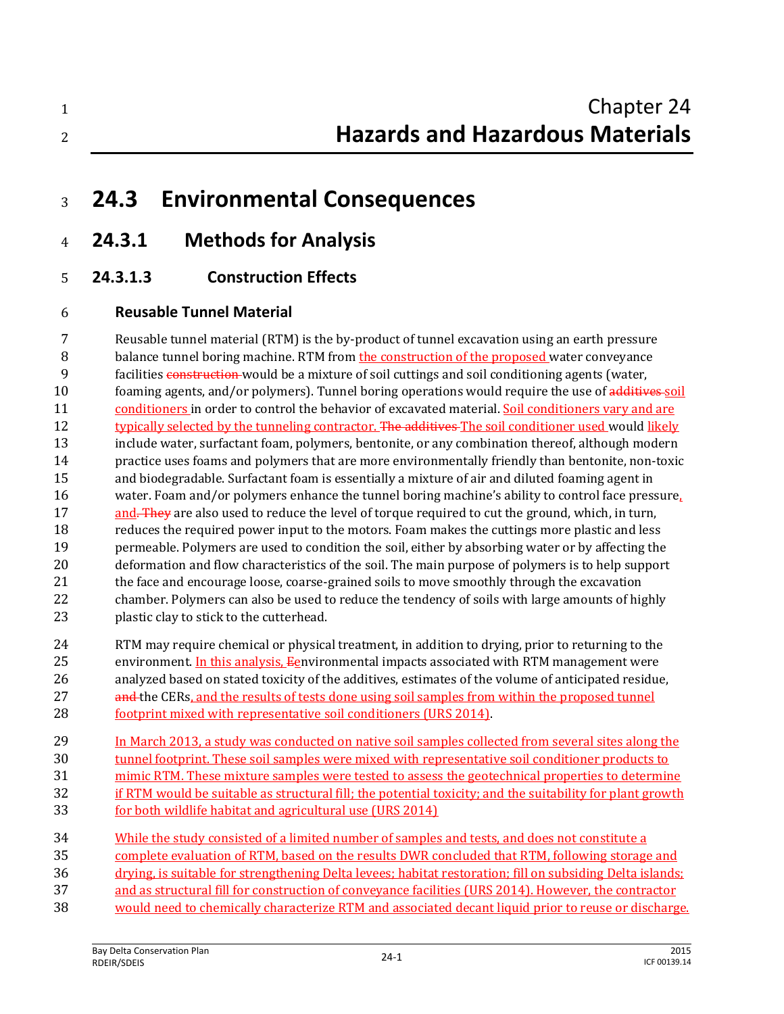| Chapter 24                             |
|----------------------------------------|
| <b>Hazards and Hazardous Materials</b> |
|                                        |

- **24.3 Environmental Consequences**
- **24.3.1 Methods for Analysis**
- **24.3.1.3 Construction Effects**

### **Reusable Tunnel Material**

 Reusable tunnel material (RTM) is the by-product of tunnel excavation using an earth pressure 8 balance tunnel boring machine. RTM from the construction of the proposed water conveyance facilities construction would be a mixture of soil cuttings and soil conditioning agents (water, 10 foaming agents, and/or polymers). Tunnel boring operations would require the use of additives soil conditioners in order to control the behavior of excavated material. Soil conditioners vary and are 12 typically selected by the tunneling contractor. The additives The soil conditioner used would likely include water, surfactant foam, polymers, bentonite, or any combination thereof, although modern practice uses foams and polymers that are more environmentally friendly than bentonite, non-toxic and biodegradable. Surfactant foam is essentially a mixture of air and diluted foaming agent in water. Foam and/or polymers enhance the tunnel boring machine's ability to control face pressure, 17 and. They are also used to reduce the level of torque required to cut the ground, which, in turn, reduces the required power input to the motors. Foam makes the cuttings more plastic and less permeable. Polymers are used to condition the soil, either by absorbing water or by affecting the deformation and flow characteristics of the soil. The main purpose of polymers is to help support 21 the face and encourage loose, coarse-grained soils to move smoothly through the excavation chamber. Polymers can also be used to reduce the tendency of soils with large amounts of highly 23 plastic clay to stick to the cutterhead. RTM may require chemical or physical treatment, in addition to drying, prior to returning to the 25 environment. In this analysis,  $E$ environmental impacts associated with RTM management were

- analyzed based on stated toxicity of the additives, estimates of the volume of anticipated residue, 27 and the CERs, and the results of tests done using soil samples from within the proposed tunnel footprint mixed with representative soil conditioners (URS 2014).
- In March 2013, a study was conducted on native soil samples collected from several sites along the tunnel footprint. These soil samples were mixed with representative soil conditioner products to mimic RTM. These mixture samples were tested to assess the geotechnical properties to determine
- 32 if RTM would be suitable as structural fill; the potential toxicity; and the suitability for plant growth
- for both wildlife habitat and agricultural use (URS 2014)
- While the study consisted of a limited number of samples and tests, and does not constitute a
- complete evaluation of RTM, based on the results DWR concluded that RTM, following storage and
- drying, is suitable for strengthening Delta levees; habitat restoration; fill on subsiding Delta islands;
- and as structural fill for construction of conveyance facilities (URS 2014). However, the contractor
- would need to chemically characterize RTM and associated decant liquid prior to reuse or discharge.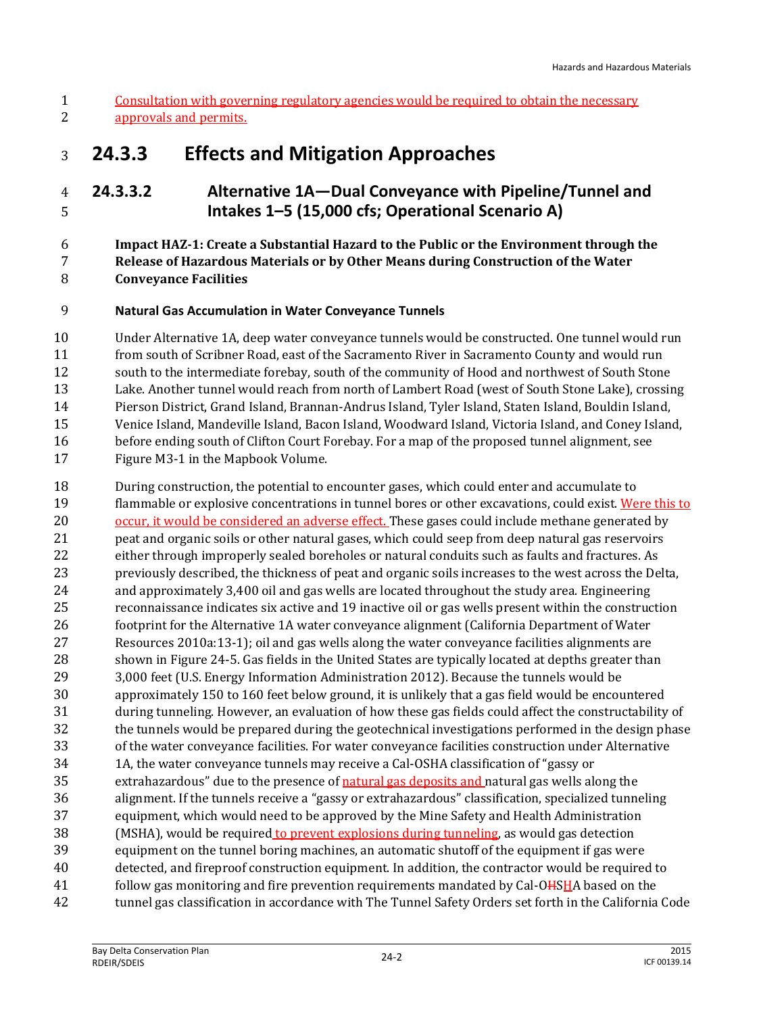## **24.3.3 Effects and Mitigation Approaches**

## **24.3.3.2 Alternative 1A—Dual Conveyance with Pipeline/Tunnel and Intakes 1–5 (15,000 cfs; Operational Scenario A)**

#### **Impact HAZ-1: Create a Substantial Hazard to the Public or the Environment through the Release of Hazardous Materials or by Other Means during Construction of the Water Conveyance Facilities**

#### **Natural Gas Accumulation in Water Conveyance Tunnels**

 Under Alternative 1A, deep water conveyance tunnels would be constructed. One tunnel would run from south of Scribner Road, east of the Sacramento River in Sacramento County and would run south to the intermediate forebay, south of the community of Hood and northwest of South Stone Lake. Another tunnel would reach from north of Lambert Road (west of South Stone Lake), crossing Pierson District, Grand Island, Brannan-Andrus Island, Tyler Island, Staten Island, Bouldin Island, Venice Island, Mandeville Island, Bacon Island, Woodward Island, Victoria Island, and Coney Island, before ending south of Clifton Court Forebay. For a map of the proposed tunnel alignment, see Figure M3-1 in the Mapbook Volume.

 During construction, the potential to encounter gases, which could enter and accumulate to flammable or explosive concentrations in tunnel bores or other excavations, could exist. Were this to 20 occur, it would be considered an adverse effect. These gases could include methane generated by peat and organic soils or other natural gases, which could seep from deep natural gas reservoirs either through improperly sealed boreholes or natural conduits such as faults and fractures. As previously described, the thickness of peat and organic soils increases to the west across the Delta, and approximately 3,400 oil and gas wells are located throughout the study area. Engineering reconnaissance indicates six active and 19 inactive oil or gas wells present within the construction footprint for the Alternative 1A water conveyance alignment (California Department of Water Resources 2010a:13-1); oil and gas wells along the water conveyance facilities alignments are shown in Figure 24-5. Gas fields in the United States are typically located at depths greater than 3,000 feet (U.S. Energy Information Administration 2012). Because the tunnels would be approximately 150 to 160 feet below ground, it is unlikely that a gas field would be encountered during tunneling. However, an evaluation of how these gas fields could affect the constructability of the tunnels would be prepared during the geotechnical investigations performed in the design phase of the water conveyance facilities. For water conveyance facilities construction under Alternative 1A, the water conveyance tunnels may receive a Cal-OSHA classification of "gassy or extrahazardous" due to the presence of natural gas deposits and natural gas wells along the alignment. If the tunnels receive a "gassy or extrahazardous" classification, specialized tunneling equipment, which would need to be approved by the Mine Safety and Health Administration (MSHA), would be required to prevent explosions during tunneling, as would gas detection equipment on the tunnel boring machines, an automatic shutoff of the equipment if gas were detected, and fireproof construction equipment. In addition, the contractor would be required to 41 follow gas monitoring and fire prevention requirements mandated by Cal-OHSHA based on the tunnel gas classification in accordance with The Tunnel Safety Orders set forth in the California Code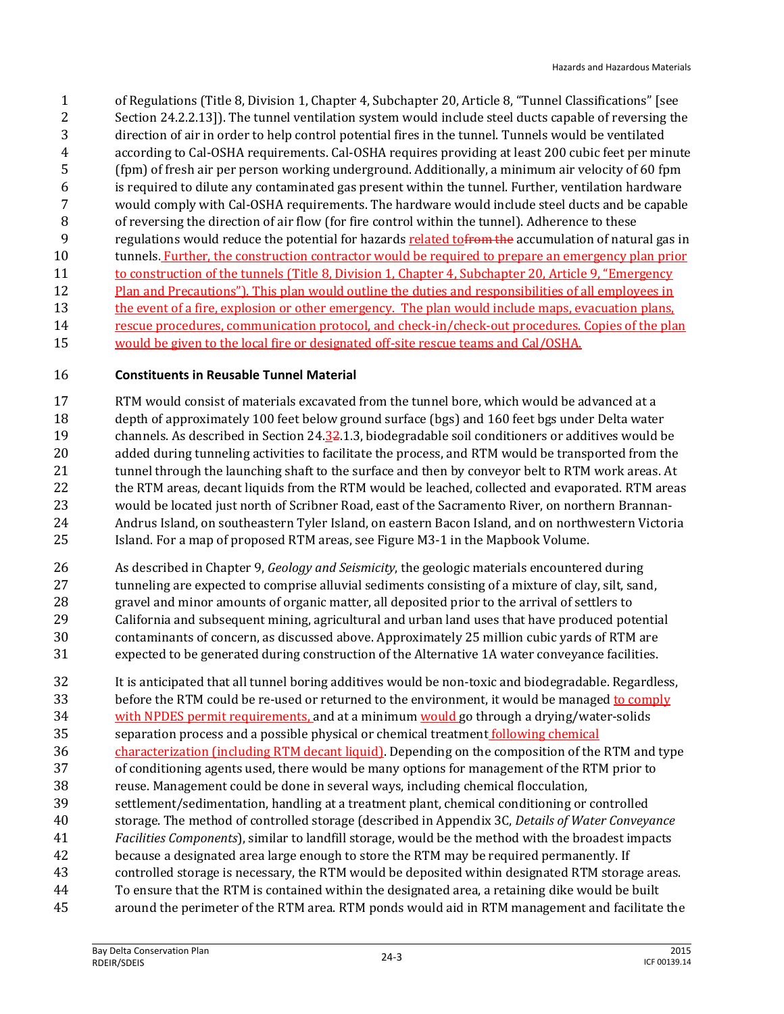of Regulations (Title 8, Division 1, Chapter 4, Subchapter 20, Article 8, "Tunnel Classifications" [see Section 24.2.2.13]). The tunnel ventilation system would include steel ducts capable of reversing the direction of air in order to help control potential fires in the tunnel. Tunnels would be ventilated according to Cal-OSHA requirements. Cal-OSHA requires providing at least 200 cubic feet per minute (fpm) of fresh air per person working underground. Additionally, a minimum air velocity of 60 fpm is required to dilute any contaminated gas present within the tunnel. Further, ventilation hardware would comply with Cal-OSHA requirements. The hardware would include steel ducts and be capable of reversing the direction of air flow (for fire control within the tunnel). Adherence to these 9 regulations would reduce the potential for hazards related to from the accumulation of natural gas in tunnels. Further, the construction contractor would be required to prepare an emergency plan prior 11 to construction of the tunnels (Title 8, Division 1, Chapter 4, Subchapter 20, Article 9, "Emergency" 12 Plan and Precautions"). This plan would outline the duties and responsibilities of all employees in 13 the event of a fire, explosion or other emergency. The plan would include maps, evacuation plans, rescue procedures, communication protocol, and check-in/check-out procedures. Copies of the plan 15 would be given to the local fire or designated off-site rescue teams and Cal/OSHA.

#### **Constituents in Reusable Tunnel Material**

 RTM would consist of materials excavated from the tunnel bore, which would be advanced at a depth of approximately 100 feet below ground surface (bgs) and 160 feet bgs under Delta water channels. As described in Section 24.32.1.3, biodegradable soil conditioners or additives would be added during tunneling activities to facilitate the process, and RTM would be transported from the 21 tunnel through the launching shaft to the surface and then by conveyor belt to RTM work areas. At 22 the RTM areas, decant liquids from the RTM would be leached, collected and evaporated. RTM areas would be located just north of Scribner Road, east of the Sacramento River, on northern Brannan- Andrus Island, on southeastern Tyler Island, on eastern Bacon Island, and on northwestern Victoria Island. For a map of proposed RTM areas, see Figure M3-1 in the Mapbook Volume.

- As described in Chapter 9, *Geology and Seismicity*, the geologic materials encountered during tunneling are expected to comprise alluvial sediments consisting of a mixture of clay, silt, sand, gravel and minor amounts of organic matter, all deposited prior to the arrival of settlers to California and subsequent mining, agricultural and urban land uses that have produced potential contaminants of concern, as discussed above. Approximately 25 million cubic yards of RTM are expected to be generated during construction of the Alternative 1A water conveyance facilities.
- It is anticipated that all tunnel boring additives would be non-toxic and biodegradable. Regardless, before the RTM could be re-used or returned to the environment, it would be managed to comply with NPDES permit requirements, and at a minimum would go through a drying/water-solids separation process and a possible physical or chemical treatment following chemical
- characterization (including RTM decant liquid). Depending on the composition of the RTM and type
- of conditioning agents used, there would be many options for management of the RTM prior to
- reuse. Management could be done in several ways, including chemical flocculation,
- settlement/sedimentation, handling at a treatment plant, chemical conditioning or controlled
- storage. The method of controlled storage (described in Appendix 3C, *Details of Water Conveyance*
- *Facilities Components*), similar to landfill storage, would be the method with the broadest impacts
- because a designated area large enough to store the RTM may be required permanently. If
- controlled storage is necessary, the RTM would be deposited within designated RTM storage areas.
- To ensure that the RTM is contained within the designated area, a retaining dike would be built around the perimeter of the RTM area. RTM ponds would aid in RTM management and facilitate the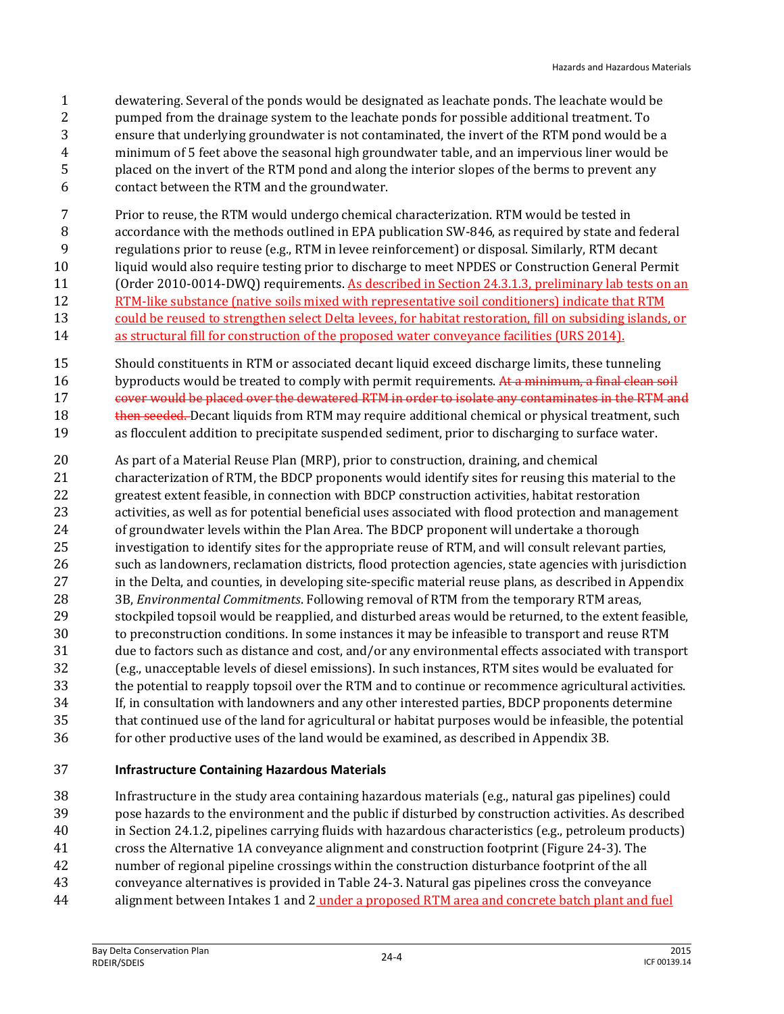- dewatering. Several of the ponds would be designated as leachate ponds. The leachate would be pumped from the drainage system to the leachate ponds for possible additional treatment. To ensure that underlying groundwater is not contaminated, the invert of the RTM pond would be a minimum of 5 feet above the seasonal high groundwater table, and an impervious liner would be placed on the invert of the RTM pond and along the interior slopes of the berms to prevent any contact between the RTM and the groundwater.
- Prior to reuse, the RTM would undergo chemical characterization. RTM would be tested in accordance with the methods outlined in EPA publication SW-846, as required by state and federal regulations prior to reuse (e.g., RTM in levee reinforcement) or disposal. Similarly, RTM decant liquid would also require testing prior to discharge to meet NPDES or Construction General Permit 11 (Order 2010-0014-DWQ) requirements. As described in Section 24.3.1.3, preliminary lab tests on an RTM-like substance (native soils mixed with representative soil conditioners) indicate that RTM could be reused to strengthen select Delta levees, for habitat restoration, fill on subsiding islands, or
- 14 as structural fill for construction of the proposed water conveyance facilities (URS 2014).
- Should constituents in RTM or associated decant liquid exceed discharge limits, these tunneling 16 byproducts would be treated to comply with permit requirements. At a minimum, a final clean soil 17 cover would be placed over the dewatered RTM in order to isolate any contaminates in the RTM and 18 then seeded. Decant liquids from RTM may require additional chemical or physical treatment, such as flocculent addition to precipitate suspended sediment, prior to discharging to surface water.
- As part of a Material Reuse Plan (MRP), prior to construction, draining, and chemical characterization of RTM, the BDCP proponents would identify sites for reusing this material to the greatest extent feasible, in connection with BDCP construction activities, habitat restoration activities, as well as for potential beneficial uses associated with flood protection and management of groundwater levels within the Plan Area. The BDCP proponent will undertake a thorough investigation to identify sites for the appropriate reuse of RTM, and will consult relevant parties, such as landowners, reclamation districts, flood protection agencies, state agencies with jurisdiction in the Delta, and counties, in developing site-specific material reuse plans, as described in Appendix 3B, *Environmental Commitments*. Following removal of RTM from the temporary RTM areas, stockpiled topsoil would be reapplied, and disturbed areas would be returned, to the extent feasible, to preconstruction conditions. In some instances it may be infeasible to transport and reuse RTM due to factors such as distance and cost, and/or any environmental effects associated with transport (e.g., unacceptable levels of diesel emissions). In such instances, RTM sites would be evaluated for the potential to reapply topsoil over the RTM and to continue or recommence agricultural activities. If, in consultation with landowners and any other interested parties, BDCP proponents determine that continued use of the land for agricultural or habitat purposes would be infeasible, the potential for other productive uses of the land would be examined, as described in Appendix 3B.

#### **Infrastructure Containing Hazardous Materials**

 Infrastructure in the study area containing hazardous materials (e.g., natural gas pipelines) could pose hazards to the environment and the public if disturbed by construction activities. As described in Section 24.1.2, pipelines carrying fluids with hazardous characteristics (e.g., petroleum products) cross the Alternative 1A conveyance alignment and construction footprint (Figure 24-3). The number of regional pipeline crossings within the construction disturbance footprint of the all conveyance alternatives is provided in Table 24-3. Natural gas pipelines cross the conveyance

44 alignment between Intakes 1 and 2 under a proposed RTM area and concrete batch plant and fuel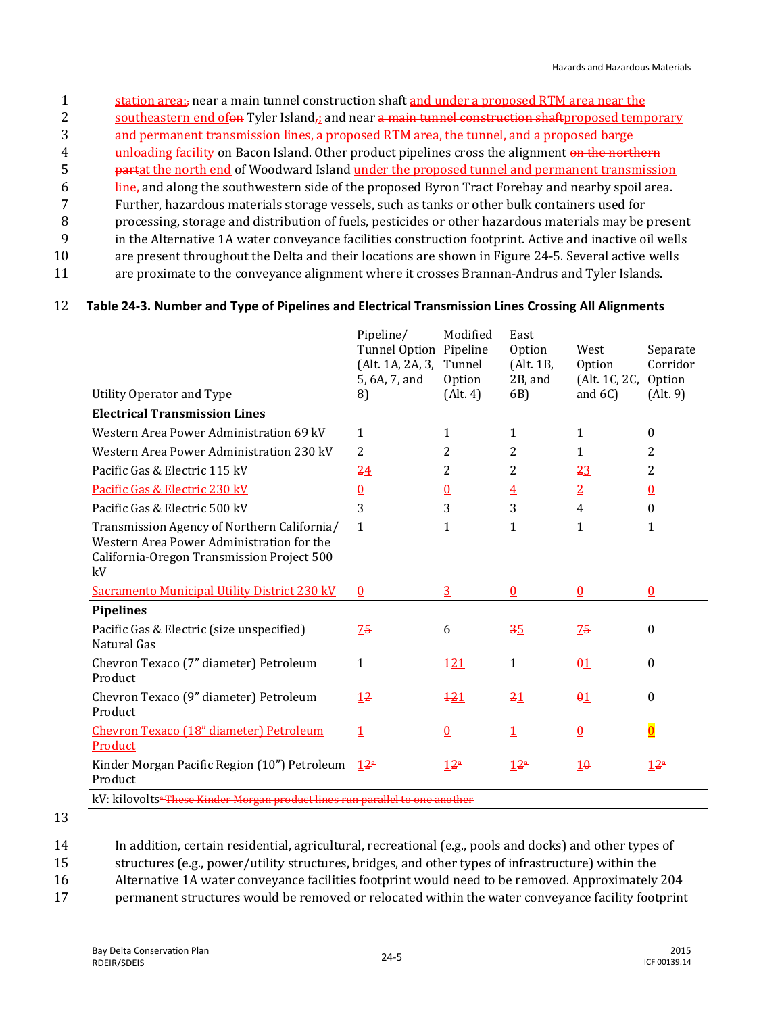- 1 station area; near a main tunnel construction shaft and under a proposed RTM area near the
- 2 southeastern end of a Tyler Island<sub>r</sub>; and near a main tunnel construction shaftproposed temporary
- 3 and permanent transmission lines, a proposed RTM area, the tunnel, and a proposed barge
- 4 unloading facility on Bacon Island. Other product pipelines cross the alignment on the northern
- 5 partat the north end of Woodward Island under the proposed tunnel and permanent transmission
- 6 line, and along the southwestern side of the proposed Byron Tract Forebay and nearby spoil area.
- 7 Further, hazardous materials storage vessels, such as tanks or other bulk containers used for
- 8 processing, storage and distribution of fuels, pesticides or other hazardous materials may be present
- 9 in the Alternative 1A water conveyance facilities construction footprint. Active and inactive oil wells
- 10 are present throughout the Delta and their locations are shown in Figure 24-5. Several active wells
- 11 are proximate to the conveyance alignment where it crosses Brannan-Andrus and Tyler Islands.

#### 12 **Table 24-3. Number and Type of Pipelines and Electrical Transmission Lines Crossing All Alignments**

|                                                                                                                                              | Pipeline/<br>Tunnel Option Pipeline<br>(Alt. 1A, 2A, 3,<br>5, 6A, 7, and | Modified<br>Tunnel<br>Option | East<br>Option<br>(Alt. 1B,<br>2B, and | West<br>Option<br>(Alt. 1C, 2C, | Separate<br>Corridor<br>Option |
|----------------------------------------------------------------------------------------------------------------------------------------------|--------------------------------------------------------------------------|------------------------------|----------------------------------------|---------------------------------|--------------------------------|
| Utility Operator and Type                                                                                                                    | 8)                                                                       | (Alt. 4)                     | 6B)                                    | and $6C$ )                      | (Alt. 9)                       |
| <b>Electrical Transmission Lines</b>                                                                                                         |                                                                          |                              |                                        |                                 |                                |
| Western Area Power Administration 69 kV                                                                                                      | $\mathbf{1}$                                                             | $\mathbf{1}$                 | $\mathbf{1}$                           | $\mathbf{1}$                    | $\boldsymbol{0}$               |
| Western Area Power Administration 230 kV                                                                                                     | $\overline{2}$                                                           | 2                            | 2                                      | $\mathbf{1}$                    | 2                              |
| Pacific Gas & Electric 115 kV                                                                                                                | 24                                                                       | 2                            | 2                                      | 23                              | 2                              |
| Pacific Gas & Electric 230 kV                                                                                                                | $\underline{0}$                                                          | $\underline{0}$              | $\overline{4}$                         | $\overline{2}$                  | $\underline{0}$                |
| Pacific Gas & Electric 500 kV                                                                                                                | 3                                                                        | 3                            | 3                                      | $\overline{4}$                  | $\Omega$                       |
| Transmission Agency of Northern California/<br>Western Area Power Administration for the<br>California-Oregon Transmission Project 500<br>kV | $\mathbf{1}$                                                             | 1                            | $\mathbf{1}$                           | 1                               | 1                              |
| <b>Sacramento Municipal Utility District 230 kV</b>                                                                                          | $\underline{0}$                                                          | $\overline{3}$               | $\underline{0}$                        | $\underline{0}$                 | 0                              |
| <b>Pipelines</b>                                                                                                                             |                                                                          |                              |                                        |                                 |                                |
| Pacific Gas & Electric (size unspecified)<br>Natural Gas                                                                                     | 75                                                                       | 6                            | 35                                     | 75                              | $\theta$                       |
| Chevron Texaco (7" diameter) Petroleum<br>Product                                                                                            | $\mathbf{1}$                                                             | 121                          | $\mathbf{1}$                           | $\theta$ <sup>1</sup>           | $\Omega$                       |
| Chevron Texaco (9" diameter) Petroleum<br>Product                                                                                            | 12                                                                       | 121                          | 21                                     | $\theta$ <sup>1</sup>           | $\boldsymbol{0}$               |
| Chevron Texaco (18" diameter) Petroleum<br>Product                                                                                           | $\overline{1}$                                                           | $\Omega$                     | $\overline{1}$                         | $\Omega$                        | $\overline{0}$                 |
| Kinder Morgan Pacific Region (10") Petroleum<br>Product                                                                                      | $12^a$                                                                   | 12 <sup>a</sup>              | 12 <sup>a</sup>                        | 10                              | 12a                            |
| kV: kilovolts <sup>a-</sup> These Kinder Morgan product lines run parallel to one another                                                    |                                                                          |                              |                                        |                                 |                                |

<sup>13</sup>

14 In addition, certain residential, agricultural, recreational (e.g., pools and docks) and other types of

15 structures (e.g., power/utility structures, bridges, and other types of infrastructure) within the

16 Alternative 1A water conveyance facilities footprint would need to be removed. Approximately 204

17 permanent structures would be removed or relocated within the water conveyance facility footprint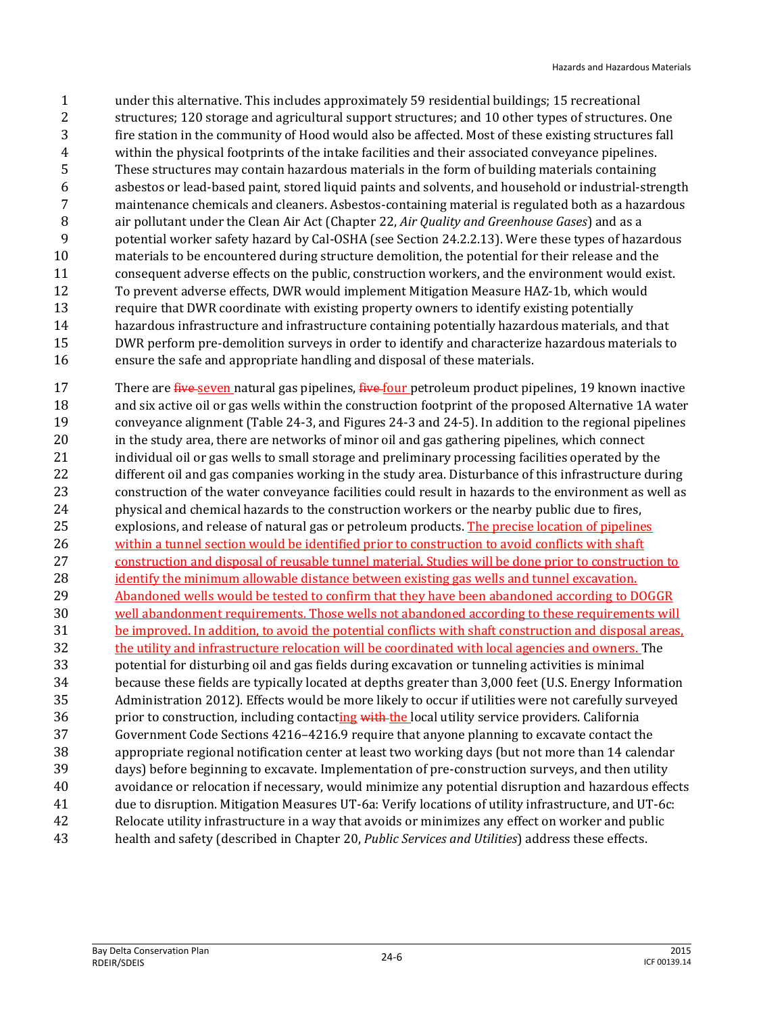under this alternative. This includes approximately 59 residential buildings; 15 recreational structures; 120 storage and agricultural support structures; and 10 other types of structures. One fire station in the community of Hood would also be affected. Most of these existing structures fall within the physical footprints of the intake facilities and their associated conveyance pipelines. These structures may contain hazardous materials in the form of building materials containing asbestos or lead-based paint, stored liquid paints and solvents, and household or industrial-strength maintenance chemicals and cleaners. Asbestos-containing material is regulated both as a hazardous air pollutant under the Clean Air Act (Chapter 22, *Air Quality and Greenhouse Gases*) and as a potential worker safety hazard by Cal-OSHA (see Section 24.2.2.13). Were these types of hazardous materials to be encountered during structure demolition, the potential for their release and the consequent adverse effects on the public, construction workers, and the environment would exist. To prevent adverse effects, DWR would implement Mitigation Measure HAZ-1b, which would 13 require that DWR coordinate with existing property owners to identify existing potentially hazardous infrastructure and infrastructure containing potentially hazardous materials, and that DWR perform pre-demolition surveys in order to identify and characterize hazardous materials to ensure the safe and appropriate handling and disposal of these materials.

17 There are five seven natural gas pipelines, five four petroleum product pipelines, 19 known inactive and six active oil or gas wells within the construction footprint of the proposed Alternative 1A water conveyance alignment (Table 24-3, and Figures 24-3 and 24-5). In addition to the regional pipelines in the study area, there are networks of minor oil and gas gathering pipelines, which connect 21 individual oil or gas wells to small storage and preliminary processing facilities operated by the different oil and gas companies working in the study area. Disturbance of this infrastructure during construction of the water conveyance facilities could result in hazards to the environment as well as physical and chemical hazards to the construction workers or the nearby public due to fires, explosions, and release of natural gas or petroleum products. The precise location of pipelines within a tunnel section would be identified prior to construction to avoid conflicts with shaft construction and disposal of reusable tunnel material. Studies will be done prior to construction to 28 identify the minimum allowable distance between existing gas wells and tunnel excavation. Abandoned wells would be tested to confirm that they have been abandoned according to DOGGR well abandonment requirements. Those wells not abandoned according to these requirements will be improved. In addition, to avoid the potential conflicts with shaft construction and disposal areas, the utility and infrastructure relocation will be coordinated with local agencies and owners. The potential for disturbing oil and gas fields during excavation or tunneling activities is minimal because these fields are typically located at depths greater than 3,000 feet (U.S. Energy Information Administration 2012). Effects would be more likely to occur if utilities were not carefully surveyed 36 prior to construction, including contacting with the local utility service providers. California Government Code Sections 4216–4216.9 require that anyone planning to excavate contact the appropriate regional notification center at least two working days (but not more than 14 calendar days) before beginning to excavate. Implementation of pre-construction surveys, and then utility avoidance or relocation if necessary, would minimize any potential disruption and hazardous effects due to disruption. Mitigation Measures UT-6a: Verify locations of utility infrastructure, and UT-6c: Relocate utility infrastructure in a way that avoids or minimizes any effect on worker and public health and safety (described in Chapter 20, *Public Services and Utilities*) address these effects.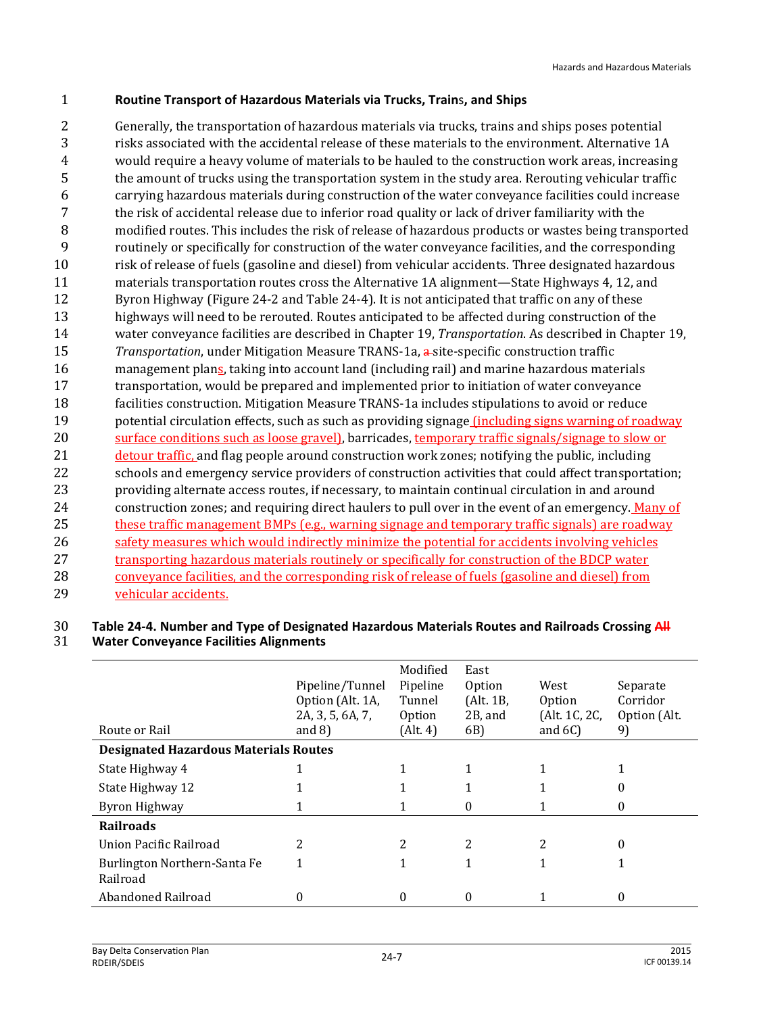#### 1 **Routine Transport of Hazardous Materials via Trucks, Train**s**, and Ships**

 Generally, the transportation of hazardous materials via trucks, trains and ships poses potential risks associated with the accidental release of these materials to the environment. Alternative 1A would require a heavy volume of materials to be hauled to the construction work areas, increasing the amount of trucks using the transportation system in the study area. Rerouting vehicular traffic carrying hazardous materials during construction of the water conveyance facilities could increase the risk of accidental release due to inferior road quality or lack of driver familiarity with the modified routes. This includes the risk of release of hazardous products or wastes being transported routinely or specifically for construction of the water conveyance facilities, and the corresponding risk of release of fuels (gasoline and diesel) from vehicular accidents. Three designated hazardous materials transportation routes cross the Alternative 1A alignment—State Highways 4, 12, and Byron Highway (Figure 24-2 and Table 24-4). It is not anticipated that traffic on any of these highways will need to be rerouted. Routes anticipated to be affected during construction of the water conveyance facilities are described in Chapter 19, *Transportation*. As described in Chapter 19, *Transportation*, under Mitigation Measure TRANS-1a, a-site-specific construction traffic 16 management plans, taking into account land (including rail) and marine hazardous materials transportation, would be prepared and implemented prior to initiation of water conveyance facilities construction. Mitigation Measure TRANS-1a includes stipulations to avoid or reduce potential circulation effects, such as such as providing signage (including signs warning of roadway surface conditions such as loose gravel), barricades, temporary traffic signals/signage to slow or detour traffic, and flag people around construction work zones; notifying the public, including schools and emergency service providers of construction activities that could affect transportation; providing alternate access routes, if necessary, to maintain continual circulation in and around construction zones; and requiring direct haulers to pull over in the event of an emergency. Many of these traffic management BMPs (e.g., warning signage and temporary traffic signals) are roadway safety measures which would indirectly minimize the potential for accidents involving vehicles 27 transporting hazardous materials routinely or specifically for construction of the BDCP water conveyance facilities, and the corresponding risk of release of fuels (gasoline and diesel) from vehicular accidents.

#### 30 **Table 24-4. Number and Type of Designated Hazardous Materials Routes and Railroads Crossing All**

31 **Water Conveyance Facilities Alignments**

| Route or Rail                                | Pipeline/Tunnel<br>Option (Alt. 1A,<br>2A, 3, 5, 6A, 7,<br>and $8)$ | Modified<br>Pipeline<br>Tunnel<br>Option<br>(Alt. 4) | East<br><b>Option</b><br>(Alt. 1B,<br>2B, and<br>6B) | West<br>Option<br>(Alt. 1C, 2C,<br>and $6C$ ) | Separate<br>Corridor<br>Option (Alt.<br>9) |
|----------------------------------------------|---------------------------------------------------------------------|------------------------------------------------------|------------------------------------------------------|-----------------------------------------------|--------------------------------------------|
| <b>Designated Hazardous Materials Routes</b> |                                                                     |                                                      |                                                      |                                               |                                            |
| State Highway 4                              |                                                                     |                                                      |                                                      |                                               |                                            |
| State Highway 12                             |                                                                     |                                                      |                                                      |                                               | $\theta$                                   |
| Byron Highway                                |                                                                     |                                                      | 0                                                    |                                               | $\theta$                                   |
| <b>Railroads</b>                             |                                                                     |                                                      |                                                      |                                               |                                            |
| Union Pacific Railroad                       | 2                                                                   | 2                                                    | 2                                                    | 2                                             | 0                                          |
| Burlington Northern-Santa Fe<br>Railroad     |                                                                     |                                                      |                                                      |                                               |                                            |
| Abandoned Railroad                           |                                                                     | 0                                                    | 0                                                    |                                               | 0                                          |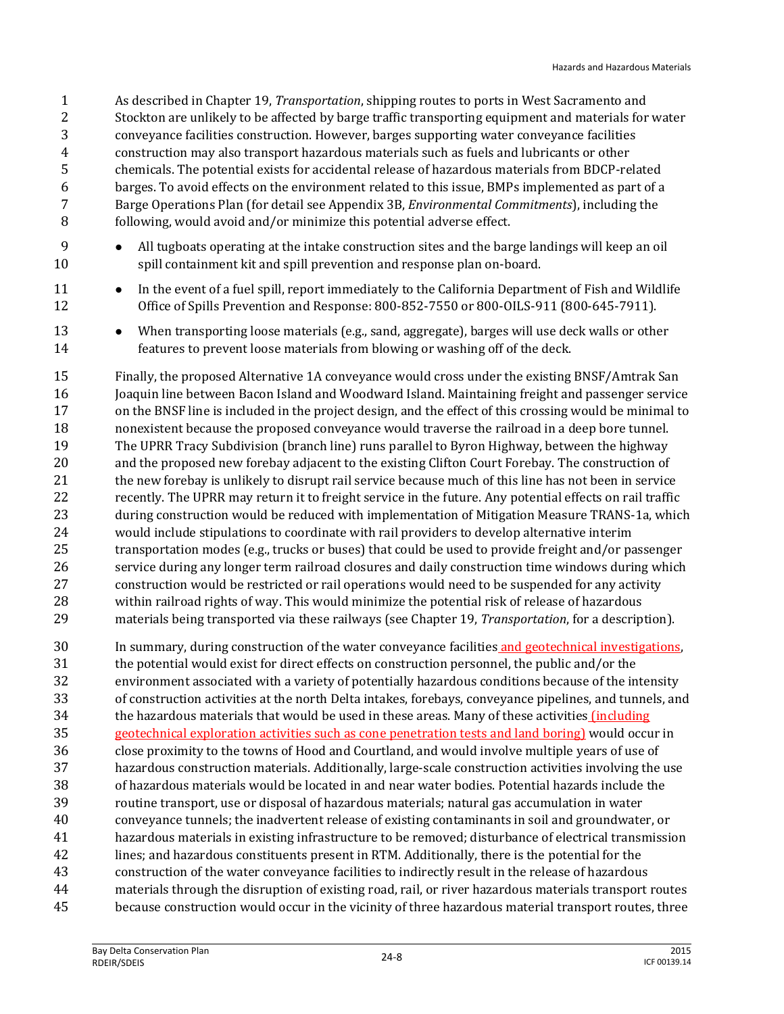As described in Chapter 19, *Transportation*, shipping routes to ports in West Sacramento and Stockton are unlikely to be affected by barge traffic transporting equipment and materials for water conveyance facilities construction. However, barges supporting water conveyance facilities construction may also transport hazardous materials such as fuels and lubricants or other chemicals. The potential exists for accidental release of hazardous materials from BDCP-related barges. To avoid effects on the environment related to this issue, BMPs implemented as part of a Barge Operations Plan (for detail see Appendix 3B, *Environmental Commitments*), including the following, would avoid and/or minimize this potential adverse effect.

- 9 All tugboats operating at the intake construction sites and the barge landings will keep an oil spill containment kit and spill prevention and response plan on-board.
- 11 In the event of a fuel spill, report immediately to the California Department of Fish and Wildlife Office of Spills Prevention and Response: 800-852-7550 or 800-OILS-911 (800-645-7911).
- 13 When transporting loose materials (e.g., sand, aggregate), barges will use deck walls or other features to prevent loose materials from blowing or washing off of the deck.
- Finally, the proposed Alternative 1A conveyance would cross under the existing BNSF/Amtrak San Joaquin line between Bacon Island and Woodward Island. Maintaining freight and passenger service on the BNSF line is included in the project design, and the effect of this crossing would be minimal to nonexistent because the proposed conveyance would traverse the railroad in a deep bore tunnel. The UPRR Tracy Subdivision (branch line) runs parallel to Byron Highway, between the highway and the proposed new forebay adjacent to the existing Clifton Court Forebay. The construction of 21 the new forebay is unlikely to disrupt rail service because much of this line has not been in service recently. The UPRR may return it to freight service in the future. Any potential effects on rail traffic during construction would be reduced with implementation of Mitigation Measure TRANS-1a, which would include stipulations to coordinate with rail providers to develop alternative interim transportation modes (e.g., trucks or buses) that could be used to provide freight and/or passenger service during any longer term railroad closures and daily construction time windows during which construction would be restricted or rail operations would need to be suspended for any activity within railroad rights of way. This would minimize the potential risk of release of hazardous materials being transported via these railways (see Chapter 19, *Transportation*, for a description).
- In summary, during construction of the water conveyance facilities and geotechnical investigations, the potential would exist for direct effects on construction personnel, the public and/or the environment associated with a variety of potentially hazardous conditions because of the intensity of construction activities at the north Delta intakes, forebays, conveyance pipelines, and tunnels, and the hazardous materials that would be used in these areas. Many of these activities (including geotechnical exploration activities such as cone penetration tests and land boring) would occur in close proximity to the towns of Hood and Courtland, and would involve multiple years of use of hazardous construction materials. Additionally, large-scale construction activities involving the use of hazardous materials would be located in and near water bodies. Potential hazards include the routine transport, use or disposal of hazardous materials; natural gas accumulation in water conveyance tunnels; the inadvertent release of existing contaminants in soil and groundwater, or hazardous materials in existing infrastructure to be removed; disturbance of electrical transmission lines; and hazardous constituents present in RTM. Additionally, there is the potential for the construction of the water conveyance facilities to indirectly result in the release of hazardous materials through the disruption of existing road, rail, or river hazardous materials transport routes because construction would occur in the vicinity of three hazardous material transport routes, three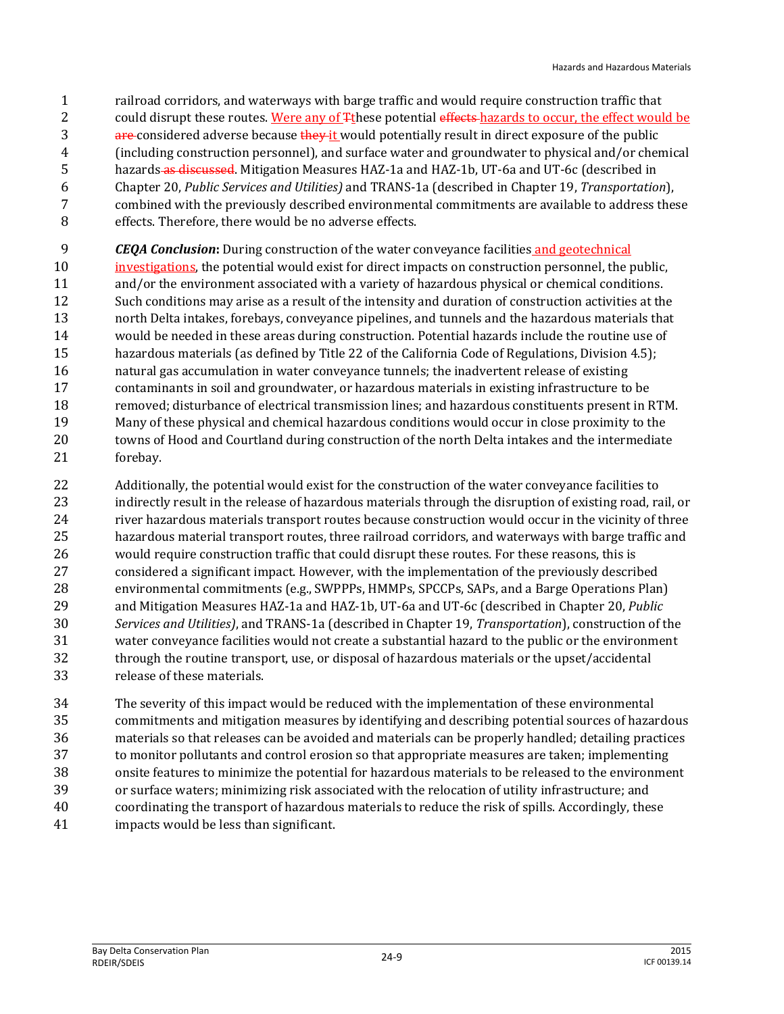- railroad corridors, and waterways with barge traffic and would require construction traffic that
- 2 could disrupt these routes. Were any of  $\frac{1}{2}$  these potential effects-hazards to occur, the effect would be
- 3 are considered adverse because they it would potentially result in direct exposure of the public
- (including construction personnel), and surface water and groundwater to physical and/or chemical
- 5 hazards as discussed. Mitigation Measures HAZ-1a and HAZ-1b, UT-6a and UT-6c (described in
- Chapter 20, *Public Services and Utilities)* and TRANS-1a (described in Chapter 19, *Transportation*), combined with the previously described environmental commitments are available to address these
- effects. Therefore, there would be no adverse effects.
- *CEQA Conclusion***:** During construction of the water conveyance facilities and geotechnical
- investigations, the potential would exist for direct impacts on construction personnel, the public, and/or the environment associated with a variety of hazardous physical or chemical conditions. Such conditions may arise as a result of the intensity and duration of construction activities at the north Delta intakes, forebays, conveyance pipelines, and tunnels and the hazardous materials that would be needed in these areas during construction. Potential hazards include the routine use of hazardous materials (as defined by Title 22 of the California Code of Regulations, Division 4.5); natural gas accumulation in water conveyance tunnels; the inadvertent release of existing contaminants in soil and groundwater, or hazardous materials in existing infrastructure to be removed; disturbance of electrical transmission lines; and hazardous constituents present in RTM. Many of these physical and chemical hazardous conditions would occur in close proximity to the towns of Hood and Courtland during construction of the north Delta intakes and the intermediate forebay.
- Additionally, the potential would exist for the construction of the water conveyance facilities to indirectly result in the release of hazardous materials through the disruption of existing road, rail, or river hazardous materials transport routes because construction would occur in the vicinity of three hazardous material transport routes, three railroad corridors, and waterways with barge traffic and would require construction traffic that could disrupt these routes. For these reasons, this is considered a significant impact. However, with the implementation of the previously described environmental commitments (e.g., SWPPPs, HMMPs, SPCCPs, SAPs, and a Barge Operations Plan) and Mitigation Measures HAZ-1a and HAZ-1b, UT-6a and UT-6c (described in Chapter 20, *Public Services and Utilities)*, and TRANS-1a (described in Chapter 19, *Transportation*), construction of the water conveyance facilities would not create a substantial hazard to the public or the environment through the routine transport, use, or disposal of hazardous materials or the upset/accidental release of these materials.
- The severity of this impact would be reduced with the implementation of these environmental commitments and mitigation measures by identifying and describing potential sources of hazardous materials so that releases can be avoided and materials can be properly handled; detailing practices to monitor pollutants and control erosion so that appropriate measures are taken; implementing onsite features to minimize the potential for hazardous materials to be released to the environment or surface waters; minimizing risk associated with the relocation of utility infrastructure; and coordinating the transport of hazardous materials to reduce the risk of spills. Accordingly, these impacts would be less than significant.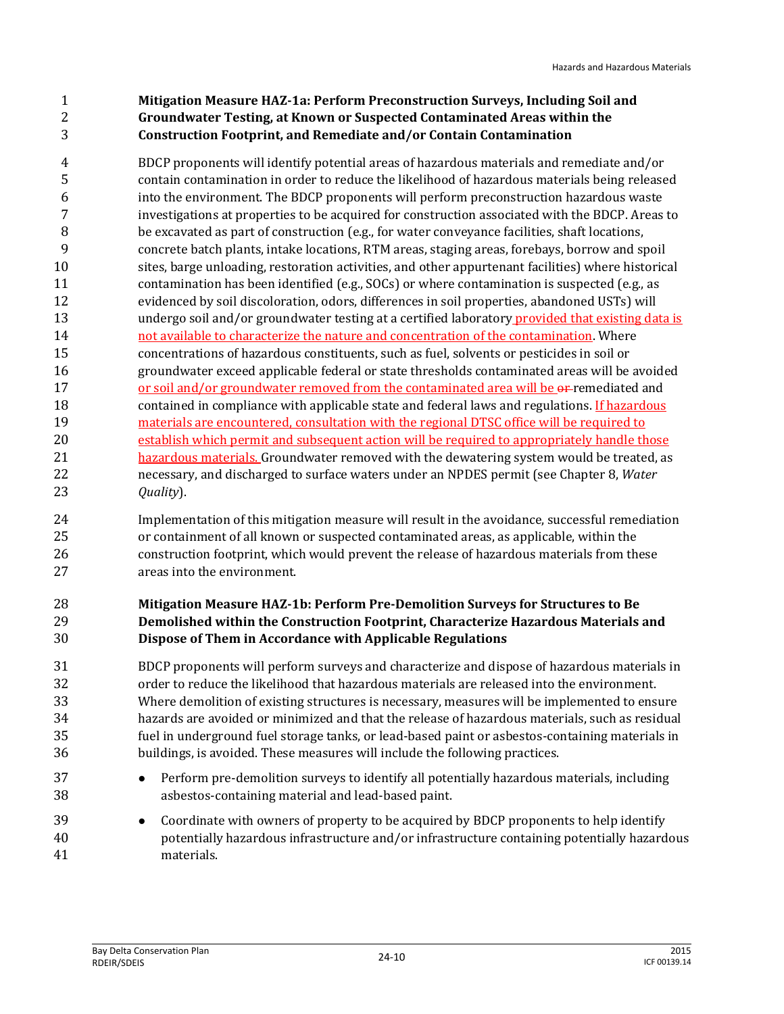#### **Mitigation Measure HAZ-1a: Perform Preconstruction Surveys, Including Soil and Groundwater Testing, at Known or Suspected Contaminated Areas within the Construction Footprint, and Remediate and/or Contain Contamination**

 BDCP proponents will identify potential areas of hazardous materials and remediate and/or contain contamination in order to reduce the likelihood of hazardous materials being released into the environment. The BDCP proponents will perform preconstruction hazardous waste investigations at properties to be acquired for construction associated with the BDCP. Areas to be excavated as part of construction (e.g., for water conveyance facilities, shaft locations, concrete batch plants, intake locations, RTM areas, staging areas, forebays, borrow and spoil sites, barge unloading, restoration activities, and other appurtenant facilities) where historical contamination has been identified (e.g., SOCs) or where contamination is suspected (e.g., as evidenced by soil discoloration, odors, differences in soil properties, abandoned USTs) will 13 undergo soil and/or groundwater testing at a certified laboratory provided that existing data is not available to characterize the nature and concentration of the contamination. Where concentrations of hazardous constituents, such as fuel, solvents or pesticides in soil or groundwater exceed applicable federal or state thresholds contaminated areas will be avoided 17 or soil and/or groundwater removed from the contaminated area will be or-remediated and 18 contained in compliance with applicable state and federal laws and regulations. If hazardous 19 materials are encountered, consultation with the regional DTSC office will be required to establish which permit and subsequent action will be required to appropriately handle those 21 hazardous materials. Groundwater removed with the dewatering system would be treated, as necessary, and discharged to surface waters under an NPDES permit (see Chapter 8, *Water Quality*).

 Implementation of this mitigation measure will result in the avoidance, successful remediation or containment of all known or suspected contaminated areas, as applicable, within the construction footprint, which would prevent the release of hazardous materials from these areas into the environment.

#### **Mitigation Measure HAZ-1b: Perform Pre-Demolition Surveys for Structures to Be Demolished within the Construction Footprint, Characterize Hazardous Materials and Dispose of Them in Accordance with Applicable Regulations**

 BDCP proponents will perform surveys and characterize and dispose of hazardous materials in order to reduce the likelihood that hazardous materials are released into the environment. Where demolition of existing structures is necessary, measures will be implemented to ensure hazards are avoided or minimized and that the release of hazardous materials, such as residual fuel in underground fuel storage tanks, or lead-based paint or asbestos-containing materials in buildings, is avoided. These measures will include the following practices.

- **••** Perform pre-demolition surveys to identify all potentially hazardous materials, including asbestos-containing material and lead-based paint.
- Coordinate with owners of property to be acquired by BDCP proponents to help identify potentially hazardous infrastructure and/or infrastructure containing potentially hazardous materials.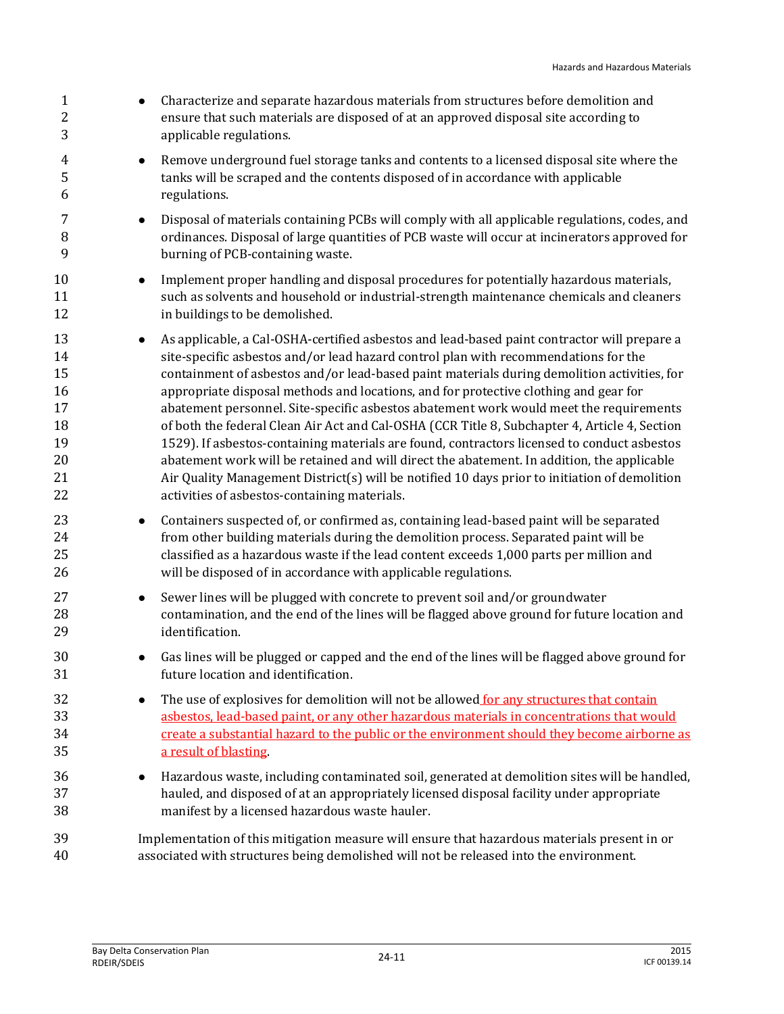| $\mathbf{1}$<br>$\sqrt{2}$<br>3                          | Characterize and separate hazardous materials from structures before demolition and<br>ensure that such materials are disposed of at an approved disposal site according to<br>applicable regulations.                                                                                                                                                                                                                                                                                                                                                                                                                                                                                                                                                                                                                                                                                                                          |
|----------------------------------------------------------|---------------------------------------------------------------------------------------------------------------------------------------------------------------------------------------------------------------------------------------------------------------------------------------------------------------------------------------------------------------------------------------------------------------------------------------------------------------------------------------------------------------------------------------------------------------------------------------------------------------------------------------------------------------------------------------------------------------------------------------------------------------------------------------------------------------------------------------------------------------------------------------------------------------------------------|
| 4<br>5<br>6                                              | Remove underground fuel storage tanks and contents to a licensed disposal site where the<br>$\bullet$<br>tanks will be scraped and the contents disposed of in accordance with applicable<br>regulations.                                                                                                                                                                                                                                                                                                                                                                                                                                                                                                                                                                                                                                                                                                                       |
| 7<br>8<br>9                                              | Disposal of materials containing PCBs will comply with all applicable regulations, codes, and<br>$\bullet$<br>ordinances. Disposal of large quantities of PCB waste will occur at incinerators approved for<br>burning of PCB-containing waste.                                                                                                                                                                                                                                                                                                                                                                                                                                                                                                                                                                                                                                                                                 |
| 10<br>11<br>12                                           | Implement proper handling and disposal procedures for potentially hazardous materials,<br>$\bullet$<br>such as solvents and household or industrial-strength maintenance chemicals and cleaners<br>in buildings to be demolished.                                                                                                                                                                                                                                                                                                                                                                                                                                                                                                                                                                                                                                                                                               |
| 13<br>14<br>15<br>16<br>17<br>18<br>19<br>20<br>21<br>22 | As applicable, a Cal-OSHA-certified asbestos and lead-based paint contractor will prepare a<br>$\bullet$<br>site-specific asbestos and/or lead hazard control plan with recommendations for the<br>containment of asbestos and/or lead-based paint materials during demolition activities, for<br>appropriate disposal methods and locations, and for protective clothing and gear for<br>abatement personnel. Site-specific asbestos abatement work would meet the requirements<br>of both the federal Clean Air Act and Cal-OSHA (CCR Title 8, Subchapter 4, Article 4, Section<br>1529). If asbestos-containing materials are found, contractors licensed to conduct asbestos<br>abatement work will be retained and will direct the abatement. In addition, the applicable<br>Air Quality Management District(s) will be notified 10 days prior to initiation of demolition<br>activities of asbestos-containing materials. |
| 23<br>24<br>25<br>26                                     | Containers suspected of, or confirmed as, containing lead-based paint will be separated<br>$\bullet$<br>from other building materials during the demolition process. Separated paint will be<br>classified as a hazardous waste if the lead content exceeds 1,000 parts per million and<br>will be disposed of in accordance with applicable regulations.                                                                                                                                                                                                                                                                                                                                                                                                                                                                                                                                                                       |
| 27<br>28<br>29                                           | Sewer lines will be plugged with concrete to prevent soil and/or groundwater<br>$\bullet$<br>contamination, and the end of the lines will be flagged above ground for future location and<br>identification.                                                                                                                                                                                                                                                                                                                                                                                                                                                                                                                                                                                                                                                                                                                    |
| 30<br>31                                                 | Gas lines will be plugged or capped and the end of the lines will be flagged above ground for<br>future location and identification.                                                                                                                                                                                                                                                                                                                                                                                                                                                                                                                                                                                                                                                                                                                                                                                            |
| 32<br>33<br>34<br>35                                     | The use of explosives for demolition will not be allowed for any structures that contain<br>asbestos, lead-based paint, or any other hazardous materials in concentrations that would<br>create a substantial hazard to the public or the environment should they become airborne as<br>a result of blasting                                                                                                                                                                                                                                                                                                                                                                                                                                                                                                                                                                                                                    |
| 36<br>37<br>38                                           | Hazardous waste, including contaminated soil, generated at demolition sites will be handled,<br>hauled, and disposed of at an appropriately licensed disposal facility under appropriate<br>manifest by a licensed hazardous waste hauler.                                                                                                                                                                                                                                                                                                                                                                                                                                                                                                                                                                                                                                                                                      |
| 39<br>40                                                 | Implementation of this mitigation measure will ensure that hazardous materials present in or<br>associated with structures being demolished will not be released into the environment.                                                                                                                                                                                                                                                                                                                                                                                                                                                                                                                                                                                                                                                                                                                                          |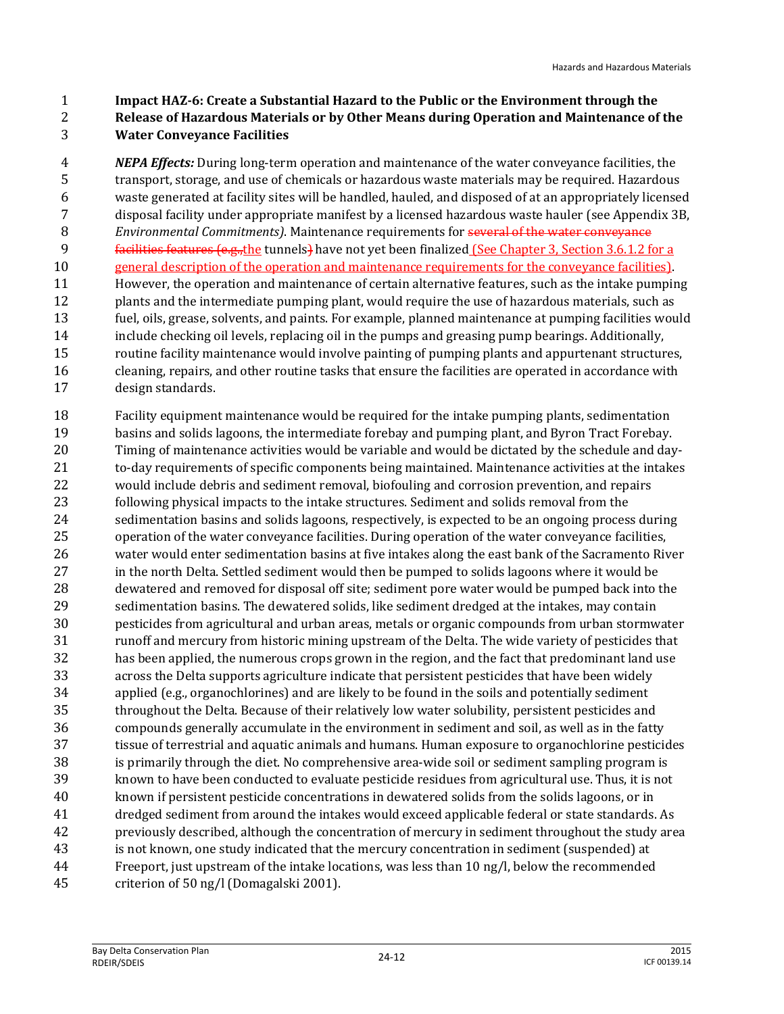**Impact HAZ-6: Create a Substantial Hazard to the Public or the Environment through the**

#### **Release of Hazardous Materials or by Other Means during Operation and Maintenance of the Water Conveyance Facilities**

 *NEPA Effects:* During long-term operation and maintenance of the water conveyance facilities, the transport, storage, and use of chemicals or hazardous waste materials may be required. Hazardous waste generated at facility sites will be handled, hauled, and disposed of at an appropriately licensed disposal facility under appropriate manifest by a licensed hazardous waste hauler (see Appendix 3B, *Environmental Commitments)*. Maintenance requirements for several of the water conveyance facilities features (e.g.,the tunnels) have not yet been finalized (See Chapter 3, Section 3.6.1.2 for a general description of the operation and maintenance requirements for the conveyance facilities). However, the operation and maintenance of certain alternative features, such as the intake pumping plants and the intermediate pumping plant, would require the use of hazardous materials, such as fuel, oils, grease, solvents, and paints. For example, planned maintenance at pumping facilities would include checking oil levels, replacing oil in the pumps and greasing pump bearings. Additionally, routine facility maintenance would involve painting of pumping plants and appurtenant structures, cleaning, repairs, and other routine tasks that ensure the facilities are operated in accordance with design standards.

 Facility equipment maintenance would be required for the intake pumping plants, sedimentation basins and solids lagoons, the intermediate forebay and pumping plant, and Byron Tract Forebay. Timing of maintenance activities would be variable and would be dictated by the schedule and day- to-day requirements of specific components being maintained. Maintenance activities at the intakes would include debris and sediment removal, biofouling and corrosion prevention, and repairs following physical impacts to the intake structures. Sediment and solids removal from the sedimentation basins and solids lagoons, respectively, is expected to be an ongoing process during operation of the water conveyance facilities. During operation of the water conveyance facilities, water would enter sedimentation basins at five intakes along the east bank of the Sacramento River in the north Delta. Settled sediment would then be pumped to solids lagoons where it would be dewatered and removed for disposal off site; sediment pore water would be pumped back into the sedimentation basins. The dewatered solids, like sediment dredged at the intakes, may contain pesticides from agricultural and urban areas, metals or organic compounds from urban stormwater runoff and mercury from historic mining upstream of the Delta. The wide variety of pesticides that has been applied, the numerous crops grown in the region, and the fact that predominant land use across the Delta supports agriculture indicate that persistent pesticides that have been widely applied (e.g., organochlorines) and are likely to be found in the soils and potentially sediment throughout the Delta. Because of their relatively low water solubility, persistent pesticides and compounds generally accumulate in the environment in sediment and soil, as well as in the fatty tissue of terrestrial and aquatic animals and humans. Human exposure to organochlorine pesticides is primarily through the diet. No comprehensive area-wide soil or sediment sampling program is known to have been conducted to evaluate pesticide residues from agricultural use. Thus, it is not known if persistent pesticide concentrations in dewatered solids from the solids lagoons, or in dredged sediment from around the intakes would exceed applicable federal or state standards. As previously described, although the concentration of mercury in sediment throughout the study area is not known, one study indicated that the mercury concentration in sediment (suspended) at Freeport, just upstream of the intake locations, was less than 10 ng/l, below the recommended criterion of 50 ng/l (Domagalski 2001).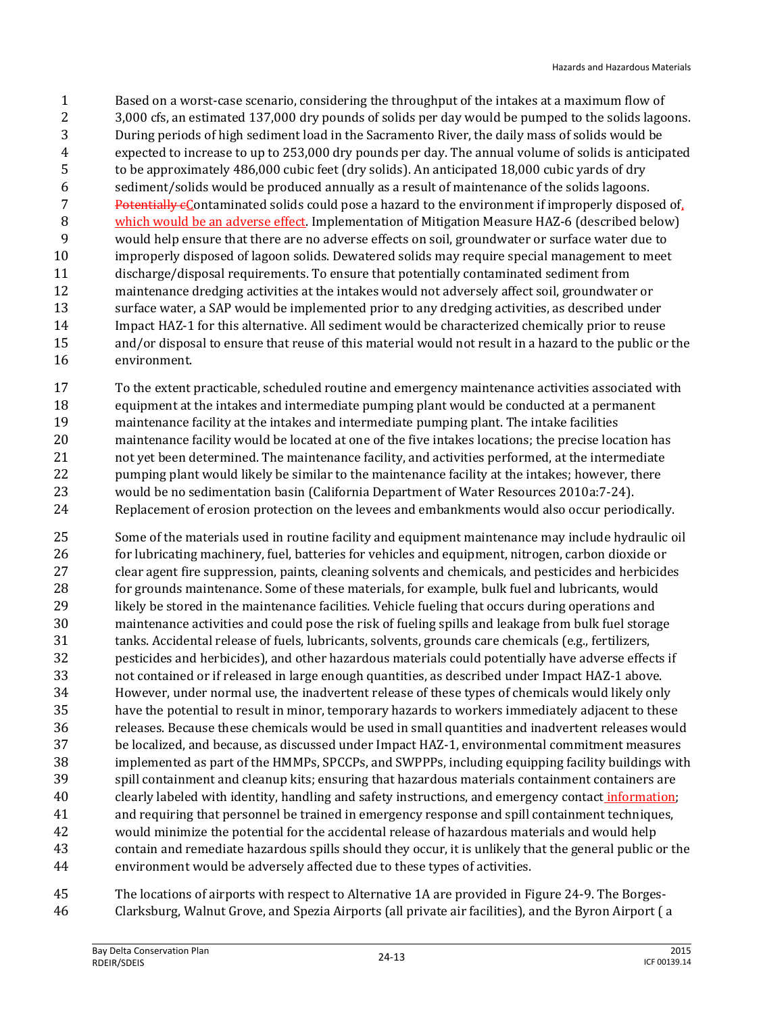Based on a worst-case scenario, considering the throughput of the intakes at a maximum flow of 3,000 cfs, an estimated 137,000 dry pounds of solids per day would be pumped to the solids lagoons. During periods of high sediment load in the Sacramento River, the daily mass of solids would be expected to increase to up to 253,000 dry pounds per day. The annual volume of solids is anticipated to be approximately 486,000 cubic feet (dry solids). An anticipated 18,000 cubic yards of dry sediment/solids would be produced annually as a result of maintenance of the solids lagoons. 7 Potentially  $\epsilon$ Contaminated solids could pose a hazard to the environment if improperly disposed of, 8 which would be an adverse effect. Implementation of Mitigation Measure HAZ-6 (described below) would help ensure that there are no adverse effects on soil, groundwater or surface water due to improperly disposed of lagoon solids. Dewatered solids may require special management to meet discharge/disposal requirements. To ensure that potentially contaminated sediment from maintenance dredging activities at the intakes would not adversely affect soil, groundwater or surface water, a SAP would be implemented prior to any dredging activities, as described under Impact HAZ-1 for this alternative. All sediment would be characterized chemically prior to reuse and/or disposal to ensure that reuse of this material would not result in a hazard to the public or the environment.

 To the extent practicable, scheduled routine and emergency maintenance activities associated with equipment at the intakes and intermediate pumping plant would be conducted at a permanent maintenance facility at the intakes and intermediate pumping plant. The intake facilities maintenance facility would be located at one of the five intakes locations; the precise location has not yet been determined. The maintenance facility, and activities performed, at the intermediate 22 pumping plant would likely be similar to the maintenance facility at the intakes; however, there would be no sedimentation basin (California Department of Water Resources 2010a:7-24). Replacement of erosion protection on the levees and embankments would also occur periodically.

 Some of the materials used in routine facility and equipment maintenance may include hydraulic oil for lubricating machinery, fuel, batteries for vehicles and equipment, nitrogen, carbon dioxide or clear agent fire suppression, paints, cleaning solvents and chemicals, and pesticides and herbicides for grounds maintenance. Some of these materials, for example, bulk fuel and lubricants, would likely be stored in the maintenance facilities. Vehicle fueling that occurs during operations and maintenance activities and could pose the risk of fueling spills and leakage from bulk fuel storage tanks. Accidental release of fuels, lubricants, solvents, grounds care chemicals (e.g., fertilizers, pesticides and herbicides), and other hazardous materials could potentially have adverse effects if not contained or if released in large enough quantities, as described under Impact HAZ-1 above. However, under normal use, the inadvertent release of these types of chemicals would likely only have the potential to result in minor, temporary hazards to workers immediately adjacent to these releases. Because these chemicals would be used in small quantities and inadvertent releases would be localized, and because, as discussed under Impact HAZ-1, environmental commitment measures implemented as part of the HMMPs, SPCCPs, and SWPPPs, including equipping facility buildings with spill containment and cleanup kits; ensuring that hazardous materials containment containers are 40 clearly labeled with identity, handling and safety instructions, and emergency contact information; and requiring that personnel be trained in emergency response and spill containment techniques, would minimize the potential for the accidental release of hazardous materials and would help contain and remediate hazardous spills should they occur, it is unlikely that the general public or the environment would be adversely affected due to these types of activities.

 The locations of airports with respect to Alternative 1A are provided in Figure 24-9. The Borges-Clarksburg, Walnut Grove, and Spezia Airports (all private air facilities), and the Byron Airport ( a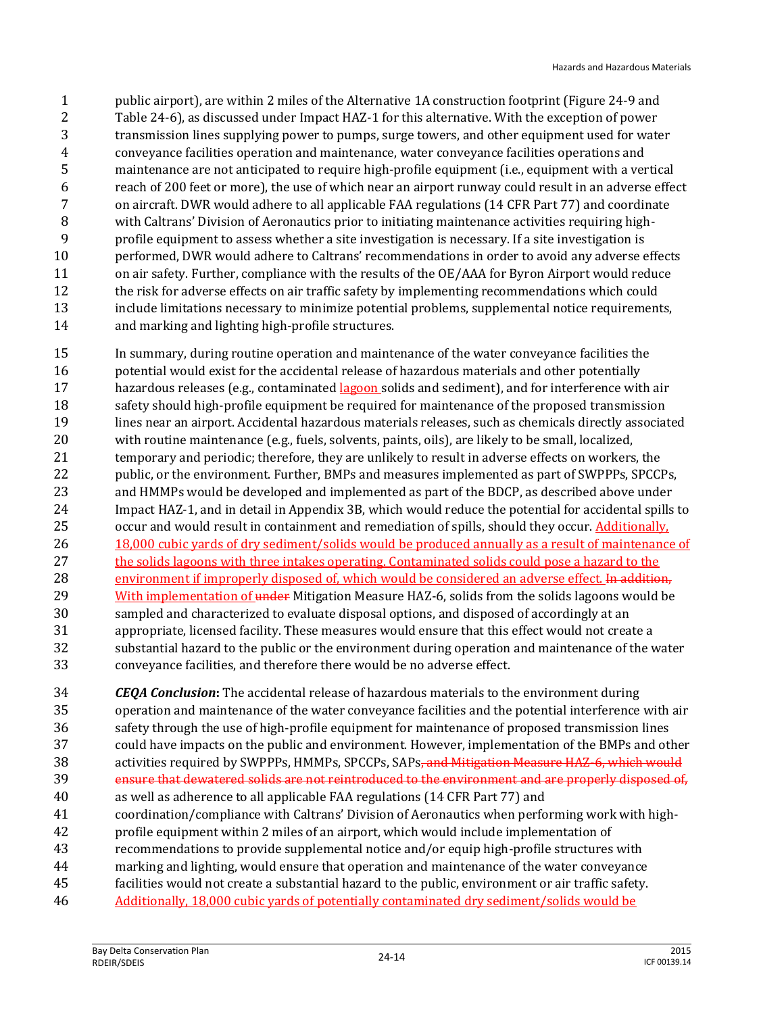public airport), are within 2 miles of the Alternative 1A construction footprint (Figure 24-9 and Table 24-6), as discussed under Impact HAZ-1 for this alternative. With the exception of power transmission lines supplying power to pumps, surge towers, and other equipment used for water conveyance facilities operation and maintenance, water conveyance facilities operations and maintenance are not anticipated to require high-profile equipment (i.e., equipment with a vertical reach of 200 feet or more), the use of which near an airport runway could result in an adverse effect on aircraft. DWR would adhere to all applicable FAA regulations (14 CFR Part 77) and coordinate with Caltrans' Division of Aeronautics prior to initiating maintenance activities requiring high- profile equipment to assess whether a site investigation is necessary. If a site investigation is performed, DWR would adhere to Caltrans' recommendations in order to avoid any adverse effects 11 on air safety. Further, compliance with the results of the OE/AAA for Byron Airport would reduce the risk for adverse effects on air traffic safety by implementing recommendations which could include limitations necessary to minimize potential problems, supplemental notice requirements, and marking and lighting high-profile structures.

 In summary, during routine operation and maintenance of the water conveyance facilities the 16 potential would exist for the accidental release of hazardous materials and other potentially 17 hazardous releases (e.g., contaminated lagoon solids and sediment), and for interference with air safety should high-profile equipment be required for maintenance of the proposed transmission lines near an airport. Accidental hazardous materials releases, such as chemicals directly associated with routine maintenance (e.g., fuels, solvents, paints, oils), are likely to be small, localized, temporary and periodic; therefore, they are unlikely to result in adverse effects on workers, the public, or the environment. Further, BMPs and measures implemented as part of SWPPPs, SPCCPs, and HMMPs would be developed and implemented as part of the BDCP, as described above under Impact HAZ-1, and in detail in Appendix 3B, which would reduce the potential for accidental spills to occur and would result in containment and remediation of spills, should they occur. Additionally, 26 18,000 cubic yards of dry sediment/solids would be produced annually as a result of maintenance of the solids lagoons with three intakes operating. Contaminated solids could pose a hazard to the 28 environment if improperly disposed of, which would be considered an adverse effect. In addition, 29 With implementation of under Mitigation Measure HAZ-6, solids from the solids lagoons would be sampled and characterized to evaluate disposal options, and disposed of accordingly at an appropriate, licensed facility. These measures would ensure that this effect would not create a substantial hazard to the public or the environment during operation and maintenance of the water conveyance facilities, and therefore there would be no adverse effect.

 *CEQA Conclusion***:** The accidental release of hazardous materials to the environment during operation and maintenance of the water conveyance facilities and the potential interference with air safety through the use of high-profile equipment for maintenance of proposed transmission lines could have impacts on the public and environment. However, implementation of the BMPs and other 38 activities required by SWPPPs, HMMPs, SPCCPs, SAPs<del>, and Mitigation Measure HAZ-6, which would</del> ensure that dewatered solids are not reintroduced to the environment and are properly disposed of, as well as adherence to all applicable FAA regulations (14 CFR Part 77) and coordination/compliance with Caltrans' Division of Aeronautics when performing work with high- profile equipment within 2 miles of an airport, which would include implementation of recommendations to provide supplemental notice and/or equip high-profile structures with marking and lighting, would ensure that operation and maintenance of the water conveyance facilities would not create a substantial hazard to the public, environment or air traffic safety.

Additionally, 18,000 cubic yards of potentially contaminated dry sediment/solids would be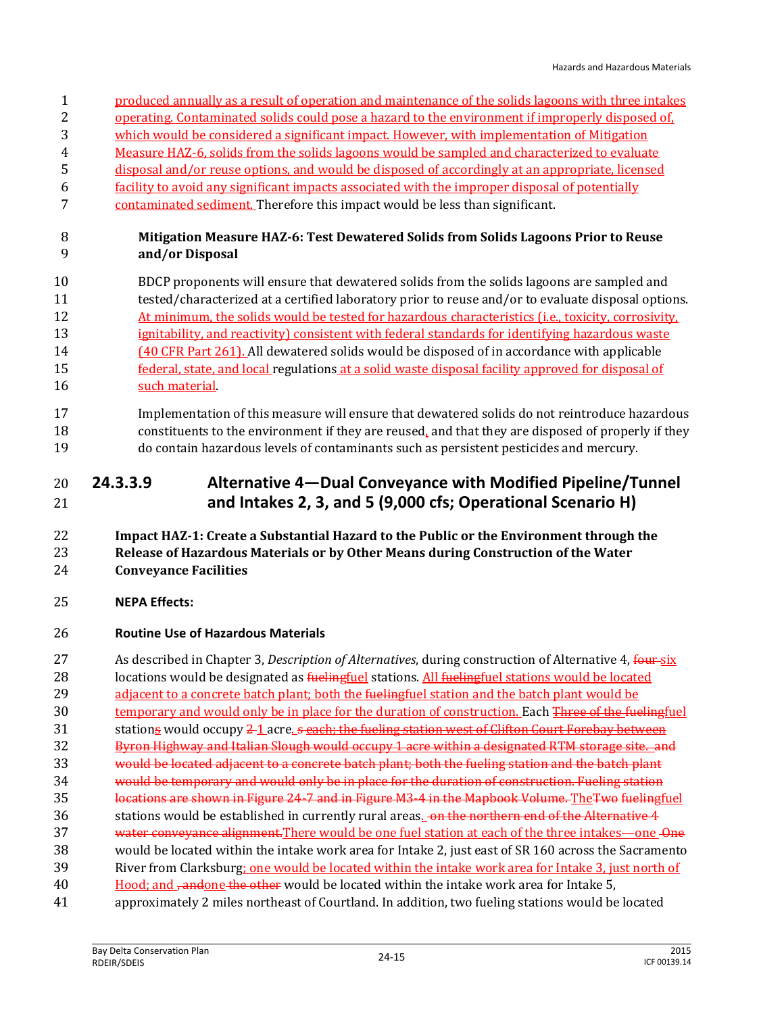- produced annually as a result of operation and maintenance of the solids lagoons with three intakes
- operating. Contaminated solids could pose a hazard to the environment if improperly disposed of,
- which would be considered a significant impact. However, with implementation of Mitigation
- Measure HAZ-6, solids from the solids lagoons would be sampled and characterized to evaluate
- disposal and/or reuse options, and would be disposed of accordingly at an appropriate, licensed
- facility to avoid any significant impacts associated with the improper disposal of potentially
- 7 contaminated sediment. Therefore this impact would be less than significant.

#### **Mitigation Measure HAZ-6: Test Dewatered Solids from Solids Lagoons Prior to Reuse and/or Disposal**

- BDCP proponents will ensure that dewatered solids from the solids lagoons are sampled and tested/characterized at a certified laboratory prior to reuse and/or to evaluate disposal options. At minimum, the solids would be tested for hazardous characteristics (i.e., toxicity, corrosivity, ignitability, and reactivity) consistent with federal standards for identifying hazardous waste (40 CFR Part 261). All dewatered solids would be disposed of in accordance with applicable federal, state, and local regulations at a solid waste disposal facility approved for disposal of 16 such material.
- Implementation of this measure will ensure that dewatered solids do not reintroduce hazardous constituents to the environment if they are reused, and that they are disposed of properly if they do contain hazardous levels of contaminants such as persistent pesticides and mercury.

## **24.3.3.9 Alternative 4—Dual Conveyance with Modified Pipeline/Tunnel and Intakes 2, 3, and 5 (9,000 cfs; Operational Scenario H)**

#### **Impact HAZ-1: Create a Substantial Hazard to the Public or the Environment through the Release of Hazardous Materials or by Other Means during Construction of the Water Conveyance Facilities**

#### **NEPA Effects:**

#### **Routine Use of Hazardous Materials**

 As described in Chapter 3, *Description of Alternatives*, during construction of Alternative 4, four six 28 locations would be designated as **fuelingfuel** stations. All fuelingfuel stations would be located 29 adjacent to a concrete batch plant; both the fuelingfuel station and the batch plant would be 30 temporary and would only be in place for the duration of construction. Each Three of the fuelingfuel 31 stations would occupy 2 1 acre. s each; the fueling station west of Clifton Court Forebay between Byron Highway and Italian Slough would occupy 1 acre within a designated RTM storage site. and would be located adjacent to a concrete batch plant; both the fueling station and the batch plant would be temporary and would only be in place for the duration of construction. Fueling station locations are shown in Figure 24-7 and in Figure M3-4 in the Mapbook Volume. TheTwo fuelingfuel 36 stations would be established in currently rural areas. on the northern end of the Alternative 4 37 water conveyance alignment. There would be one fuel station at each of the three intakes—one - One would be located within the intake work area for Intake 2, just east of SR 160 across the Sacramento River from Clarksburg; one would be located within the intake work area for Intake 3, just north of 40 Hood; and <del>, and</del>one the other would be located within the intake work area for Intake 5, approximately 2 miles northeast of Courtland. In addition, two fueling stations would be located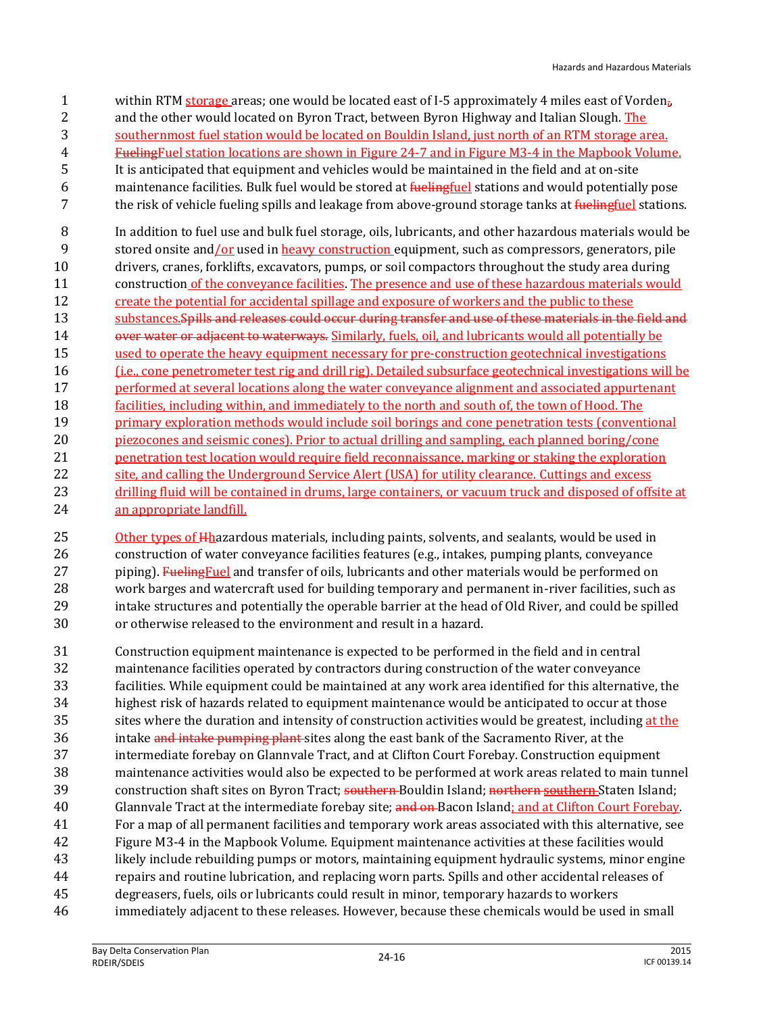- within RTM storage areas; one would be located east of I-5 approximately 4 miles east of Vorden.,
- 2 and the other would located on Byron Tract, between Byron Highway and Italian Slough. The
- southernmost fuel station would be located on Bouldin Island, just north of an RTM storage area.
- FuelingFuel station locations are shown in Figure 24-7 and in Figure M3-4 in the Mapbook Volume. It is anticipated that equipment and vehicles would be maintained in the field and at on-site
- 6 maintenance facilities. Bulk fuel would be stored at *fuelingfuel stations and would potentially pose*
- 7 the risk of vehicle fueling spills and leakage from above-ground storage tanks at *fuelingfuel* stations.
- In addition to fuel use and bulk fuel storage, oils, lubricants, and other hazardous materials would be stored onsite and/or used in heavy construction equipment, such as compressors, generators, pile drivers, cranes, forklifts, excavators, pumps, or soil compactors throughout the study area during construction of the conveyance facilities. The presence and use of these hazardous materials would 12 create the potential for accidental spillage and exposure of workers and the public to these 13 substances. Spills and releases could occur during transfer and use of these materials in the field and 14 over water or adjacent to waterways. Similarly, fuels, oil, and lubricants would all potentially be used to operate the heavy equipment necessary for pre-construction geotechnical investigations (i.e., cone penetrometer test rig and drill rig). Detailed subsurface geotechnical investigations will be 17 performed at several locations along the water conveyance alignment and associated appurtenant facilities, including within, and immediately to the north and south of, the town of Hood. The primary exploration methods would include soil borings and cone penetration tests (conventional piezocones and seismic cones). Prior to actual drilling and sampling, each planned boring/cone
- 21 penetration test location would require field reconnaissance, marking or staking the exploration 22 site, and calling the Underground Service Alert (USA) for utility clearance. Cuttings and excess 23 drilling fluid will be contained in drums, large containers, or vacuum truck and disposed of offsite at an appropriate landfill.

25 Other types of Hhazardous materials, including paints, solvents, and sealants, would be used in construction of water conveyance facilities features (e.g., intakes, pumping plants, conveyance 27 piping). Fueling Fuel and transfer of oils, lubricants and other materials would be performed on work barges and watercraft used for building temporary and permanent in-river facilities, such as intake structures and potentially the operable barrier at the head of Old River, and could be spilled or otherwise released to the environment and result in a hazard.

 Construction equipment maintenance is expected to be performed in the field and in central maintenance facilities operated by contractors during construction of the water conveyance facilities. While equipment could be maintained at any work area identified for this alternative, the highest risk of hazards related to equipment maintenance would be anticipated to occur at those sites where the duration and intensity of construction activities would be greatest, including at the 36 intake and intake pumping plant sites along the east bank of the Sacramento River, at the intermediate forebay on Glannvale Tract, and at Clifton Court Forebay. Construction equipment maintenance activities would also be expected to be performed at work areas related to main tunnel 39 construction shaft sites on Byron Tract; southern Bouldin Island; northern southern Staten Island; 40 Glannyale Tract at the intermediate forebay site; and on Bacon Island; and at Clifton Court Forebay. For a map of all permanent facilities and temporary work areas associated with this alternative, see Figure M3-4 in the Mapbook Volume. Equipment maintenance activities at these facilities would likely include rebuilding pumps or motors, maintaining equipment hydraulic systems, minor engine repairs and routine lubrication, and replacing worn parts. Spills and other accidental releases of degreasers, fuels, oils or lubricants could result in minor, temporary hazards to workers immediately adjacent to these releases. However, because these chemicals would be used in small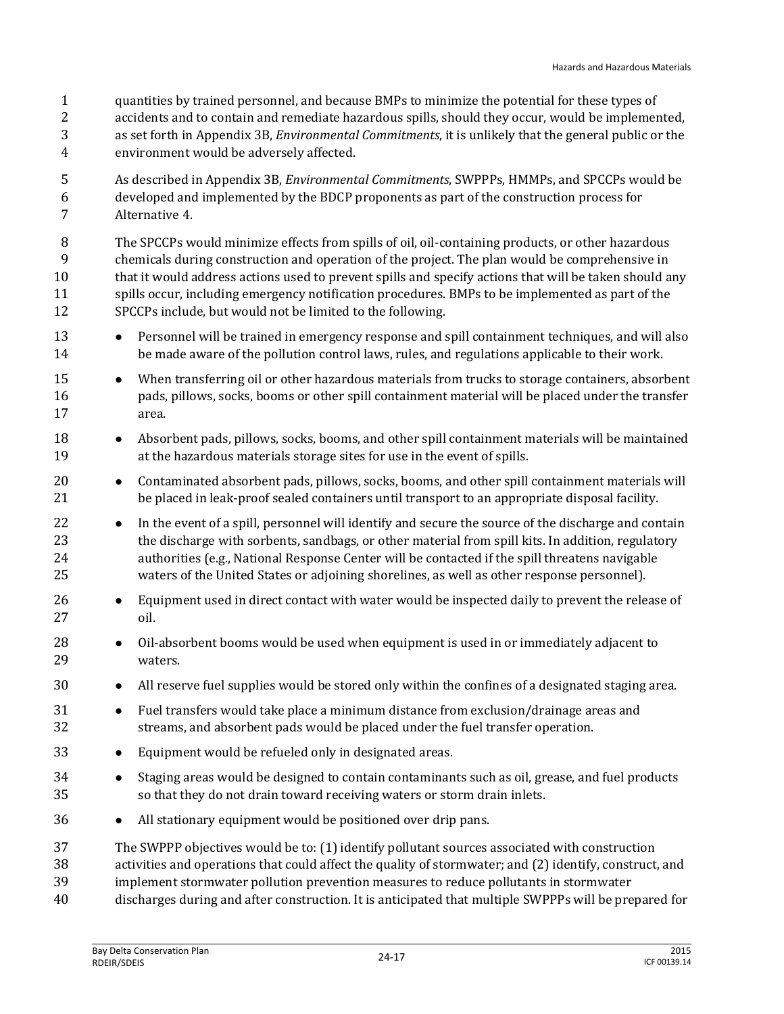- quantities by trained personnel, and because BMPs to minimize the potential for these types of
- accidents and to contain and remediate hazardous spills, should they occur, would be implemented, as set forth in Appendix 3B, *Environmental Commitments*, it is unlikely that the general public or the
- environment would be adversely affected.
- As described in Appendix 3B, *Environmental Commitments*, SWPPPs, HMMPs, and SPCCPs would be developed and implemented by the BDCP proponents as part of the construction process for Alternative 4.
- The SPCCPs would minimize effects from spills of oil, oil-containing products, or other hazardous chemicals during construction and operation of the project. The plan would be comprehensive in that it would address actions used to prevent spills and specify actions that will be taken should any spills occur, including emergency notification procedures. BMPs to be implemented as part of the SPCCPs include, but would not be limited to the following.
- **•** Personnel will be trained in emergency response and spill containment techniques, and will also be made aware of the pollution control laws, rules, and regulations applicable to their work.
- **••** When transferring oil or other hazardous materials from trucks to storage containers, absorbent pads, pillows, socks, booms or other spill containment material will be placed under the transfer area.
- 18 Absorbent pads, pillows, socks, booms, and other spill containment materials will be maintained at the hazardous materials storage sites for use in the event of spills.
- 20 Contaminated absorbent pads, pillows, socks, booms, and other spill containment materials will be placed in leak-proof sealed containers until transport to an appropriate disposal facility.
- **I** In the event of a spill, personnel will identify and secure the source of the discharge and contain the discharge with sorbents, sandbags, or other material from spill kits. In addition, regulatory authorities (e.g., National Response Center will be contacted if the spill threatens navigable waters of the United States or adjoining shorelines, as well as other response personnel).
- **Equipment used in direct contact with water would be inspected daily to prevent the release of** oil.
- **•** Oil-absorbent booms would be used when equipment is used in or immediately adjacent to waters.
- **All reserve fuel supplies would be stored only within the confines of a designated staging area.**
- **•** Fuel transfers would take place a minimum distance from exclusion/drainage areas and streams, and absorbent pads would be placed under the fuel transfer operation.
- Equipment would be refueled only in designated areas.
- 34 Staging areas would be designed to contain contaminants such as oil, grease, and fuel products so that they do not drain toward receiving waters or storm drain inlets.
- 36 All stationary equipment would be positioned over drip pans.
- The SWPPP objectives would be to: (1) identify pollutant sources associated with construction
- activities and operations that could affect the quality of stormwater; and (2) identify, construct, and
- implement stormwater pollution prevention measures to reduce pollutants in stormwater
- discharges during and after construction. It is anticipated that multiple SWPPPs will be prepared for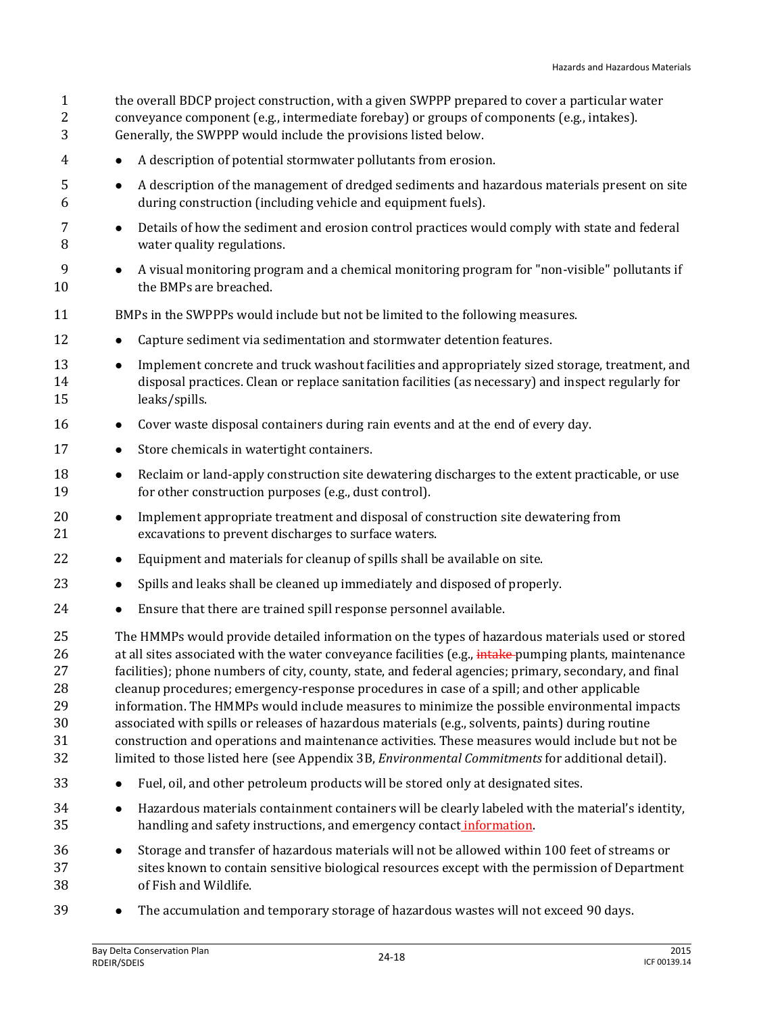| $\mathbf{1}$<br>2<br>3                       | the overall BDCP project construction, with a given SWPPP prepared to cover a particular water<br>conveyance component (e.g., intermediate forebay) or groups of components (e.g., intakes).<br>Generally, the SWPPP would include the provisions listed below.                                                                                                                                                                                                                                                                                                                                                                                                                                                                                                                                                               |
|----------------------------------------------|-------------------------------------------------------------------------------------------------------------------------------------------------------------------------------------------------------------------------------------------------------------------------------------------------------------------------------------------------------------------------------------------------------------------------------------------------------------------------------------------------------------------------------------------------------------------------------------------------------------------------------------------------------------------------------------------------------------------------------------------------------------------------------------------------------------------------------|
| 4                                            | A description of potential stormwater pollutants from erosion.<br>$\bullet$                                                                                                                                                                                                                                                                                                                                                                                                                                                                                                                                                                                                                                                                                                                                                   |
| 5<br>6                                       | A description of the management of dredged sediments and hazardous materials present on site<br>$\bullet$<br>during construction (including vehicle and equipment fuels).                                                                                                                                                                                                                                                                                                                                                                                                                                                                                                                                                                                                                                                     |
| 7<br>8                                       | Details of how the sediment and erosion control practices would comply with state and federal<br>$\bullet$<br>water quality regulations.                                                                                                                                                                                                                                                                                                                                                                                                                                                                                                                                                                                                                                                                                      |
| 9<br>10                                      | A visual monitoring program and a chemical monitoring program for "non-visible" pollutants if<br>$\bullet$<br>the BMPs are breached.                                                                                                                                                                                                                                                                                                                                                                                                                                                                                                                                                                                                                                                                                          |
| 11                                           | BMPs in the SWPPPs would include but not be limited to the following measures.                                                                                                                                                                                                                                                                                                                                                                                                                                                                                                                                                                                                                                                                                                                                                |
| 12                                           | Capture sediment via sedimentation and stormwater detention features.<br>$\bullet$                                                                                                                                                                                                                                                                                                                                                                                                                                                                                                                                                                                                                                                                                                                                            |
| 13<br>14<br>15                               | Implement concrete and truck washout facilities and appropriately sized storage, treatment, and<br>$\bullet$<br>disposal practices. Clean or replace sanitation facilities (as necessary) and inspect regularly for<br>leaks/spills.                                                                                                                                                                                                                                                                                                                                                                                                                                                                                                                                                                                          |
| 16                                           | Cover waste disposal containers during rain events and at the end of every day.<br>$\bullet$                                                                                                                                                                                                                                                                                                                                                                                                                                                                                                                                                                                                                                                                                                                                  |
| 17                                           | Store chemicals in watertight containers.<br>$\bullet$                                                                                                                                                                                                                                                                                                                                                                                                                                                                                                                                                                                                                                                                                                                                                                        |
| 18<br>19                                     | Reclaim or land-apply construction site dewatering discharges to the extent practicable, or use<br>$\bullet$<br>for other construction purposes (e.g., dust control).                                                                                                                                                                                                                                                                                                                                                                                                                                                                                                                                                                                                                                                         |
| 20<br>21                                     | Implement appropriate treatment and disposal of construction site dewatering from<br>$\bullet$<br>excavations to prevent discharges to surface waters.                                                                                                                                                                                                                                                                                                                                                                                                                                                                                                                                                                                                                                                                        |
| 22                                           | Equipment and materials for cleanup of spills shall be available on site.<br>$\bullet$                                                                                                                                                                                                                                                                                                                                                                                                                                                                                                                                                                                                                                                                                                                                        |
| 23                                           | Spills and leaks shall be cleaned up immediately and disposed of properly.<br>$\bullet$                                                                                                                                                                                                                                                                                                                                                                                                                                                                                                                                                                                                                                                                                                                                       |
| 24                                           | Ensure that there are trained spill response personnel available.<br>$\bullet$                                                                                                                                                                                                                                                                                                                                                                                                                                                                                                                                                                                                                                                                                                                                                |
| 25<br>26<br>27<br>28<br>29<br>30<br>31<br>32 | The HMMPs would provide detailed information on the types of hazardous materials used or stored<br>at all sites associated with the water conveyance facilities (e.g., intake-pumping plants, maintenance<br>facilities); phone numbers of city, county, state, and federal agencies; primary, secondary, and final<br>cleanup procedures; emergency-response procedures in case of a spill; and other applicable<br>information. The HMMPs would include measures to minimize the possible environmental impacts<br>associated with spills or releases of hazardous materials (e.g., solvents, paints) during routine<br>construction and operations and maintenance activities. These measures would include but not be<br>limited to those listed here (see Appendix 3B, Environmental Commitments for additional detail). |
| 33                                           | Fuel, oil, and other petroleum products will be stored only at designated sites.                                                                                                                                                                                                                                                                                                                                                                                                                                                                                                                                                                                                                                                                                                                                              |
| 34<br>35                                     | Hazardous materials containment containers will be clearly labeled with the material's identity,<br>$\bullet$<br>handling and safety instructions, and emergency contact information.                                                                                                                                                                                                                                                                                                                                                                                                                                                                                                                                                                                                                                         |
| 36<br>37<br>38                               | Storage and transfer of hazardous materials will not be allowed within 100 feet of streams or<br>$\bullet$<br>sites known to contain sensitive biological resources except with the permission of Department<br>of Fish and Wildlife.                                                                                                                                                                                                                                                                                                                                                                                                                                                                                                                                                                                         |

39 • The accumulation and temporary storage of hazardous wastes will not exceed 90 days.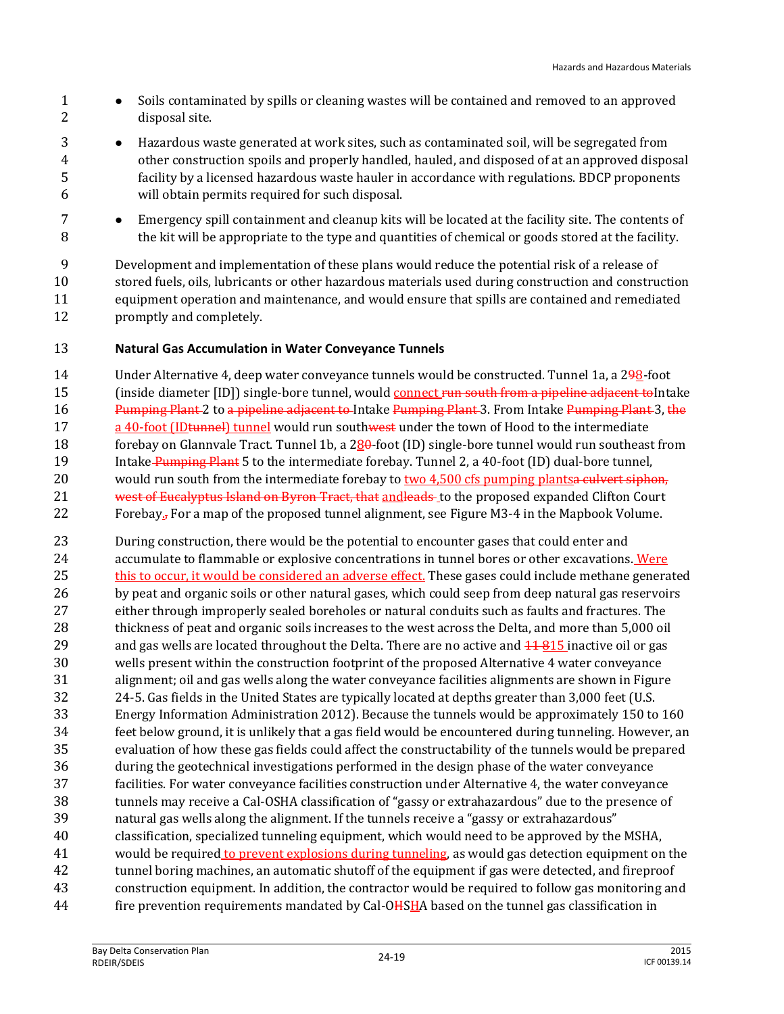- 1 Soils contaminated by spills or cleaning wastes will be contained and removed to an approved disposal site.
- Hazardous waste generated at work sites, such as contaminated soil, will be segregated from other construction spoils and properly handled, hauled, and disposed of at an approved disposal facility by a licensed hazardous waste hauler in accordance with regulations. BDCP proponents will obtain permits required for such disposal.
- Emergency spill containment and cleanup kits will be located at the facility site. The contents of 8 the kit will be appropriate to the type and quantities of chemical or goods stored at the facility.

 Development and implementation of these plans would reduce the potential risk of a release of stored fuels, oils, lubricants or other hazardous materials used during construction and construction equipment operation and maintenance, and would ensure that spills are contained and remediated promptly and completely.

#### **Natural Gas Accumulation in Water Conveyance Tunnels**

 Under Alternative 4, deep water conveyance tunnels would be constructed. Tunnel 1a, a 298-foot 15 (inside diameter [ID]) single-bore tunnel, would connect run south from a pipeline adjacent to Intake 16 Pumping Plant 2 to a pipeline adjacent to Intake Pumping Plant 3. From Intake Pumping Plant 3, the 17 a 40-foot (ID tunnel) tunnel would run southwest under the town of Hood to the intermediate 18 forebay on Glannvale Tract. Tunnel 1b, a 280-foot (ID) single-bore tunnel would run southeast from 19 Intake Pumping Plant 5 to the intermediate forebay. Tunnel 2, a 40-foot (ID) dual-bore tunnel, 20 would run south from the intermediate forebay to two 4,500 cfs pumping plants a culvert siphon, 21 west of Eucalyptus Island on Byron Tract, that and leads to the proposed expanded Clifton Court 22 Forebay<sub>5</sub> For a map of the proposed tunnel alignment, see Figure M3-4 in the Mapbook Volume.

 During construction, there would be the potential to encounter gases that could enter and 24 accumulate to flammable or explosive concentrations in tunnel bores or other excavations. Were 25 this to occur, it would be considered an adverse effect. These gases could include methane generated by peat and organic soils or other natural gases, which could seep from deep natural gas reservoirs either through improperly sealed boreholes or natural conduits such as faults and fractures. The thickness of peat and organic soils increases to the west across the Delta, and more than 5,000 oil 29 and gas wells are located throughout the Delta. There are no active and  $\frac{11.915}{1.81}$  inactive oil or gas wells present within the construction footprint of the proposed Alternative 4 water conveyance alignment; oil and gas wells along the water conveyance facilities alignments are shown in Figure 24-5. Gas fields in the United States are typically located at depths greater than 3,000 feet (U.S. Energy Information Administration 2012). Because the tunnels would be approximately 150 to 160 feet below ground, it is unlikely that a gas field would be encountered during tunneling. However, an evaluation of how these gas fields could affect the constructability of the tunnels would be prepared during the geotechnical investigations performed in the design phase of the water conveyance facilities. For water conveyance facilities construction under Alternative 4, the water conveyance tunnels may receive a Cal-OSHA classification of "gassy or extrahazardous" due to the presence of natural gas wells along the alignment. If the tunnels receive a "gassy or extrahazardous" classification, specialized tunneling equipment, which would need to be approved by the MSHA, would be required to prevent explosions during tunneling, as would gas detection equipment on the tunnel boring machines, an automatic shutoff of the equipment if gas were detected, and fireproof construction equipment. In addition, the contractor would be required to follow gas monitoring and 44 fire prevention requirements mandated by Cal-OHSHA based on the tunnel gas classification in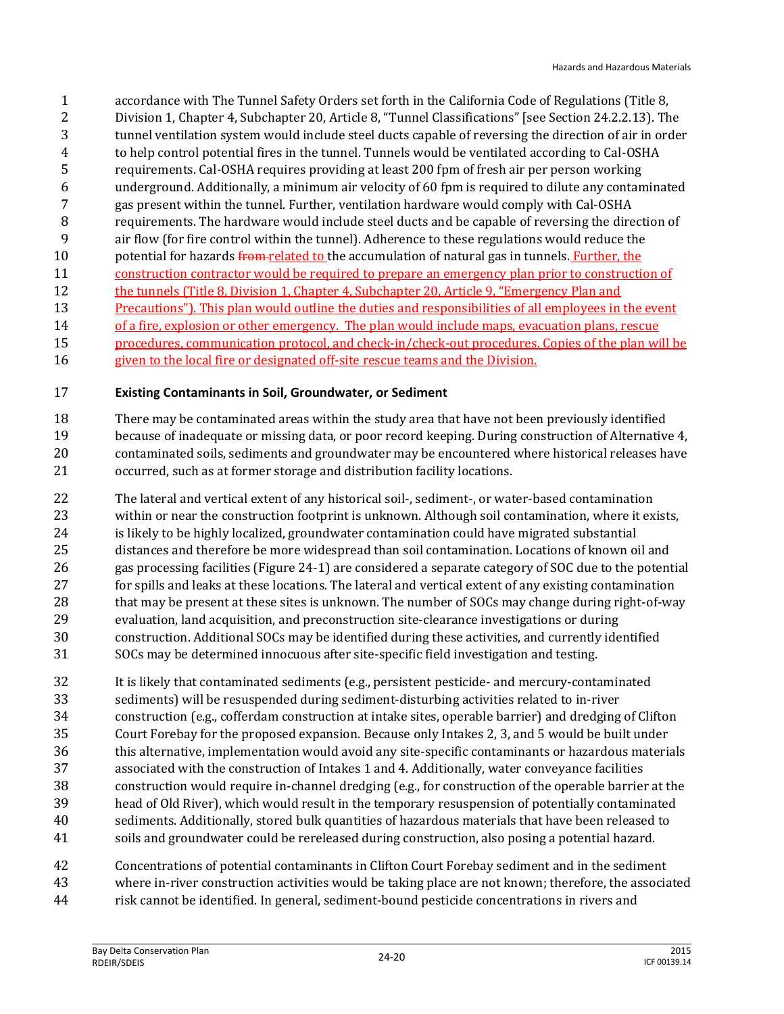accordance with The Tunnel Safety Orders set forth in the California Code of Regulations (Title 8, Division 1, Chapter 4, Subchapter 20, Article 8, "Tunnel Classifications" [see Section 24.2.2.13). The tunnel ventilation system would include steel ducts capable of reversing the direction of air in order to help control potential fires in the tunnel. Tunnels would be ventilated according to Cal-OSHA requirements. Cal-OSHA requires providing at least 200 fpm of fresh air per person working underground. Additionally, a minimum air velocity of 60 fpm is required to dilute any contaminated gas present within the tunnel. Further, ventilation hardware would comply with Cal-OSHA requirements. The hardware would include steel ducts and be capable of reversing the direction of air flow (for fire control within the tunnel). Adherence to these regulations would reduce the 10 potential for hazards from related to the accumulation of natural gas in tunnels. Further, the construction contractor would be required to prepare an emergency plan prior to construction of 12 the tunnels (Title 8, Division 1, Chapter 4, Subchapter 20, Article 9, "Emergency Plan and 13 Precautions"). This plan would outline the duties and responsibilities of all employees in the event 14 of a fire, explosion or other emergency. The plan would include maps, evacuation plans, rescue 15 procedures, communication protocol, and check-in/check-out procedures. Copies of the plan will be given to the local fire or designated off-site rescue teams and the Division.

#### **Existing Contaminants in Soil, Groundwater, or Sediment**

 There may be contaminated areas within the study area that have not been previously identified because of inadequate or missing data, or poor record keeping. During construction of Alternative 4, contaminated soils, sediments and groundwater may be encountered where historical releases have occurred, such as at former storage and distribution facility locations.

- The lateral and vertical extent of any historical soil-, sediment-, or water-based contamination within or near the construction footprint is unknown. Although soil contamination, where it exists, 24 is likely to be highly localized, groundwater contamination could have migrated substantial distances and therefore be more widespread than soil contamination. Locations of known oil and gas processing facilities (Figure 24-1) are considered a separate category of SOC due to the potential for spills and leaks at these locations. The lateral and vertical extent of any existing contamination 28 that may be present at these sites is unknown. The number of SOCs may change during right-of-way evaluation, land acquisition, and preconstruction site-clearance investigations or during construction. Additional SOCs may be identified during these activities, and currently identified SOCs may be determined innocuous after site-specific field investigation and testing.
- It is likely that contaminated sediments (e.g., persistent pesticide- and mercury-contaminated sediments) will be resuspended during sediment-disturbing activities related to in-river construction (e.g., cofferdam construction at intake sites, operable barrier) and dredging of Clifton Court Forebay for the proposed expansion. Because only Intakes 2, 3, and 5 would be built under this alternative, implementation would avoid any site-specific contaminants or hazardous materials associated with the construction of Intakes 1 and 4. Additionally, water conveyance facilities construction would require in-channel dredging (e.g., for construction of the operable barrier at the head of Old River), which would result in the temporary resuspension of potentially contaminated sediments. Additionally, stored bulk quantities of hazardous materials that have been released to soils and groundwater could be rereleased during construction, also posing a potential hazard.
- Concentrations of potential contaminants in Clifton Court Forebay sediment and in the sediment
- where in-river construction activities would be taking place are not known; therefore, the associated
- risk cannot be identified. In general, sediment-bound pesticide concentrations in rivers and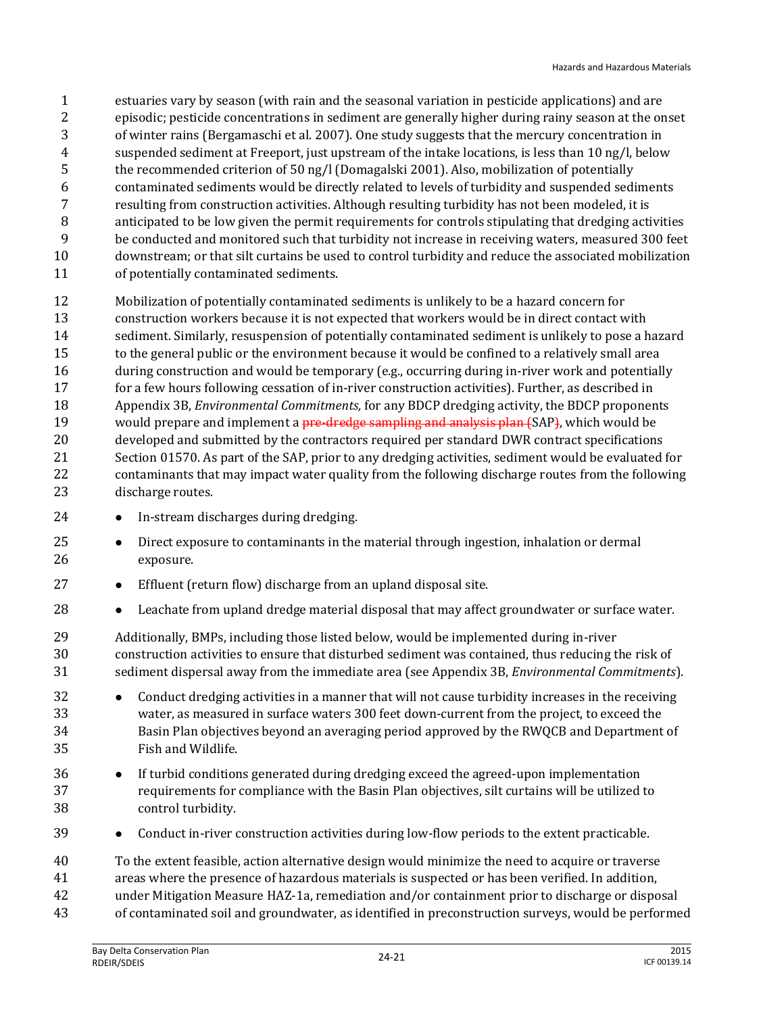estuaries vary by season (with rain and the seasonal variation in pesticide applications) and are episodic; pesticide concentrations in sediment are generally higher during rainy season at the onset of winter rains (Bergamaschi et al. 2007). One study suggests that the mercury concentration in suspended sediment at Freeport, just upstream of the intake locations, is less than 10 ng/l, below the recommended criterion of 50 ng/l (Domagalski 2001). Also, mobilization of potentially contaminated sediments would be directly related to levels of turbidity and suspended sediments resulting from construction activities. Although resulting turbidity has not been modeled, it is anticipated to be low given the permit requirements for controls stipulating that dredging activities be conducted and monitored such that turbidity not increase in receiving waters, measured 300 feet downstream; or that silt curtains be used to control turbidity and reduce the associated mobilization of potentially contaminated sediments.

 Mobilization of potentially contaminated sediments is unlikely to be a hazard concern for construction workers because it is not expected that workers would be in direct contact with sediment. Similarly, resuspension of potentially contaminated sediment is unlikely to pose a hazard to the general public or the environment because it would be confined to a relatively small area 16 during construction and would be temporary (e.g., occurring during in-river work and potentially for a few hours following cessation of in-river construction activities). Further, as described in Appendix 3B, *Environmental Commitments,* for any BDCP dredging activity, the BDCP proponents 19 would prepare and implement a *pre-dredge sampling and analysis plan (SAP)*, which would be developed and submitted by the contractors required per standard DWR contract specifications Section 01570. As part of the SAP, prior to any dredging activities, sediment would be evaluated for contaminants that may impact water quality from the following discharge routes from the following discharge routes.

- 24 In-stream discharges during dredging.
- **•** Direct exposure to contaminants in the material through ingestion, inhalation or dermal exposure.
- **•** Effluent (return flow) discharge from an upland disposal site.
- Leachate from upland dredge material disposal that may affect groundwater or surface water.
- Additionally, BMPs, including those listed below, would be implemented during in-river construction activities to ensure that disturbed sediment was contained, thus reducing the risk of sediment dispersal away from the immediate area (see Appendix 3B, *Environmental Commitments*).
- **•** Conduct dredging activities in a manner that will not cause turbidity increases in the receiving water, as measured in surface waters 300 feet down-current from the project, to exceed the Basin Plan objectives beyond an averaging period approved by the RWQCB and Department of Fish and Wildlife.
- 36 If turbid conditions generated during dredging exceed the agreed-upon implementation requirements for compliance with the Basin Plan objectives, silt curtains will be utilized to control turbidity.
- **Conduct in-river construction activities during low-flow periods to the extent practicable.**
- To the extent feasible, action alternative design would minimize the need to acquire or traverse
- areas where the presence of hazardous materials is suspected or has been verified. In addition,
- under Mitigation Measure HAZ-1a, remediation and/or containment prior to discharge or disposal
- of contaminated soil and groundwater, as identified in preconstruction surveys, would be performed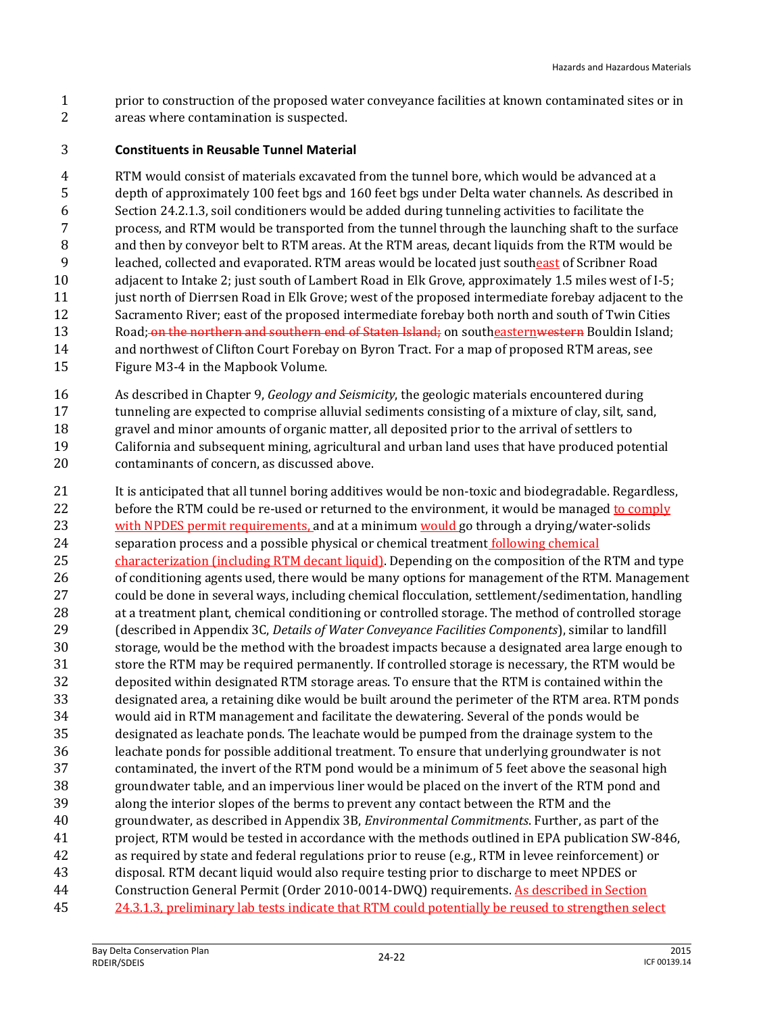prior to construction of the proposed water conveyance facilities at known contaminated sites or in areas where contamination is suspected.

#### **Constituents in Reusable Tunnel Material**

 RTM would consist of materials excavated from the tunnel bore, which would be advanced at a depth of approximately 100 feet bgs and 160 feet bgs under Delta water channels. As described in Section 24.2.1.3, soil conditioners would be added during tunneling activities to facilitate the process, and RTM would be transported from the tunnel through the launching shaft to the surface and then by conveyor belt to RTM areas. At the RTM areas, decant liquids from the RTM would be leached, collected and evaporated. RTM areas would be located just southeast of Scribner Road adjacent to Intake 2; just south of Lambert Road in Elk Grove, approximately 1.5 miles west of I-5; 11 just north of Dierrsen Road in Elk Grove; west of the proposed intermediate forebay adjacent to the Sacramento River; east of the proposed intermediate forebay both north and south of Twin Cities 13 Road; on the northern and southern end of Staten Island; on southeastern western Bouldin Island; and northwest of Clifton Court Forebay on Byron Tract. For a map of proposed RTM areas, see Figure M3-4 in the Mapbook Volume.

- As described in Chapter 9, *Geology and Seismicity*, the geologic materials encountered during
- 17 tunneling are expected to comprise alluvial sediments consisting of a mixture of clay, silt, sand, gravel and minor amounts of organic matter, all deposited prior to the arrival of settlers to California and subsequent mining, agricultural and urban land uses that have produced potential
- contaminants of concern, as discussed above.
- It is anticipated that all tunnel boring additives would be non-toxic and biodegradable. Regardless, 22 before the RTM could be re-used or returned to the environment, it would be managed to comply 23 with NPDES permit requirements, and at a minimum would go through a drying/water-solids separation process and a possible physical or chemical treatment following chemical 25 characterization (including RTM decant liquid). Depending on the composition of the RTM and type of conditioning agents used, there would be many options for management of the RTM. Management could be done in several ways, including chemical flocculation, settlement/sedimentation, handling 28 at a treatment plant, chemical conditioning or controlled storage. The method of controlled storage (described in Appendix 3C, *Details of Water Conveyance Facilities Components*), similar to landfill storage, would be the method with the broadest impacts because a designated area large enough to store the RTM may be required permanently. If controlled storage is necessary, the RTM would be deposited within designated RTM storage areas. To ensure that the RTM is contained within the designated area, a retaining dike would be built around the perimeter of the RTM area. RTM ponds would aid in RTM management and facilitate the dewatering. Several of the ponds would be designated as leachate ponds. The leachate would be pumped from the drainage system to the leachate ponds for possible additional treatment. To ensure that underlying groundwater is not contaminated, the invert of the RTM pond would be a minimum of 5 feet above the seasonal high groundwater table, and an impervious liner would be placed on the invert of the RTM pond and along the interior slopes of the berms to prevent any contact between the RTM and the groundwater, as described in Appendix 3B, *Environmental Commitments*. Further, as part of the project, RTM would be tested in accordance with the methods outlined in EPA publication SW-846, as required by state and federal regulations prior to reuse (e.g., RTM in levee reinforcement) or disposal. RTM decant liquid would also require testing prior to discharge to meet NPDES or Construction General Permit (Order 2010-0014-DWQ) requirements. As described in Section 24.3.1.3, preliminary lab tests indicate that RTM could potentially be reused to strengthen select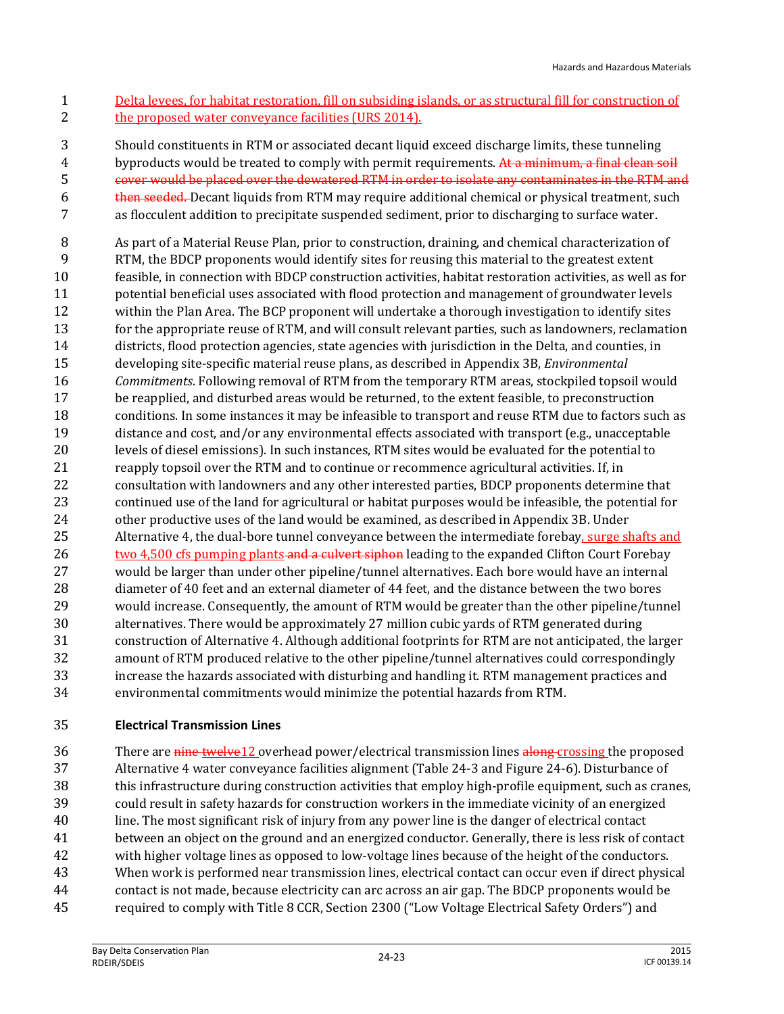Delta levees, for habitat restoration, fill on subsiding islands, or as structural fill for construction of 2 the proposed water conveyance facilities (URS 2014).

Should constituents in RTM or associated decant liquid exceed discharge limits, these tunneling

4 byproducts would be treated to comply with permit requirements. At a minimum, a final clean soil

cover would be placed over the dewatered RTM in order to isolate any contaminates in the RTM and

6 then seeded. Decant liquids from RTM may require additional chemical or physical treatment, such as flocculent addition to precipitate suspended sediment, prior to discharging to surface water.

 As part of a Material Reuse Plan, prior to construction, draining, and chemical characterization of RTM, the BDCP proponents would identify sites for reusing this material to the greatest extent feasible, in connection with BDCP construction activities, habitat restoration activities, as well as for potential beneficial uses associated with flood protection and management of groundwater levels within the Plan Area. The BCP proponent will undertake a thorough investigation to identify sites for the appropriate reuse of RTM, and will consult relevant parties, such as landowners, reclamation districts, flood protection agencies, state agencies with jurisdiction in the Delta, and counties, in developing site-specific material reuse plans, as described in Appendix 3B, *Environmental Commitments*. Following removal of RTM from the temporary RTM areas, stockpiled topsoil would be reapplied, and disturbed areas would be returned, to the extent feasible, to preconstruction conditions. In some instances it may be infeasible to transport and reuse RTM due to factors such as distance and cost, and/or any environmental effects associated with transport (e.g., unacceptable levels of diesel emissions). In such instances, RTM sites would be evaluated for the potential to 21 reapply topsoil over the RTM and to continue or recommence agricultural activities. If, in consultation with landowners and any other interested parties, BDCP proponents determine that continued use of the land for agricultural or habitat purposes would be infeasible, the potential for other productive uses of the land would be examined, as described in Appendix 3B. Under Alternative 4, the dual-bore tunnel conveyance between the intermediate forebay, surge shafts and 26 two 4,500 cfs pumping plants and a culvert siphon leading to the expanded Clifton Court Forebay would be larger than under other pipeline/tunnel alternatives. Each bore would have an internal diameter of 40 feet and an external diameter of 44 feet, and the distance between the two bores would increase. Consequently, the amount of RTM would be greater than the other pipeline/tunnel alternatives. There would be approximately 27 million cubic yards of RTM generated during construction of Alternative 4. Although additional footprints for RTM are not anticipated, the larger amount of RTM produced relative to the other pipeline/tunnel alternatives could correspondingly increase the hazards associated with disturbing and handling it. RTM management practices and environmental commitments would minimize the potential hazards from RTM.

#### **Electrical Transmission Lines**

36 There are nine twelve12 overhead power/electrical transmission lines along crossing the proposed Alternative 4 water conveyance facilities alignment (Table 24-3 and Figure 24-6). Disturbance of this infrastructure during construction activities that employ high-profile equipment, such as cranes, could result in safety hazards for construction workers in the immediate vicinity of an energized line. The most significant risk of injury from any power line is the danger of electrical contact between an object on the ground and an energized conductor. Generally, there is less risk of contact with higher voltage lines as opposed to low-voltage lines because of the height of the conductors. When work is performed near transmission lines, electrical contact can occur even if direct physical contact is not made, because electricity can arc across an air gap. The BDCP proponents would be required to comply with Title 8 CCR, Section 2300 ("Low Voltage Electrical Safety Orders") and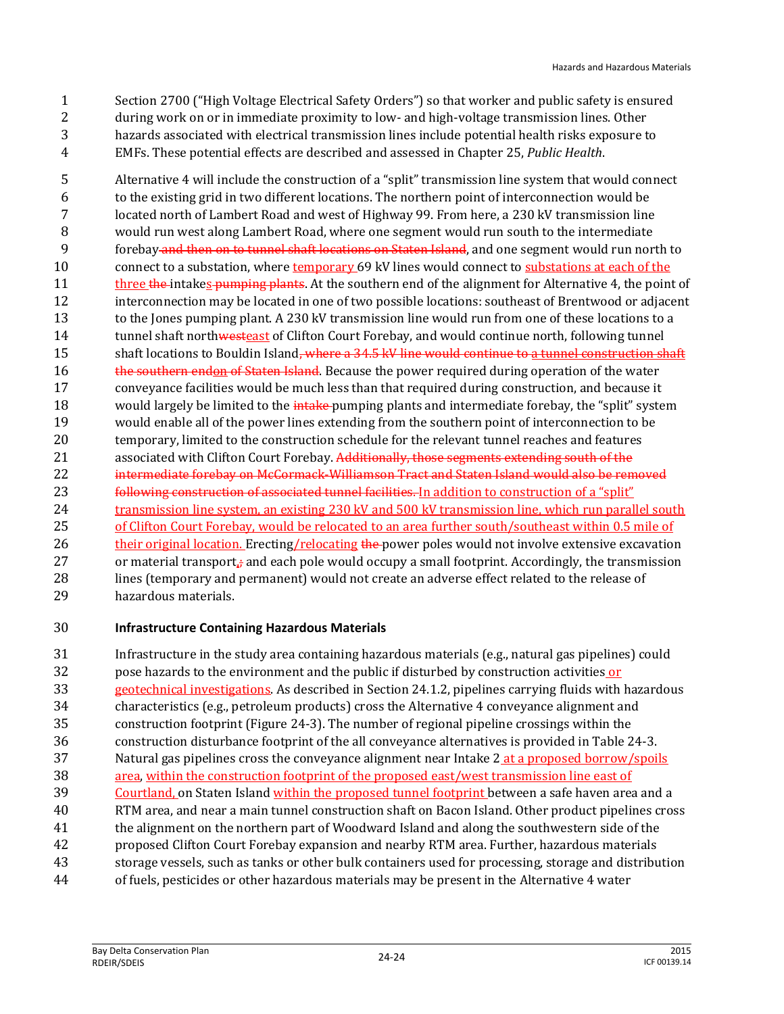Section 2700 ("High Voltage Electrical Safety Orders") so that worker and public safety is ensured during work on or in immediate proximity to low- and high-voltage transmission lines. Other hazards associated with electrical transmission lines include potential health risks exposure to EMFs. These potential effects are described and assessed in Chapter 25, *Public Health*.

 Alternative 4 will include the construction of a "split" transmission line system that would connect to the existing grid in two different locations. The northern point of interconnection would be located north of Lambert Road and west of Highway 99. From here, a 230 kV transmission line would run west along Lambert Road, where one segment would run south to the intermediate 9 forebay and then on to tunnel shaft locations on Staten Island, and one segment would run north to 10 connect to a substation, where temporary 69 kV lines would connect to substations at each of the 11 three the intakes pumping plants. At the southern end of the alignment for Alternative 4, the point of interconnection may be located in one of two possible locations: southeast of Brentwood or adjacent 13 to the Jones pumping plant. A 230 kV transmission line would run from one of these locations to a 14 tunnel shaft northwesteast of Clifton Court Forebay, and would continue north, following tunnel 15 shaft locations to Bouldin Island<del>, where a 34.5 kV line would continue to a tunnel construction shaft</del> 16 the southern endon of Staten Island. Because the power required during operation of the water conveyance facilities would be much less than that required during construction, and because it 18 would largely be limited to the *intake-pumping plants and intermediate forebay, the "split" system*  would enable all of the power lines extending from the southern point of interconnection to be temporary, limited to the construction schedule for the relevant tunnel reaches and features 21 associated with Clifton Court Forebay. Additionally, those segments extending south of the 22 intermediate forebay on McCormack-Williamson Tract and Staten Island would also be removed **following construction of associated tunnel facilities.** In addition to construction of a "split" 24 transmission line system, an existing 230 kV and 500 kV transmission line, which run parallel south of Clifton Court Forebay, would be relocated to an area further south/southeast within 0.5 mile of 26 their original location. Erecting/relocating the power poles would not involve extensive excavation 27 or material transport, $\frac{1}{4}$  and each pole would occupy a small footprint. Accordingly, the transmission lines (temporary and permanent) would not create an adverse effect related to the release of hazardous materials.

#### **Infrastructure Containing Hazardous Materials**

 Infrastructure in the study area containing hazardous materials (e.g., natural gas pipelines) could pose hazards to the environment and the public if disturbed by construction activities or geotechnical investigations. As described in Section 24.1.2, pipelines carrying fluids with hazardous characteristics (e.g., petroleum products) cross the Alternative 4 conveyance alignment and construction footprint (Figure 24-3). The number of regional pipeline crossings within the construction disturbance footprint of the all conveyance alternatives is provided in Table 24-3. 37 Natural gas pipelines cross the conveyance alignment near Intake 2 at a proposed borrow/spoils area, within the construction footprint of the proposed east/west transmission line east of 39 Courtland, on Staten Island within the proposed tunnel footprint between a safe haven area and a RTM area, and near a main tunnel construction shaft on Bacon Island. Other product pipelines cross the alignment on the northern part of Woodward Island and along the southwestern side of the proposed Clifton Court Forebay expansion and nearby RTM area. Further, hazardous materials storage vessels, such as tanks or other bulk containers used for processing, storage and distribution of fuels, pesticides or other hazardous materials may be present in the Alternative 4 water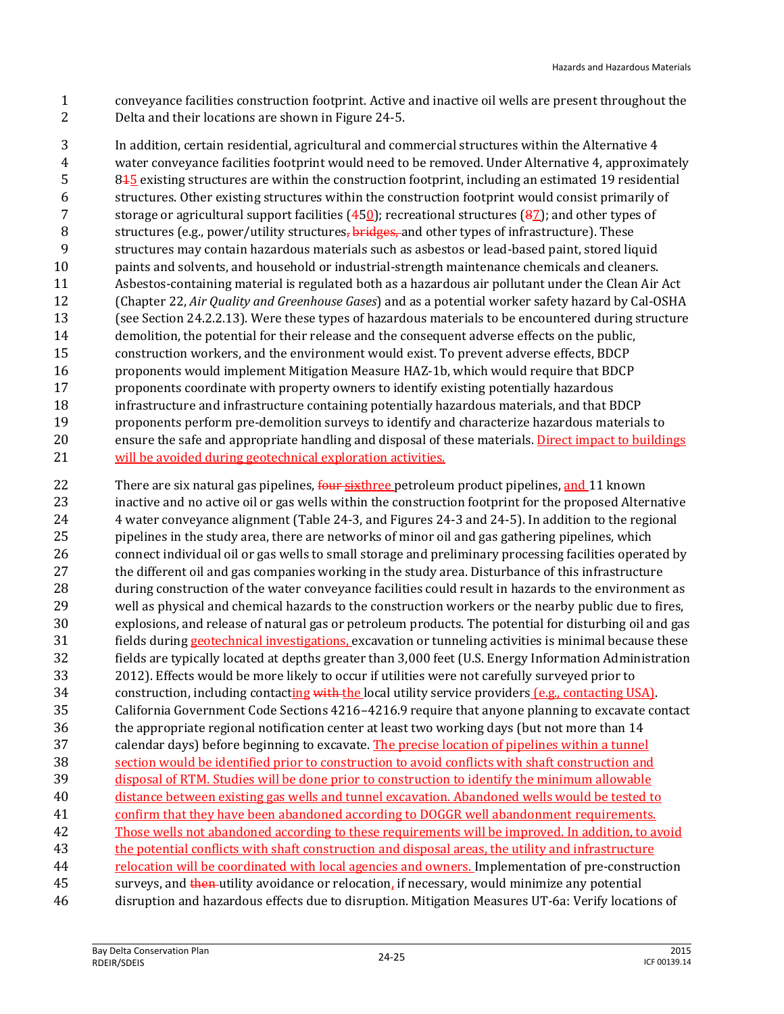conveyance facilities construction footprint. Active and inactive oil wells are present throughout the Delta and their locations are shown in Figure 24-5.

 In addition, certain residential, agricultural and commercial structures within the Alternative 4 water conveyance facilities footprint would need to be removed. Under Alternative 4, approximately 815 existing structures are within the construction footprint, including an estimated 19 residential structures. Other existing structures within the construction footprint would consist primarily of storage or agricultural support facilities (450); recreational structures (87); and other types of 8 structures (e.g., power/utility structures, bridges, and other types of infrastructure). These structures may contain hazardous materials such as asbestos or lead-based paint, stored liquid paints and solvents, and household or industrial-strength maintenance chemicals and cleaners. Asbestos-containing material is regulated both as a hazardous air pollutant under the Clean Air Act (Chapter 22, *Air Quality and Greenhouse Gases*) and as a potential worker safety hazard by Cal-OSHA (see Section 24.2.2.13). Were these types of hazardous materials to be encountered during structure demolition, the potential for their release and the consequent adverse effects on the public, construction workers, and the environment would exist. To prevent adverse effects, BDCP proponents would implement Mitigation Measure HAZ-1b, which would require that BDCP proponents coordinate with property owners to identify existing potentially hazardous infrastructure and infrastructure containing potentially hazardous materials, and that BDCP proponents perform pre-demolition surveys to identify and characterize hazardous materials to ensure the safe and appropriate handling and disposal of these materials. Direct impact to buildings 21 will be avoided during geotechnical exploration activities.

22 There are six natural gas pipelines, four sixthree petroleum product pipelines, and 11 known inactive and no active oil or gas wells within the construction footprint for the proposed Alternative 4 water conveyance alignment (Table 24-3, and Figures 24-3 and 24-5). In addition to the regional 25 pipelines in the study area, there are networks of minor oil and gas gathering pipelines, which connect individual oil or gas wells to small storage and preliminary processing facilities operated by the different oil and gas companies working in the study area. Disturbance of this infrastructure during construction of the water conveyance facilities could result in hazards to the environment as well as physical and chemical hazards to the construction workers or the nearby public due to fires, explosions, and release of natural gas or petroleum products. The potential for disturbing oil and gas fields during geotechnical investigations, excavation or tunneling activities is minimal because these fields are typically located at depths greater than 3,000 feet (U.S. Energy Information Administration 2012). Effects would be more likely to occur if utilities were not carefully surveyed prior to 34 construction, including contacting with the local utility service providers (e.g., contacting USA). California Government Code Sections 4216–4216.9 require that anyone planning to excavate contact the appropriate regional notification center at least two working days (but not more than 14 calendar days) before beginning to excavate. The precise location of pipelines within a tunnel section would be identified prior to construction to avoid conflicts with shaft construction and disposal of RTM. Studies will be done prior to construction to identify the minimum allowable distance between existing gas wells and tunnel excavation. Abandoned wells would be tested to confirm that they have been abandoned according to DOGGR well abandonment requirements. Those wells not abandoned according to these requirements will be improved. In addition, to avoid the potential conflicts with shaft construction and disposal areas, the utility and infrastructure 44 relocation will be coordinated with local agencies and owners. Implementation of pre-construction 45 surveys, and then utility avoidance or relocation, if necessary, would minimize any potential disruption and hazardous effects due to disruption. Mitigation Measures UT-6a: Verify locations of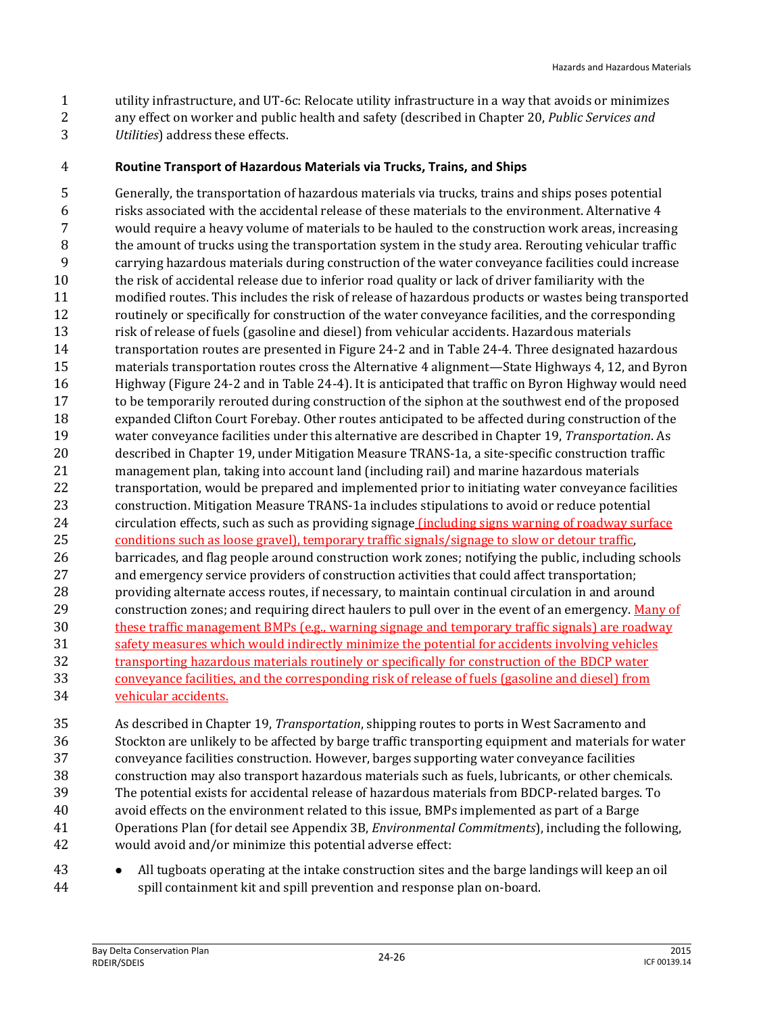- utility infrastructure, and UT-6c: Relocate utility infrastructure in a way that avoids or minimizes any effect on worker and public health and safety (described in Chapter 20, *Public Services and Utilities*) address these effects.
- **Routine Transport of Hazardous Materials via Trucks, Trains, and Ships**

 Generally, the transportation of hazardous materials via trucks, trains and ships poses potential risks associated with the accidental release of these materials to the environment. Alternative 4 would require a heavy volume of materials to be hauled to the construction work areas, increasing the amount of trucks using the transportation system in the study area. Rerouting vehicular traffic carrying hazardous materials during construction of the water conveyance facilities could increase the risk of accidental release due to inferior road quality or lack of driver familiarity with the modified routes. This includes the risk of release of hazardous products or wastes being transported routinely or specifically for construction of the water conveyance facilities, and the corresponding risk of release of fuels (gasoline and diesel) from vehicular accidents. Hazardous materials transportation routes are presented in Figure 24-2 and in Table 24-4. Three designated hazardous materials transportation routes cross the Alternative 4 alignment—State Highways 4, 12, and Byron Highway (Figure 24-2 and in Table 24-4). It is anticipated that traffic on Byron Highway would need to be temporarily rerouted during construction of the siphon at the southwest end of the proposed expanded Clifton Court Forebay. Other routes anticipated to be affected during construction of the water conveyance facilities under this alternative are described in Chapter 19, *Transportation*. As described in Chapter 19, under Mitigation Measure TRANS-1a, a site-specific construction traffic management plan, taking into account land (including rail) and marine hazardous materials transportation, would be prepared and implemented prior to initiating water conveyance facilities construction. Mitigation Measure TRANS-1a includes stipulations to avoid or reduce potential circulation effects, such as such as providing signage (including signs warning of roadway surface conditions such as loose gravel), temporary traffic signals/signage to slow or detour traffic, barricades, and flag people around construction work zones; notifying the public, including schools and emergency service providers of construction activities that could affect transportation; providing alternate access routes, if necessary, to maintain continual circulation in and around construction zones; and requiring direct haulers to pull over in the event of an emergency. Many of these traffic management BMPs (e.g., warning signage and temporary traffic signals) are roadway safety measures which would indirectly minimize the potential for accidents involving vehicles transporting hazardous materials routinely or specifically for construction of the BDCP water conveyance facilities, and the corresponding risk of release of fuels (gasoline and diesel) from vehicular accidents.

 As described in Chapter 19, *Transportation*, shipping routes to ports in West Sacramento and Stockton are unlikely to be affected by barge traffic transporting equipment and materials for water conveyance facilities construction. However, barges supporting water conveyance facilities construction may also transport hazardous materials such as fuels, lubricants, or other chemicals. The potential exists for accidental release of hazardous materials from BDCP-related barges. To avoid effects on the environment related to this issue, BMPs implemented as part of a Barge Operations Plan (for detail see Appendix 3B, *Environmental Commitments*), including the following, would avoid and/or minimize this potential adverse effect:

**All tugboats operating at the intake construction sites and the barge landings will keep an oil** spill containment kit and spill prevention and response plan on-board.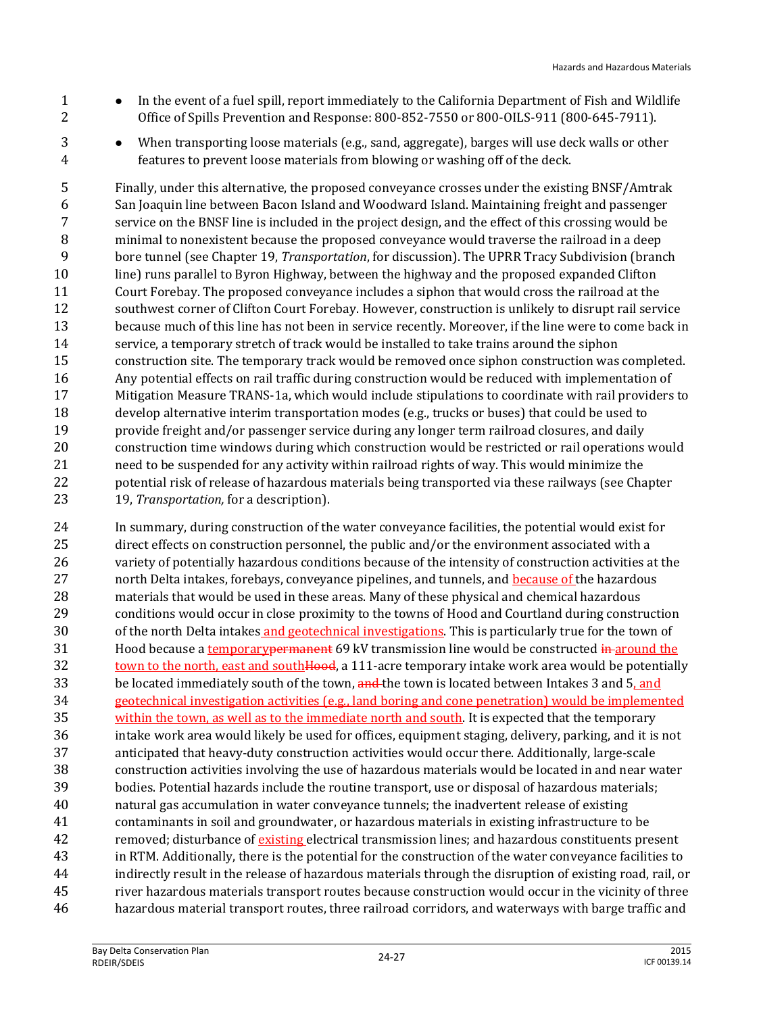- 1 In the event of a fuel spill, report immediately to the California Department of Fish and Wildlife Office of Spills Prevention and Response: 800-852-7550 or 800-OILS-911 (800-645-7911).
- When transporting loose materials (e.g., sand, aggregate), barges will use deck walls or other features to prevent loose materials from blowing or washing off of the deck.

 Finally, under this alternative, the proposed conveyance crosses under the existing BNSF/Amtrak San Joaquin line between Bacon Island and Woodward Island. Maintaining freight and passenger service on the BNSF line is included in the project design, and the effect of this crossing would be minimal to nonexistent because the proposed conveyance would traverse the railroad in a deep bore tunnel (see Chapter 19, *Transportation*, for discussion). The UPRR Tracy Subdivision (branch line) runs parallel to Byron Highway, between the highway and the proposed expanded Clifton Court Forebay. The proposed conveyance includes a siphon that would cross the railroad at the southwest corner of Clifton Court Forebay. However, construction is unlikely to disrupt rail service because much of this line has not been in service recently. Moreover, if the line were to come back in service, a temporary stretch of track would be installed to take trains around the siphon construction site. The temporary track would be removed once siphon construction was completed. Any potential effects on rail traffic during construction would be reduced with implementation of Mitigation Measure TRANS-1a, which would include stipulations to coordinate with rail providers to develop alternative interim transportation modes (e.g., trucks or buses) that could be used to provide freight and/or passenger service during any longer term railroad closures, and daily construction time windows during which construction would be restricted or rail operations would need to be suspended for any activity within railroad rights of way. This would minimize the potential risk of release of hazardous materials being transported via these railways (see Chapter 19, *Transportation,* for a description).

 In summary, during construction of the water conveyance facilities, the potential would exist for direct effects on construction personnel, the public and/or the environment associated with a variety of potentially hazardous conditions because of the intensity of construction activities at the 27 north Delta intakes, forebays, conveyance pipelines, and tunnels, and because of the hazardous materials that would be used in these areas. Many of these physical and chemical hazardous conditions would occur in close proximity to the towns of Hood and Courtland during construction of the north Delta intakes and geotechnical investigations. This is particularly true for the town of 31 Hood because a temporary permanent 69 kV transmission line would be constructed in around the 32 town to the north, east and south **Hood**, a 111-acre temporary intake work area would be potentially 33 be located immediately south of the town, and the town is located between Intakes 3 and 5, and geotechnical investigation activities (e.g., land boring and cone penetration) would be implemented 35 within the town, as well as to the immediate north and south. It is expected that the temporary intake work area would likely be used for offices, equipment staging, delivery, parking, and it is not anticipated that heavy-duty construction activities would occur there. Additionally, large-scale construction activities involving the use of hazardous materials would be located in and near water bodies. Potential hazards include the routine transport, use or disposal of hazardous materials; natural gas accumulation in water conveyance tunnels; the inadvertent release of existing contaminants in soil and groundwater, or hazardous materials in existing infrastructure to be 42 removed; disturbance of existing electrical transmission lines; and hazardous constituents present in RTM. Additionally, there is the potential for the construction of the water conveyance facilities to indirectly result in the release of hazardous materials through the disruption of existing road, rail, or river hazardous materials transport routes because construction would occur in the vicinity of three hazardous material transport routes, three railroad corridors, and waterways with barge traffic and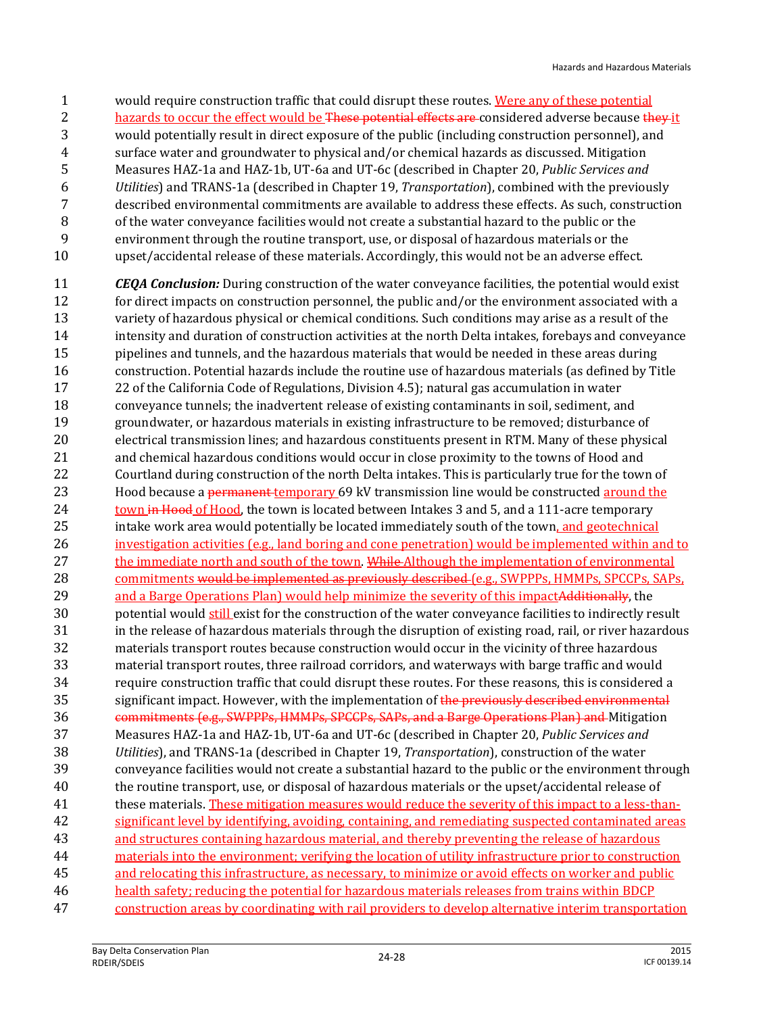- 1 would require construction traffic that could disrupt these routes. Were any of these potential
- 2 hazards to occur the effect would be These potential effects are considered adverse because they it
- would potentially result in direct exposure of the public (including construction personnel), and
- surface water and groundwater to physical and/or chemical hazards as discussed. Mitigation
- Measures HAZ-1a and HAZ-1b, UT-6a and UT-6c (described in Chapter 20, *Public Services and*
- *Utilities*) and TRANS-1a (described in Chapter 19, *Transportation*), combined with the previously described environmental commitments are available to address these effects. As such, construction
- of the water conveyance facilities would not create a substantial hazard to the public or the
- environment through the routine transport, use, or disposal of hazardous materials or the
- upset/accidental release of these materials. Accordingly, this would not be an adverse effect.
- *CEQA Conclusion:* During construction of the water conveyance facilities, the potential would exist 12 for direct impacts on construction personnel, the public and/or the environment associated with a variety of hazardous physical or chemical conditions. Such conditions may arise as a result of the intensity and duration of construction activities at the north Delta intakes, forebays and conveyance pipelines and tunnels, and the hazardous materials that would be needed in these areas during construction. Potential hazards include the routine use of hazardous materials (as defined by Title 22 of the California Code of Regulations, Division 4.5); natural gas accumulation in water conveyance tunnels; the inadvertent release of existing contaminants in soil, sediment, and groundwater, or hazardous materials in existing infrastructure to be removed; disturbance of electrical transmission lines; and hazardous constituents present in RTM. Many of these physical and chemical hazardous conditions would occur in close proximity to the towns of Hood and Courtland during construction of the north Delta intakes. This is particularly true for the town of 23 Hood because a permanent temporary 69 kV transmission line would be constructed around the 24 town in Hood of Hood, the town is located between Intakes 3 and 5, and a 111-acre temporary 25 intake work area would potentially be located immediately south of the town, and geotechnical investigation activities (e.g., land boring and cone penetration) would be implemented within and to 27 the immediate north and south of the town. While Although the implementation of environmental 28 commitments would be implemented as previously described (e.g., SWPPPs, HMMPs, SPCCPs, SAPs, 29 and a Barge Operations Plan) would help minimize the severity of this impactAdditionally, the 30 potential would still exist for the construction of the water conveyance facilities to indirectly result in the release of hazardous materials through the disruption of existing road, rail, or river hazardous materials transport routes because construction would occur in the vicinity of three hazardous material transport routes, three railroad corridors, and waterways with barge traffic and would require construction traffic that could disrupt these routes. For these reasons, this is considered a 35 significant impact. However, with the implementation of the previously described environmental 36 commitments (e.g., SWPPPs, HMMPs, SPCCPs, SAPs, and a Barge Operations Plan) and Mitigation Measures HAZ-1a and HAZ-1b, UT-6a and UT-6c (described in Chapter 20, *Public Services and Utilities*), and TRANS-1a (described in Chapter 19, *Transportation*), construction of the water conveyance facilities would not create a substantial hazard to the public or the environment through the routine transport, use, or disposal of hazardous materials or the upset/accidental release of these materials. These mitigation measures would reduce the severity of this impact to a less-than- significant level by identifying, avoiding, containing, and remediating suspected contaminated areas and structures containing hazardous material, and thereby preventing the release of hazardous materials into the environment; verifying the location of utility infrastructure prior to construction and relocating this infrastructure, as necessary, to minimize or avoid effects on worker and public health safety; reducing the potential for hazardous materials releases from trains within BDCP construction areas by coordinating with rail providers to develop alternative interim transportation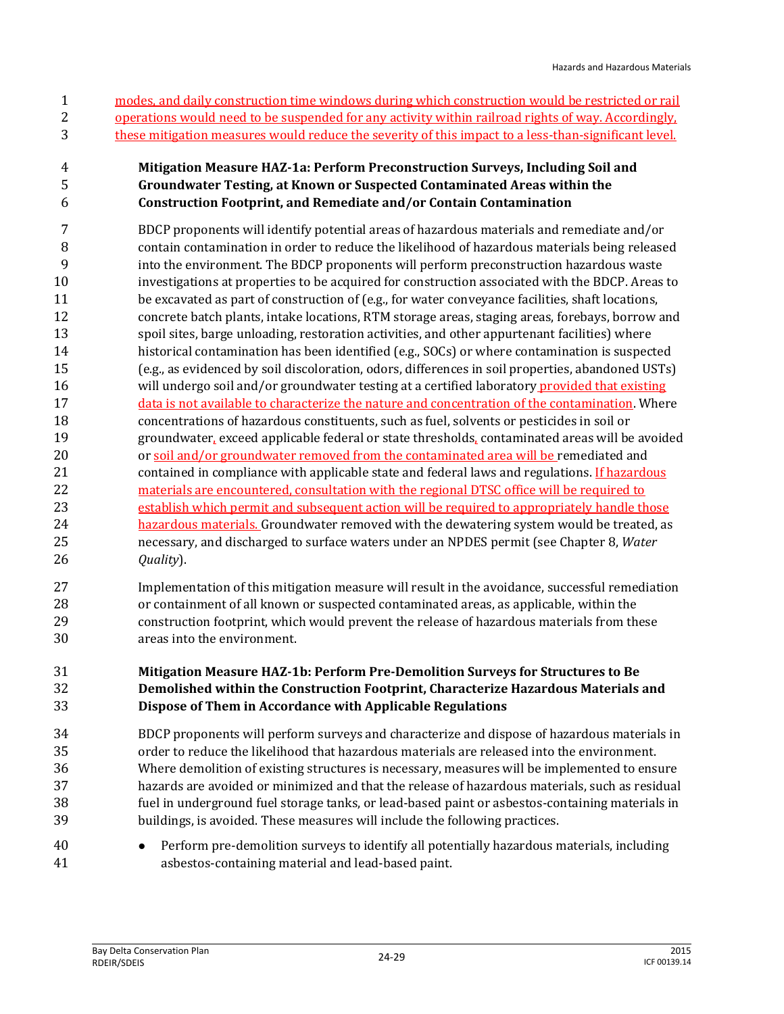modes, and daily construction time windows during which construction would be restricted or rail operations would need to be suspended for any activity within railroad rights of way. Accordingly, these mitigation measures would reduce the severity of this impact to a less-than-significant level.

#### **Mitigation Measure HAZ-1a: Perform Preconstruction Surveys, Including Soil and Groundwater Testing, at Known or Suspected Contaminated Areas within the Construction Footprint, and Remediate and/or Contain Contamination**

- BDCP proponents will identify potential areas of hazardous materials and remediate and/or contain contamination in order to reduce the likelihood of hazardous materials being released into the environment. The BDCP proponents will perform preconstruction hazardous waste investigations at properties to be acquired for construction associated with the BDCP. Areas to 11 be excavated as part of construction of (e.g., for water conveyance facilities, shaft locations, concrete batch plants, intake locations, RTM storage areas, staging areas, forebays, borrow and spoil sites, barge unloading, restoration activities, and other appurtenant facilities) where historical contamination has been identified (e.g., SOCs) or where contamination is suspected (e.g., as evidenced by soil discoloration, odors, differences in soil properties, abandoned USTs) 16 will undergo soil and/or groundwater testing at a certified laboratory provided that existing 17 data is not available to characterize the nature and concentration of the contamination. Where concentrations of hazardous constituents, such as fuel, solvents or pesticides in soil or groundwater, exceed applicable federal or state thresholds, contaminated areas will be avoided 20 or soil and/or groundwater removed from the contaminated area will be remediated and contained in compliance with applicable state and federal laws and regulations. If hazardous materials are encountered, consultation with the regional DTSC office will be required to establish which permit and subsequent action will be required to appropriately handle those hazardous materials. Groundwater removed with the dewatering system would be treated, as necessary, and discharged to surface waters under an NPDES permit (see Chapter 8, *Water Quality*).
- Implementation of this mitigation measure will result in the avoidance, successful remediation or containment of all known or suspected contaminated areas, as applicable, within the construction footprint, which would prevent the release of hazardous materials from these areas into the environment.

#### **Mitigation Measure HAZ-1b: Perform Pre-Demolition Surveys for Structures to Be Demolished within the Construction Footprint, Characterize Hazardous Materials and Dispose of Them in Accordance with Applicable Regulations**

- BDCP proponents will perform surveys and characterize and dispose of hazardous materials in order to reduce the likelihood that hazardous materials are released into the environment. Where demolition of existing structures is necessary, measures will be implemented to ensure hazards are avoided or minimized and that the release of hazardous materials, such as residual fuel in underground fuel storage tanks, or lead-based paint or asbestos-containing materials in buildings, is avoided. These measures will include the following practices.
- Perform pre-demolition surveys to identify all potentially hazardous materials, including asbestos-containing material and lead-based paint.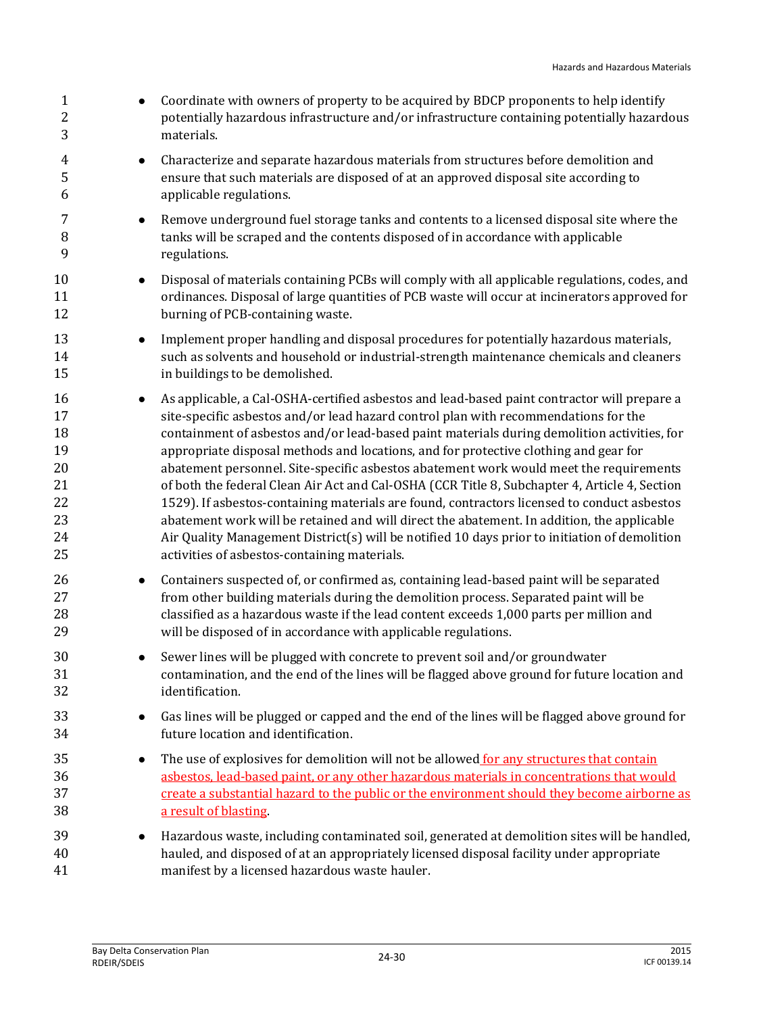| $\mathbf{1}$<br>$\overline{c}$<br>3                      | $\bullet$ | Coordinate with owners of property to be acquired by BDCP proponents to help identify<br>potentially hazardous infrastructure and/or infrastructure containing potentially hazardous<br>materials.                                                                                                                                                                                                                                                                                                                                                                                                                                                                                                                                                                                                                                                                                                                 |
|----------------------------------------------------------|-----------|--------------------------------------------------------------------------------------------------------------------------------------------------------------------------------------------------------------------------------------------------------------------------------------------------------------------------------------------------------------------------------------------------------------------------------------------------------------------------------------------------------------------------------------------------------------------------------------------------------------------------------------------------------------------------------------------------------------------------------------------------------------------------------------------------------------------------------------------------------------------------------------------------------------------|
| 4<br>5<br>6                                              | $\bullet$ | Characterize and separate hazardous materials from structures before demolition and<br>ensure that such materials are disposed of at an approved disposal site according to<br>applicable regulations.                                                                                                                                                                                                                                                                                                                                                                                                                                                                                                                                                                                                                                                                                                             |
| 7<br>8<br>9                                              | $\bullet$ | Remove underground fuel storage tanks and contents to a licensed disposal site where the<br>tanks will be scraped and the contents disposed of in accordance with applicable<br>regulations.                                                                                                                                                                                                                                                                                                                                                                                                                                                                                                                                                                                                                                                                                                                       |
| 10<br>11<br>12                                           | $\bullet$ | Disposal of materials containing PCBs will comply with all applicable regulations, codes, and<br>ordinances. Disposal of large quantities of PCB waste will occur at incinerators approved for<br>burning of PCB-containing waste.                                                                                                                                                                                                                                                                                                                                                                                                                                                                                                                                                                                                                                                                                 |
| 13<br>14<br>15                                           | $\bullet$ | Implement proper handling and disposal procedures for potentially hazardous materials,<br>such as solvents and household or industrial-strength maintenance chemicals and cleaners<br>in buildings to be demolished.                                                                                                                                                                                                                                                                                                                                                                                                                                                                                                                                                                                                                                                                                               |
| 16<br>17<br>18<br>19<br>20<br>21<br>22<br>23<br>24<br>25 | $\bullet$ | As applicable, a Cal-OSHA-certified asbestos and lead-based paint contractor will prepare a<br>site-specific asbestos and/or lead hazard control plan with recommendations for the<br>containment of asbestos and/or lead-based paint materials during demolition activities, for<br>appropriate disposal methods and locations, and for protective clothing and gear for<br>abatement personnel. Site-specific asbestos abatement work would meet the requirements<br>of both the federal Clean Air Act and Cal-OSHA (CCR Title 8, Subchapter 4, Article 4, Section<br>1529). If asbestos-containing materials are found, contractors licensed to conduct asbestos<br>abatement work will be retained and will direct the abatement. In addition, the applicable<br>Air Quality Management District(s) will be notified 10 days prior to initiation of demolition<br>activities of asbestos-containing materials. |
| 26<br>27<br>28<br>29                                     | $\bullet$ | Containers suspected of, or confirmed as, containing lead-based paint will be separated<br>from other building materials during the demolition process. Separated paint will be<br>classified as a hazardous waste if the lead content exceeds 1,000 parts per million and<br>will be disposed of in accordance with applicable regulations.                                                                                                                                                                                                                                                                                                                                                                                                                                                                                                                                                                       |
| 30<br>31<br>32                                           |           | Sewer lines will be plugged with concrete to prevent soil and/or groundwater<br>contamination, and the end of the lines will be flagged above ground for future location and<br>identification.                                                                                                                                                                                                                                                                                                                                                                                                                                                                                                                                                                                                                                                                                                                    |
| 33<br>34                                                 | $\bullet$ | Gas lines will be plugged or capped and the end of the lines will be flagged above ground for<br>future location and identification.                                                                                                                                                                                                                                                                                                                                                                                                                                                                                                                                                                                                                                                                                                                                                                               |
| 35<br>36<br>37<br>38                                     | $\bullet$ | The use of explosives for demolition will not be allowed for any structures that contain<br>asbestos, lead-based paint, or any other hazardous materials in concentrations that would<br>create a substantial hazard to the public or the environment should they become airborne as<br>a result of blasting                                                                                                                                                                                                                                                                                                                                                                                                                                                                                                                                                                                                       |
| 39<br>40<br>41                                           | $\bullet$ | Hazardous waste, including contaminated soil, generated at demolition sites will be handled,<br>hauled, and disposed of at an appropriately licensed disposal facility under appropriate<br>manifest by a licensed hazardous waste hauler.                                                                                                                                                                                                                                                                                                                                                                                                                                                                                                                                                                                                                                                                         |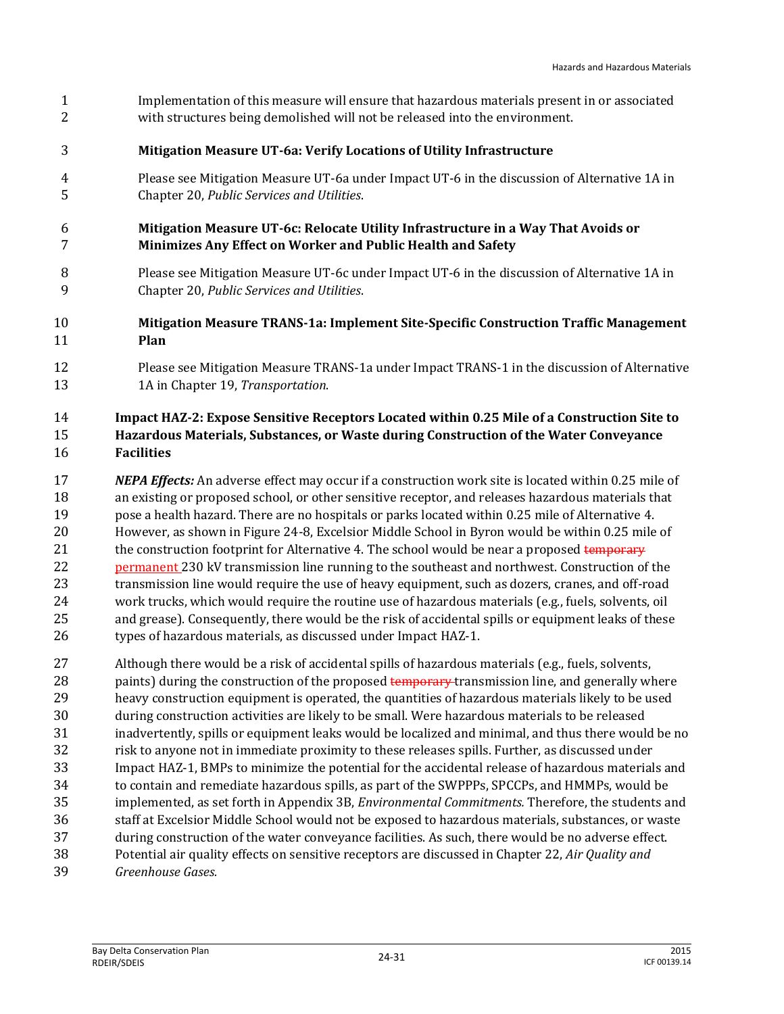- Implementation of this measure will ensure that hazardous materials present in or associated with structures being demolished will not be released into the environment.
- **Mitigation Measure UT-6a: Verify Locations of Utility Infrastructure**
- Please see Mitigation Measure UT-6a under Impact UT-6 in the discussion of Alternative 1A in Chapter 20, *Public Services and Utilities*.
- **Mitigation Measure UT-6c: Relocate Utility Infrastructure in a Way That Avoids or Minimizes Any Effect on Worker and Public Health and Safety**
- Please see Mitigation Measure UT-6c under Impact UT-6 in the discussion of Alternative 1A in Chapter 20, *Public Services and Utilities*.
- **Mitigation Measure TRANS-1a: Implement Site-Specific Construction Traffic Management Plan**
- Please see Mitigation Measure TRANS-1a under Impact TRANS-1 in the discussion of Alternative 1A in Chapter 19, *Transportation*.

#### **Impact HAZ-2: Expose Sensitive Receptors Located within 0.25 Mile of a Construction Site to Hazardous Materials, Substances, or Waste during Construction of the Water Conveyance Facilities**

 *NEPA Effects:* An adverse effect may occur if a construction work site is located within 0.25 mile of an existing or proposed school, or other sensitive receptor, and releases hazardous materials that pose a health hazard. There are no hospitals or parks located within 0.25 mile of Alternative 4. However, as shown in Figure 24-8, Excelsior Middle School in Byron would be within 0.25 mile of 21 the construction footprint for Alternative 4. The school would be near a proposed temporary permanent 230 kV transmission line running to the southeast and northwest. Construction of the transmission line would require the use of heavy equipment, such as dozers, cranes, and off-road work trucks, which would require the routine use of hazardous materials (e.g., fuels, solvents, oil and grease). Consequently, there would be the risk of accidental spills or equipment leaks of these types of hazardous materials, as discussed under Impact HAZ-1.

- Although there would be a risk of accidental spills of hazardous materials (e.g., fuels, solvents, 28 paints) during the construction of the proposed temporary transmission line, and generally where heavy construction equipment is operated, the quantities of hazardous materials likely to be used during construction activities are likely to be small. Were hazardous materials to be released inadvertently, spills or equipment leaks would be localized and minimal, and thus there would be no risk to anyone not in immediate proximity to these releases spills. Further, as discussed under Impact HAZ-1, BMPs to minimize the potential for the accidental release of hazardous materials and to contain and remediate hazardous spills, as part of the SWPPPs, SPCCPs, and HMMPs, would be implemented, as set forth in Appendix 3B, *Environmental Commitments.* Therefore, the students and staff at Excelsior Middle School would not be exposed to hazardous materials, substances, or waste during construction of the water conveyance facilities. As such, there would be no adverse effect. Potential air quality effects on sensitive receptors are discussed in Chapter 22, *Air Quality and*
- *Greenhouse Gases.*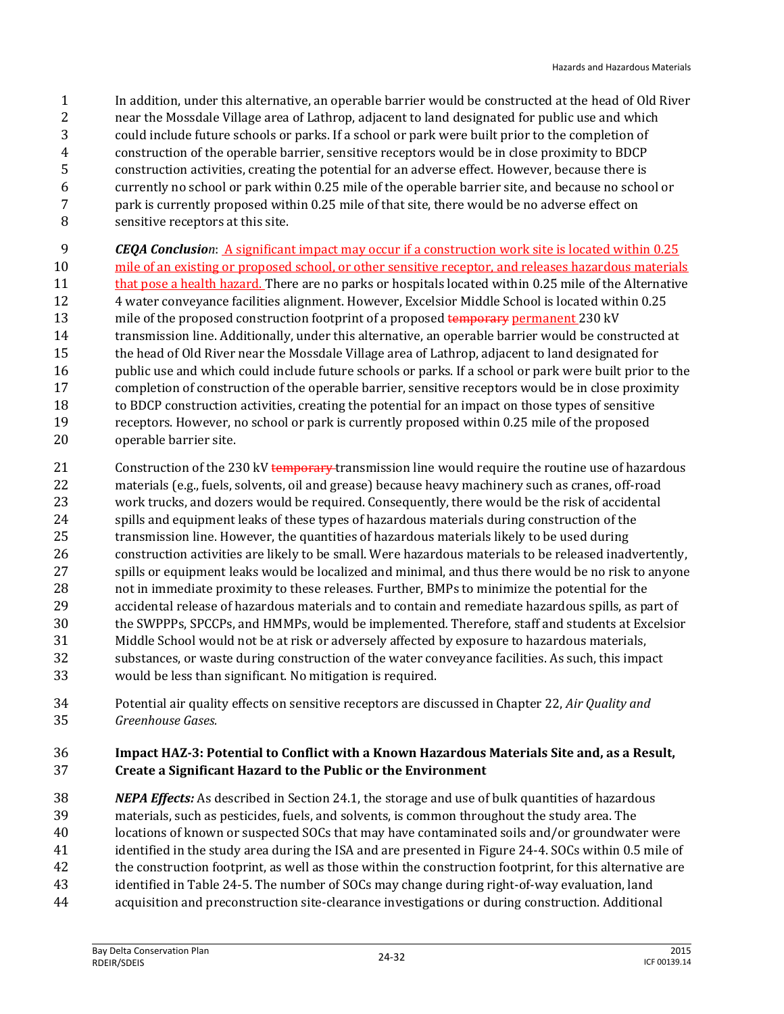- In addition, under this alternative, an operable barrier would be constructed at the head of Old River near the Mossdale Village area of Lathrop, adjacent to land designated for public use and which could include future schools or parks. If a school or park were built prior to the completion of construction of the operable barrier, sensitive receptors would be in close proximity to BDCP construction activities, creating the potential for an adverse effect. However, because there is currently no school or park within 0.25 mile of the operable barrier site, and because no school or park is currently proposed within 0.25 mile of that site, there would be no adverse effect on sensitive receptors at this site.
- *CEQA Conclusion*: A significant impact may occur if a construction work site is located within 0.25
- mile of an existing or proposed school, or other sensitive receptor, and releases hazardous materials 11 that pose a health hazard. There are no parks or hospitals located within 0.25 mile of the Alternative 4 water conveyance facilities alignment. However, Excelsior Middle School is located within 0.25 13 mile of the proposed construction footprint of a proposed temporary permanent 230 kV transmission line. Additionally, under this alternative, an operable barrier would be constructed at the head of Old River near the Mossdale Village area of Lathrop, adjacent to land designated for 16 public use and which could include future schools or parks. If a school or park were built prior to the completion of construction of the operable barrier, sensitive receptors would be in close proximity to BDCP construction activities, creating the potential for an impact on those types of sensitive receptors. However, no school or park is currently proposed within 0.25 mile of the proposed operable barrier site.
- 21 Construction of the 230 kV temporary transmission line would require the routine use of hazardous materials (e.g., fuels, solvents, oil and grease) because heavy machinery such as cranes, off-road work trucks, and dozers would be required. Consequently, there would be the risk of accidental spills and equipment leaks of these types of hazardous materials during construction of the transmission line. However, the quantities of hazardous materials likely to be used during construction activities are likely to be small. Were hazardous materials to be released inadvertently, spills or equipment leaks would be localized and minimal, and thus there would be no risk to anyone not in immediate proximity to these releases. Further, BMPs to minimize the potential for the accidental release of hazardous materials and to contain and remediate hazardous spills, as part of the SWPPPs, SPCCPs, and HMMPs, would be implemented*.* Therefore, staff and students at Excelsior Middle School would not be at risk or adversely affected by exposure to hazardous materials, substances, or waste during construction of the water conveyance facilities. As such, this impact would be less than significant. No mitigation is required.
- Potential air quality effects on sensitive receptors are discussed in Chapter 22, *Air Quality and Greenhouse Gases.*

#### **Impact HAZ-3: Potential to Conflict with a Known Hazardous Materials Site and, as a Result, Create a Significant Hazard to the Public or the Environment**

- *NEPA Effects:* As described in Section 24.1, the storage and use of bulk quantities of hazardous materials, such as pesticides, fuels, and solvents, is common throughout the study area. The locations of known or suspected SOCs that may have contaminated soils and/or groundwater were identified in the study area during the ISA and are presented in Figure 24-4. SOCs within 0.5 mile of the construction footprint, as well as those within the construction footprint, for this alternative are identified in Table 24-5. The number of SOCs may change during right-of-way evaluation, land
- acquisition and preconstruction site-clearance investigations or during construction. Additional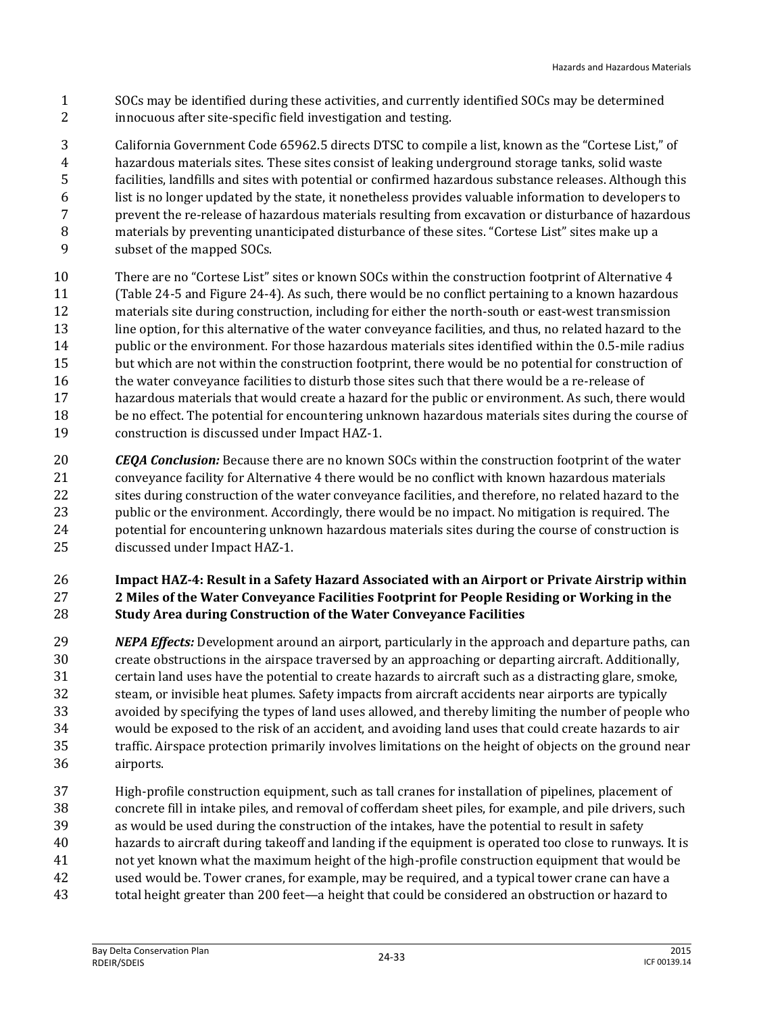- SOCs may be identified during these activities, and currently identified SOCs may be determined innocuous after site-specific field investigation and testing.
- California Government Code 65962.5 directs DTSC to compile a list, known as the "Cortese List," of hazardous materials sites. These sites consist of leaking underground storage tanks, solid waste facilities, landfills and sites with potential or confirmed hazardous substance releases. Although this list is no longer updated by the state, it nonetheless provides valuable information to developers to prevent the re-release of hazardous materials resulting from excavation or disturbance of hazardous materials by preventing unanticipated disturbance of these sites. "Cortese List" sites make up a subset of the mapped SOCs.
- There are no "Cortese List" sites or known SOCs within the construction footprint of Alternative 4 (Table 24-5 and Figure 24-4). As such, there would be no conflict pertaining to a known hazardous materials site during construction, including for either the north-south or east-west transmission line option, for this alternative of the water conveyance facilities, and thus, no related hazard to the public or the environment. For those hazardous materials sites identified within the 0.5-mile radius but which are not within the construction footprint, there would be no potential for construction of the water conveyance facilities to disturb those sites such that there would be a re-release of hazardous materials that would create a hazard for the public or environment. As such, there would be no effect. The potential for encountering unknown hazardous materials sites during the course of construction is discussed under Impact HAZ-1.
- *CEQA Conclusion:* Because there are no known SOCs within the construction footprint of the water conveyance facility for Alternative 4 there would be no conflict with known hazardous materials sites during construction of the water conveyance facilities, and therefore, no related hazard to the public or the environment. Accordingly, there would be no impact. No mitigation is required. The potential for encountering unknown hazardous materials sites during the course of construction is discussed under Impact HAZ-1.

#### **Impact HAZ-4: Result in a Safety Hazard Associated with an Airport or Private Airstrip within 2 Miles of the Water Conveyance Facilities Footprint for People Residing or Working in the Study Area during Construction of the Water Conveyance Facilities**

- *NEPA Effects:* Development around an airport, particularly in the approach and departure paths, can create obstructions in the airspace traversed by an approaching or departing aircraft. Additionally, certain land uses have the potential to create hazards to aircraft such as a distracting glare, smoke, steam, or invisible heat plumes. Safety impacts from aircraft accidents near airports are typically avoided by specifying the types of land uses allowed, and thereby limiting the number of people who would be exposed to the risk of an accident, and avoiding land uses that could create hazards to air traffic. Airspace protection primarily involves limitations on the height of objects on the ground near airports.
- High-profile construction equipment, such as tall cranes for installation of pipelines, placement of concrete fill in intake piles, and removal of cofferdam sheet piles, for example, and pile drivers, such as would be used during the construction of the intakes, have the potential to result in safety hazards to aircraft during takeoff and landing if the equipment is operated too close to runways. It is not yet known what the maximum height of the high-profile construction equipment that would be used would be. Tower cranes, for example, may be required, and a typical tower crane can have a
- total height greater than 200 feet—a height that could be considered an obstruction or hazard to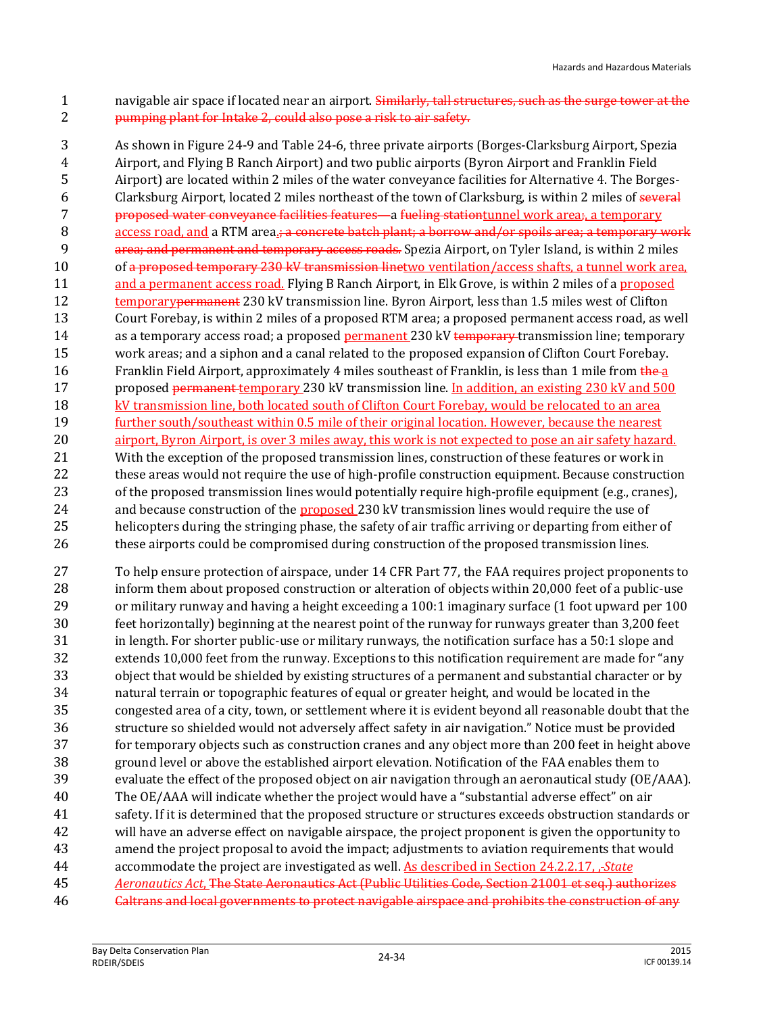1 navigable air space if located near an airport. Similarly, tall structures, such as the surge tower at the pumping plant for Intake 2, could also pose a risk to air safety.

 As shown in Figure 24-9 and Table 24-6, three private airports (Borges-Clarksburg Airport, Spezia Airport, and Flying B Ranch Airport) and two public airports (Byron Airport and Franklin Field Airport) are located within 2 miles of the water conveyance facilities for Alternative 4. The Borges- Clarksburg Airport, located 2 miles northeast of the town of Clarksburg, is within 2 miles of several proposed water conveyance facilities features—a fueling stationtunnel work area;, a temporary 8 access road, and a RTM area.<del>; a concrete batch plant; a borrow and/or spoils area; a temporary work</del> **area; and permanent and temporary access roads.** Spezia Airport, on Tyler Island, is within 2 miles 10 of a proposed temporary 230 kV transmission linetwo ventilation/access shafts, a tunnel work area, 11 and a permanent access road. Flying B Ranch Airport, in Elk Grove, is within 2 miles of a proposed 12 temporary permanent 230 kV transmission line. Byron Airport, less than 1.5 miles west of Clifton Court Forebay, is within 2 miles of a proposed RTM area; a proposed permanent access road, as well 14 as a temporary access road; a proposed permanent 230 kV temporary transmission line; temporary work areas; and a siphon and a canal related to the proposed expansion of Clifton Court Forebay. 16 Franklin Field Airport, approximately 4 miles southeast of Franklin, is less than 1 mile from the a 17 proposed permanent temporary 230 kV transmission line. In addition, an existing 230 kV and 500 kV transmission line, both located south of Clifton Court Forebay, would be relocated to an area further south/southeast within 0.5 mile of their original location. However, because the nearest airport, Byron Airport, is over 3 miles away, this work is not expected to pose an air safety hazard. With the exception of the proposed transmission lines, construction of these features or work in these areas would not require the use of high-profile construction equipment. Because construction of the proposed transmission lines would potentially require high-profile equipment (e.g., cranes), 24 and because construction of the proposed 230 kV transmission lines would require the use of helicopters during the stringing phase, the safety of air traffic arriving or departing from either of 26 these airports could be compromised during construction of the proposed transmission lines.

 To help ensure protection of airspace, under 14 CFR Part 77, the FAA requires project proponents to inform them about proposed construction or alteration of objects within 20,000 feet of a public-use or military runway and having a height exceeding a 100:1 imaginary surface (1 foot upward per 100 feet horizontally) beginning at the nearest point of the runway for runways greater than 3,200 feet in length. For shorter public-use or military runways, the notification surface has a 50:1 slope and extends 10,000 feet from the runway. Exceptions to this notification requirement are made for "any object that would be shielded by existing structures of a permanent and substantial character or by natural terrain or topographic features of equal or greater height, and would be located in the congested area of a city, town, or settlement where it is evident beyond all reasonable doubt that the structure so shielded would not adversely affect safety in air navigation." Notice must be provided for temporary objects such as construction cranes and any object more than 200 feet in height above ground level or above the established airport elevation. Notification of the FAA enables them to evaluate the effect of the proposed object on air navigation through an aeronautical study (OE/AAA). The OE/AAA will indicate whether the project would have a "substantial adverse effect" on air safety. If it is determined that the proposed structure or structures exceeds obstruction standards or will have an adverse effect on navigable airspace, the project proponent is given the opportunity to amend the project proposal to avoid the impact; adjustments to aviation requirements that would accommodate the project are investigated as well. As described in Section 24.2.2.17, , *State Aeronautics Act*, The State Aeronautics Act (Public Utilities Code, Section 21001 et seq.) authorizes **Caltrans and local governments to protect navigable airspace and prohibits the construction of any**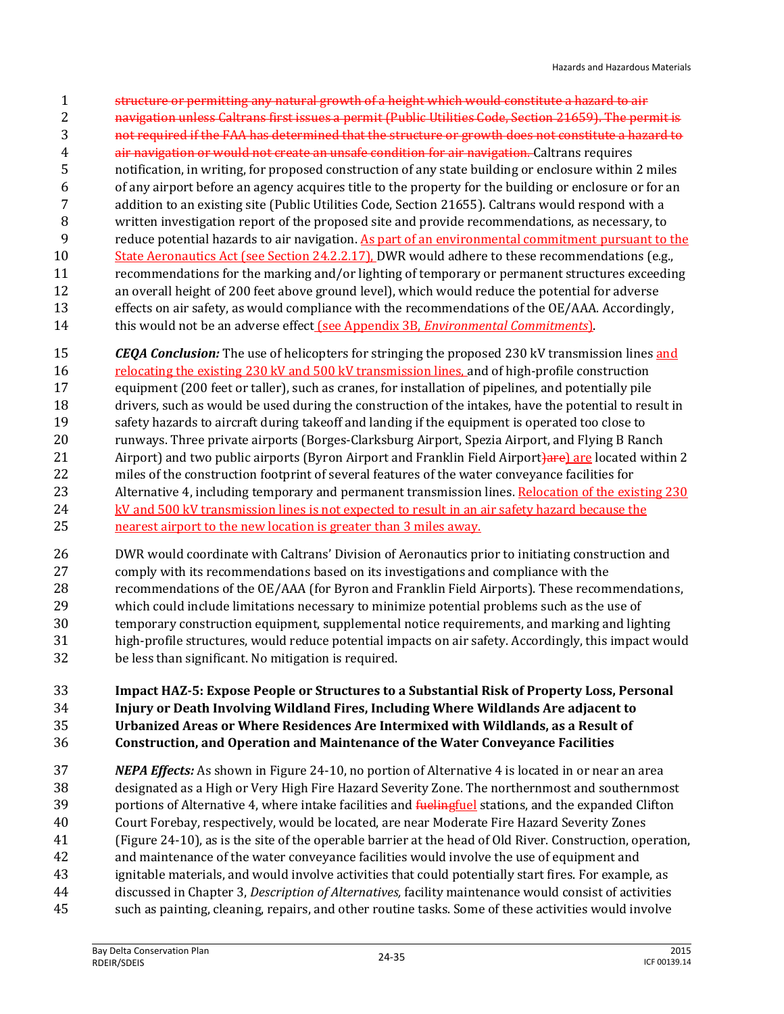- structure or permitting any natural growth of a height which would constitute a hazard to air navigation unless Caltrans first issues a permit (Public Utilities Code, Section 21659). The permit is not required if the FAA has determined that the structure or growth does not constitute a hazard to air navigation or would not create an unsafe condition for air navigation. Caltrans requires notification, in writing, for proposed construction of any state building or enclosure within 2 miles of any airport before an agency acquires title to the property for the building or enclosure or for an addition to an existing site (Public Utilities Code, Section 21655). Caltrans would respond with a written investigation report of the proposed site and provide recommendations, as necessary, to 9 reduce potential hazards to air navigation. As part of an environmental commitment pursuant to the 10 State Aeronautics Act (see Section 24.2.2.17), DWR would adhere to these recommendations (e.g., recommendations for the marking and/or lighting of temporary or permanent structures exceeding an overall height of 200 feet above ground level), which would reduce the potential for adverse effects on air safety, as would compliance with the recommendations of the OE/AAA. Accordingly, this would not be an adverse effect (see Appendix 3B, *Environmental Commitments*).
- *CEQA Conclusion:* The use of helicopters for stringing the proposed 230 kV transmission lines and 16 relocating the existing 230 kV and 500 kV transmission lines, and of high-profile construction equipment (200 feet or taller), such as cranes, for installation of pipelines, and potentially pile drivers, such as would be used during the construction of the intakes, have the potential to result in safety hazards to aircraft during takeoff and landing if the equipment is operated too close to runways. Three private airports (Borges-Clarksburg Airport, Spezia Airport, and Flying B Ranch 21 Airport) and two public airports (Byron Airport and Franklin Field Airport) are located within 2 miles of the construction footprint of several features of the water conveyance facilities for 23 Alternative 4, including temporary and permanent transmission lines. Relocation of the existing 230 kV and 500 kV transmission lines is not expected to result in an air safety hazard because the nearest airport to the new location is greater than 3 miles away.
- DWR would coordinate with Caltrans' Division of Aeronautics prior to initiating construction and comply with its recommendations based on its investigations and compliance with the recommendations of the OE/AAA (for Byron and Franklin Field Airports). These recommendations, which could include limitations necessary to minimize potential problems such as the use of temporary construction equipment, supplemental notice requirements, and marking and lighting high-profile structures, would reduce potential impacts on air safety. Accordingly, this impact would be less than significant. No mitigation is required.

#### **Impact HAZ-5: Expose People or Structures to a Substantial Risk of Property Loss, Personal Injury or Death Involving Wildland Fires, Including Where Wildlands Are adjacent to Urbanized Areas or Where Residences Are Intermixed with Wildlands, as a Result of Construction, and Operation and Maintenance of the Water Conveyance Facilities**

 *NEPA Effects:* As shown in Figure 24-10, no portion of Alternative 4 is located in or near an area designated as a High or Very High Fire Hazard Severity Zone. The northernmost and southernmost 39 portions of Alternative 4, where intake facilities and fuelingfuel stations, and the expanded Clifton Court Forebay, respectively, would be located, are near Moderate Fire Hazard Severity Zones (Figure 24-10), as is the site of the operable barrier at the head of Old River. Construction, operation, and maintenance of the water conveyance facilities would involve the use of equipment and ignitable materials, and would involve activities that could potentially start fires. For example, as discussed in Chapter 3, *Description of Alternatives,* facility maintenance would consist of activities such as painting, cleaning, repairs, and other routine tasks. Some of these activities would involve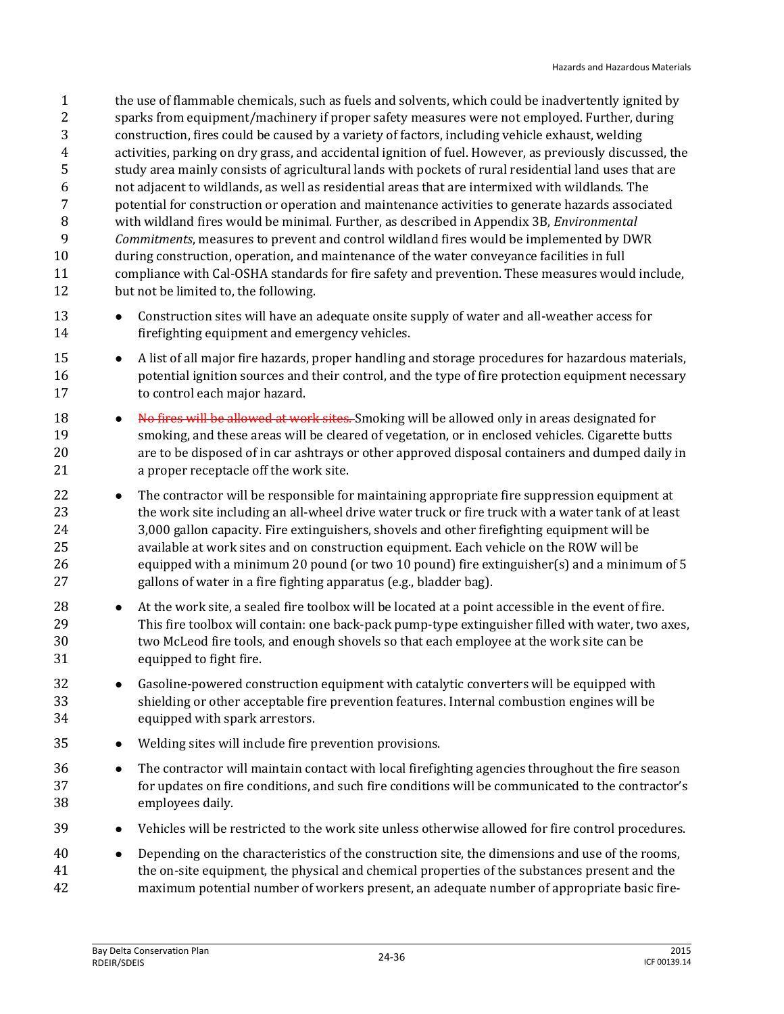the use of flammable chemicals, such as fuels and solvents, which could be inadvertently ignited by sparks from equipment/machinery if proper safety measures were not employed. Further, during construction, fires could be caused by a variety of factors, including vehicle exhaust, welding activities, parking on dry grass, and accidental ignition of fuel. However, as previously discussed, the study area mainly consists of agricultural lands with pockets of rural residential land uses that are not adjacent to wildlands, as well as residential areas that are intermixed with wildlands. The potential for construction or operation and maintenance activities to generate hazards associated with wildland fires would be minimal. Further, as described in Appendix 3B, *Environmental Commitments*, measures to prevent and control wildland fires would be implemented by DWR during construction, operation, and maintenance of the water conveyance facilities in full compliance with Cal-OSHA standards for fire safety and prevention. These measures would include, but not be limited to, the following.

- **•** Construction sites will have an adequate onsite supply of water and all-weather access for firefighting equipment and emergency vehicles.
- **•** A list of all major fire hazards, proper handling and storage procedures for hazardous materials, potential ignition sources and their control, and the type of fire protection equipment necessary to control each major hazard.
- **No fires will be allowed at work sites.** Smoking will be allowed only in areas designated for smoking, and these areas will be cleared of vegetation, or in enclosed vehicles. Cigarette butts are to be disposed of in car ashtrays or other approved disposal containers and dumped daily in a proper receptacle off the work site.
- **•** The contractor will be responsible for maintaining appropriate fire suppression equipment at the work site including an all-wheel drive water truck or fire truck with a water tank of at least 3,000 gallon capacity. Fire extinguishers, shovels and other firefighting equipment will be available at work sites and on construction equipment. Each vehicle on the ROW will be equipped with a minimum 20 pound (or two 10 pound) fire extinguisher(s) and a minimum of 5 gallons of water in a fire fighting apparatus (e.g., bladder bag).
- 28 At the work site, a sealed fire toolbox will be located at a point accessible in the event of fire. This fire toolbox will contain: one back-pack pump-type extinguisher filled with water, two axes, two McLeod fire tools, and enough shovels so that each employee at the work site can be equipped to fight fire.
- 32 Gasoline-powered construction equipment with catalytic converters will be equipped with shielding or other acceptable fire prevention features. Internal combustion engines will be equipped with spark arrestors.
- Welding sites will include fire prevention provisions.
- **•** The contractor will maintain contact with local firefighting agencies throughout the fire season for updates on fire conditions, and such fire conditions will be communicated to the contractor's employees daily.
- 39 Vehicles will be restricted to the work site unless otherwise allowed for fire control procedures.
- Depending on the characteristics of the construction site, the dimensions and use of the rooms, the on-site equipment, the physical and chemical properties of the substances present and the maximum potential number of workers present, an adequate number of appropriate basic fire-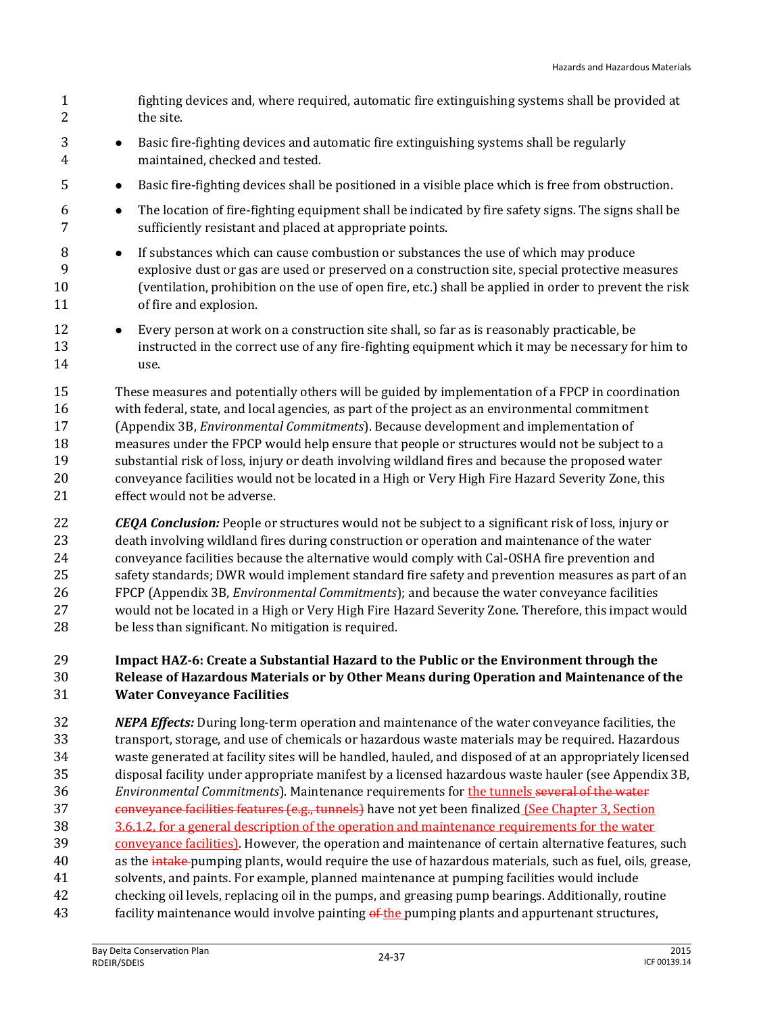- fighting devices and, where required, automatic fire extinguishing systems shall be provided at 2 the site.
- **Basic fire-fighting devices and automatic fire extinguishing systems shall be regularly** maintained, checked and tested.
- Basic fire-fighting devices shall be positioned in a visible place which is free from obstruction.
- The location of fire-fighting equipment shall be indicated by fire safety signs. The signs shall be sufficiently resistant and placed at appropriate points.
- **If substances which can cause combustion or substances the use of which may produce**  explosive dust or gas are used or preserved on a construction site, special protective measures (ventilation, prohibition on the use of open fire, etc.) shall be applied in order to prevent the risk of fire and explosion.
- 12 
Every person at work on a construction site shall, so far as is reasonably practicable, be instructed in the correct use of any fire-fighting equipment which it may be necessary for him to use.

 These measures and potentially others will be guided by implementation of a FPCP in coordination with federal, state, and local agencies, as part of the project as an environmental commitment (Appendix 3B, *Environmental Commitments*). Because development and implementation of measures under the FPCP would help ensure that people or structures would not be subject to a substantial risk of loss, injury or death involving wildland fires and because the proposed water conveyance facilities would not be located in a High or Very High Fire Hazard Severity Zone, this effect would not be adverse.

 *CEQA Conclusion:* People or structures would not be subject to a significant risk of loss, injury or death involving wildland fires during construction or operation and maintenance of the water conveyance facilities because the alternative would comply with Cal-OSHA fire prevention and safety standards; DWR would implement standard fire safety and prevention measures as part of an FPCP (Appendix 3B, *Environmental Commitments*); and because the water conveyance facilities would not be located in a High or Very High Fire Hazard Severity Zone. Therefore, this impact would be less than significant. No mitigation is required.

#### **Impact HAZ-6: Create a Substantial Hazard to the Public or the Environment through the Release of Hazardous Materials or by Other Means during Operation and Maintenance of the Water Conveyance Facilities**

- *NEPA Effects:* During long-term operation and maintenance of the water conveyance facilities, the transport, storage, and use of chemicals or hazardous waste materials may be required. Hazardous waste generated at facility sites will be handled, hauled, and disposed of at an appropriately licensed disposal facility under appropriate manifest by a licensed hazardous waste hauler (see Appendix 3B, *Environmental Commitments*). Maintenance requirements for the tunnels several of the water 37 conveyance facilities features (e.g., tunnels) have not yet been finalized (See Chapter 3, Section 3.6.1.2, for a general description of the operation and maintenance requirements for the water conveyance facilities). However, the operation and maintenance of certain alternative features, such 40 as the intake-pumping plants, would require the use of hazardous materials, such as fuel, oils, grease, solvents, and paints. For example, planned maintenance at pumping facilities would include checking oil levels, replacing oil in the pumps, and greasing pump bearings. Additionally, routine
- 43 facility maintenance would involve painting of the pumping plants and appurtenant structures,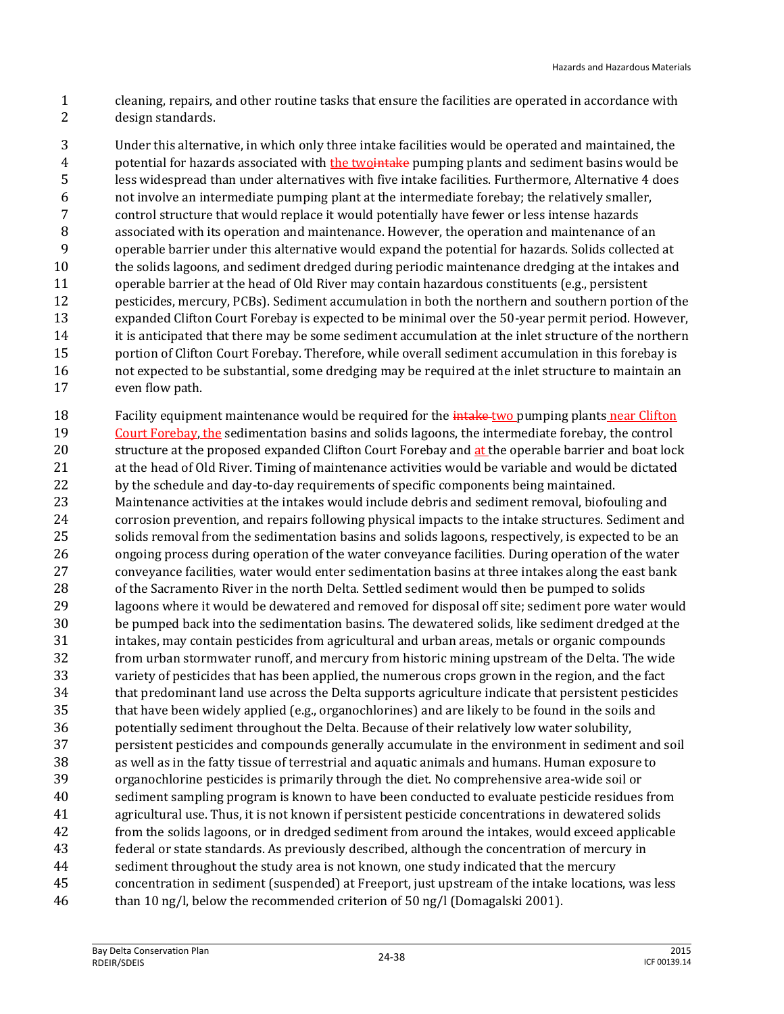cleaning, repairs, and other routine tasks that ensure the facilities are operated in accordance with design standards.

 Under this alternative, in which only three intake facilities would be operated and maintained, the 4 potential for hazards associated with the two that be pumping plants and sediment basins would be less widespread than under alternatives with five intake facilities. Furthermore, Alternative 4 does not involve an intermediate pumping plant at the intermediate forebay; the relatively smaller, control structure that would replace it would potentially have fewer or less intense hazards associated with its operation and maintenance. However, the operation and maintenance of an operable barrier under this alternative would expand the potential for hazards. Solids collected at the solids lagoons, and sediment dredged during periodic maintenance dredging at the intakes and operable barrier at the head of Old River may contain hazardous constituents (e.g., persistent pesticides, mercury, PCBs). Sediment accumulation in both the northern and southern portion of the expanded Clifton Court Forebay is expected to be minimal over the 50-year permit period. However, it is anticipated that there may be some sediment accumulation at the inlet structure of the northern portion of Clifton Court Forebay. Therefore, while overall sediment accumulation in this forebay is not expected to be substantial, some dredging may be required at the inlet structure to maintain an even flow path.

18 Facility equipment maintenance would be required for the *intake-two* pumping plants near Clifton 19 Court Forebay, the sedimentation basins and solids lagoons, the intermediate forebay, the control 20 structure at the proposed expanded Clifton Court Forebay and at the operable barrier and boat lock at the head of Old River. Timing of maintenance activities would be variable and would be dictated by the schedule and day-to-day requirements of specific components being maintained. Maintenance activities at the intakes would include debris and sediment removal, biofouling and corrosion prevention, and repairs following physical impacts to the intake structures. Sediment and solids removal from the sedimentation basins and solids lagoons, respectively, is expected to be an ongoing process during operation of the water conveyance facilities. During operation of the water conveyance facilities, water would enter sedimentation basins at three intakes along the east bank of the Sacramento River in the north Delta. Settled sediment would then be pumped to solids lagoons where it would be dewatered and removed for disposal off site; sediment pore water would be pumped back into the sedimentation basins. The dewatered solids, like sediment dredged at the intakes, may contain pesticides from agricultural and urban areas, metals or organic compounds from urban stormwater runoff, and mercury from historic mining upstream of the Delta. The wide variety of pesticides that has been applied, the numerous crops grown in the region, and the fact that predominant land use across the Delta supports agriculture indicate that persistent pesticides that have been widely applied (e.g., organochlorines) and are likely to be found in the soils and potentially sediment throughout the Delta. Because of their relatively low water solubility, persistent pesticides and compounds generally accumulate in the environment in sediment and soil as well as in the fatty tissue of terrestrial and aquatic animals and humans. Human exposure to organochlorine pesticides is primarily through the diet. No comprehensive area-wide soil or sediment sampling program is known to have been conducted to evaluate pesticide residues from agricultural use. Thus, it is not known if persistent pesticide concentrations in dewatered solids from the solids lagoons, or in dredged sediment from around the intakes, would exceed applicable federal or state standards. As previously described, although the concentration of mercury in 44 sediment throughout the study area is not known, one study indicated that the mercury concentration in sediment (suspended) at Freeport, just upstream of the intake locations, was less than 10 ng/l, below the recommended criterion of 50 ng/l (Domagalski 2001).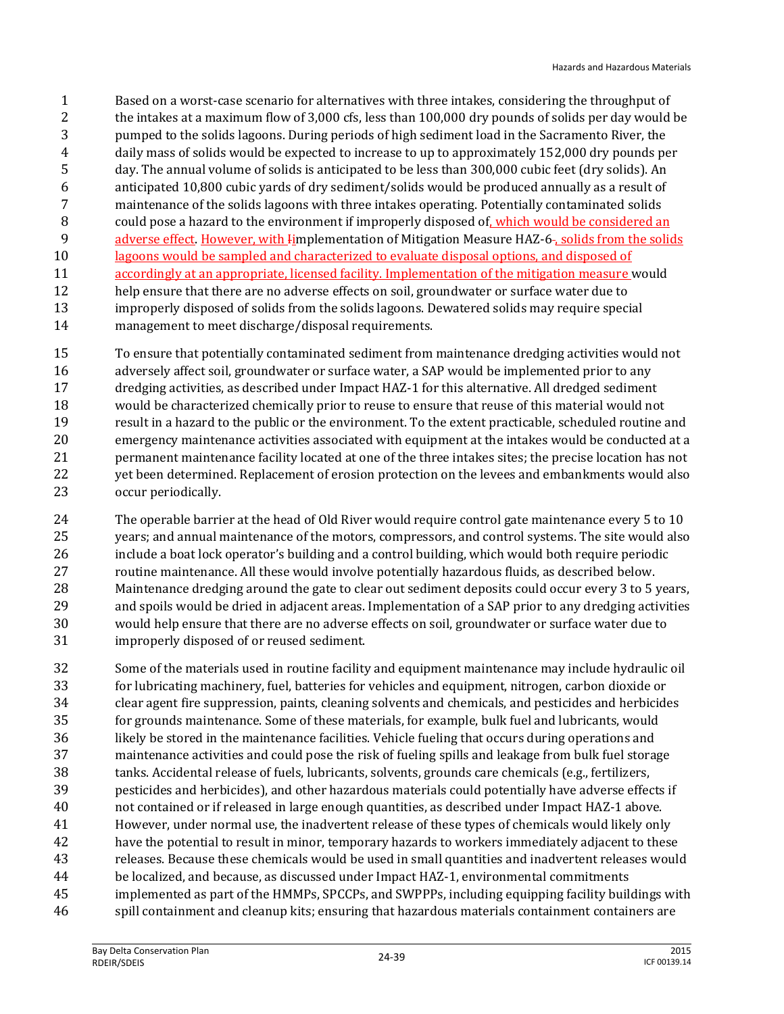- Based on a worst-case scenario for alternatives with three intakes, considering the throughput of the intakes at a maximum flow of 3,000 cfs, less than 100,000 dry pounds of solids per day would be pumped to the solids lagoons. During periods of high sediment load in the Sacramento River, the daily mass of solids would be expected to increase to up to approximately 152,000 dry pounds per day. The annual volume of solids is anticipated to be less than 300,000 cubic feet (dry solids). An anticipated 10,800 cubic yards of dry sediment/solids would be produced annually as a result of maintenance of the solids lagoons with three intakes operating. Potentially contaminated solids 8 could pose a hazard to the environment if improperly disposed of, which would be considered an 9 adverse effect. However, with Iimplementation of Mitigation Measure HAZ-6-, solids from the solids lagoons would be sampled and characterized to evaluate disposal options, and disposed of accordingly at an appropriate, licensed facility. Implementation of the mitigation measure would help ensure that there are no adverse effects on soil, groundwater or surface water due to improperly disposed of solids from the solids lagoons. Dewatered solids may require special management to meet discharge/disposal requirements.
- To ensure that potentially contaminated sediment from maintenance dredging activities would not 16 adversely affect soil, groundwater or surface water, a SAP would be implemented prior to any dredging activities, as described under Impact HAZ-1 for this alternative. All dredged sediment would be characterized chemically prior to reuse to ensure that reuse of this material would not result in a hazard to the public or the environment. To the extent practicable, scheduled routine and emergency maintenance activities associated with equipment at the intakes would be conducted at a permanent maintenance facility located at one of the three intakes sites; the precise location has not yet been determined. Replacement of erosion protection on the levees and embankments would also occur periodically.
- The operable barrier at the head of Old River would require control gate maintenance every 5 to 10 years; and annual maintenance of the motors, compressors, and control systems. The site would also include a boat lock operator's building and a control building, which would both require periodic routine maintenance. All these would involve potentially hazardous fluids, as described below. Maintenance dredging around the gate to clear out sediment deposits could occur every 3 to 5 years, and spoils would be dried in adjacent areas. Implementation of a SAP prior to any dredging activities would help ensure that there are no adverse effects on soil, groundwater or surface water due to improperly disposed of or reused sediment.
- Some of the materials used in routine facility and equipment maintenance may include hydraulic oil for lubricating machinery, fuel, batteries for vehicles and equipment, nitrogen, carbon dioxide or clear agent fire suppression, paints, cleaning solvents and chemicals, and pesticides and herbicides for grounds maintenance. Some of these materials, for example, bulk fuel and lubricants, would likely be stored in the maintenance facilities. Vehicle fueling that occurs during operations and maintenance activities and could pose the risk of fueling spills and leakage from bulk fuel storage tanks. Accidental release of fuels, lubricants, solvents, grounds care chemicals (e.g., fertilizers, pesticides and herbicides), and other hazardous materials could potentially have adverse effects if not contained or if released in large enough quantities, as described under Impact HAZ-1 above. However, under normal use, the inadvertent release of these types of chemicals would likely only have the potential to result in minor, temporary hazards to workers immediately adjacent to these releases. Because these chemicals would be used in small quantities and inadvertent releases would be localized, and because, as discussed under Impact HAZ-1, environmental commitments implemented as part of the HMMPs, SPCCPs, and SWPPPs, including equipping facility buildings with spill containment and cleanup kits; ensuring that hazardous materials containment containers are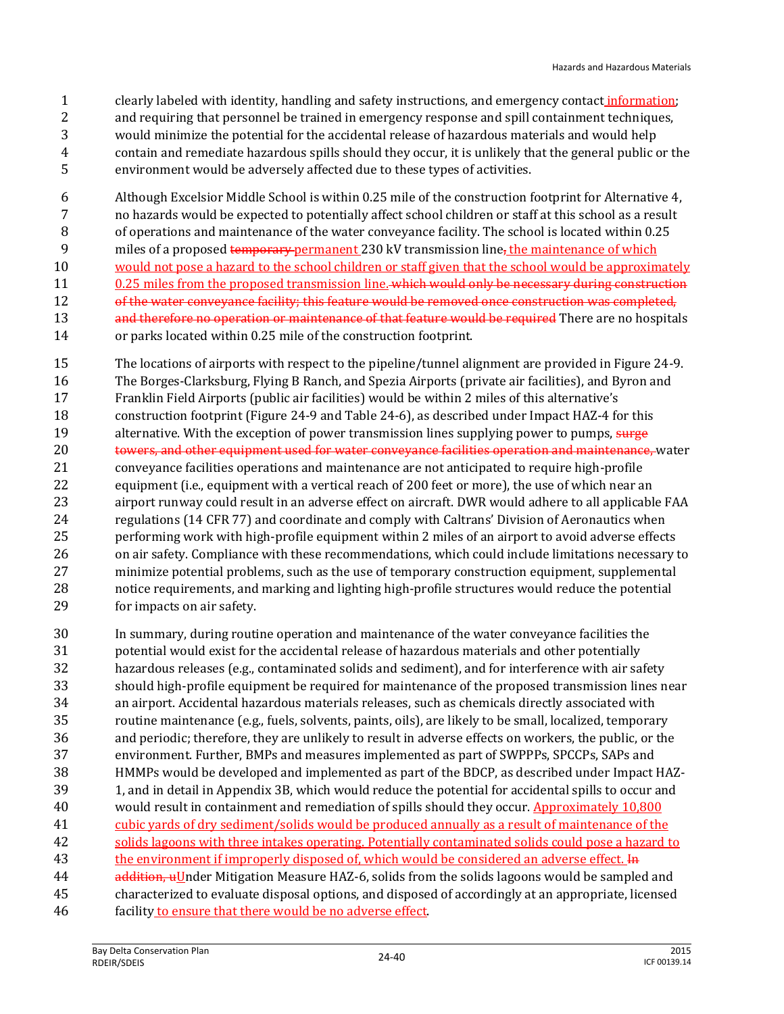clearly labeled with identity, handling and safety instructions, and emergency contact information; and requiring that personnel be trained in emergency response and spill containment techniques, would minimize the potential for the accidental release of hazardous materials and would help contain and remediate hazardous spills should they occur, it is unlikely that the general public or the environment would be adversely affected due to these types of activities.

 Although Excelsior Middle School is within 0.25 mile of the construction footprint for Alternative 4, no hazards would be expected to potentially affect school children or staff at this school as a result of operations and maintenance of the water conveyance facility. The school is located within 0.25 9 miles of a proposed temporary permanent 230 kV transmission line, the maintenance of which would not pose a hazard to the school children or staff given that the school would be approximately 11 0.25 miles from the proposed transmission line. which would only be necessary during construction 12 of the water conveyance facility; this feature would be removed once construction was completed, 13 and therefore no operation or maintenance of that feature would be required There are no hospitals

or parks located within 0.25 mile of the construction footprint.

 The locations of airports with respect to the pipeline/tunnel alignment are provided in Figure 24-9. The Borges-Clarksburg, Flying B Ranch, and Spezia Airports (private air facilities), and Byron and Franklin Field Airports (public air facilities) would be within 2 miles of this alternative's construction footprint (Figure 24-9 and Table 24-6), as described under Impact HAZ-4 for this 19 alternative. With the exception of power transmission lines supplying power to pumps, surge 20 towers, and other equipment used for water conveyance facilities operation and maintenance, water conveyance facilities operations and maintenance are not anticipated to require high-profile equipment (i.e., equipment with a vertical reach of 200 feet or more), the use of which near an airport runway could result in an adverse effect on aircraft. DWR would adhere to all applicable FAA regulations (14 CFR 77) and coordinate and comply with Caltrans' Division of Aeronautics when performing work with high-profile equipment within 2 miles of an airport to avoid adverse effects on air safety. Compliance with these recommendations, which could include limitations necessary to minimize potential problems, such as the use of temporary construction equipment, supplemental notice requirements, and marking and lighting high-profile structures would reduce the potential for impacts on air safety.

 In summary, during routine operation and maintenance of the water conveyance facilities the potential would exist for the accidental release of hazardous materials and other potentially hazardous releases (e.g., contaminated solids and sediment), and for interference with air safety should high-profile equipment be required for maintenance of the proposed transmission lines near an airport. Accidental hazardous materials releases, such as chemicals directly associated with routine maintenance (e.g., fuels, solvents, paints, oils), are likely to be small, localized, temporary and periodic; therefore, they are unlikely to result in adverse effects on workers, the public, or the environment. Further, BMPs and measures implemented as part of SWPPPs, SPCCPs, SAPs and HMMPs would be developed and implemented as part of the BDCP, as described under Impact HAZ- 1, and in detail in Appendix 3B, which would reduce the potential for accidental spills to occur and would result in containment and remediation of spills should they occur. Approximately 10,800 cubic yards of dry sediment/solids would be produced annually as a result of maintenance of the solids lagoons with three intakes operating. Potentially contaminated solids could pose a hazard to 43 the environment if improperly disposed of, which would be considered an adverse effect. In 44 addition, uUnder Mitigation Measure HAZ-6, solids from the solids lagoons would be sampled and characterized to evaluate disposal options, and disposed of accordingly at an appropriate, licensed facility to ensure that there would be no adverse effect.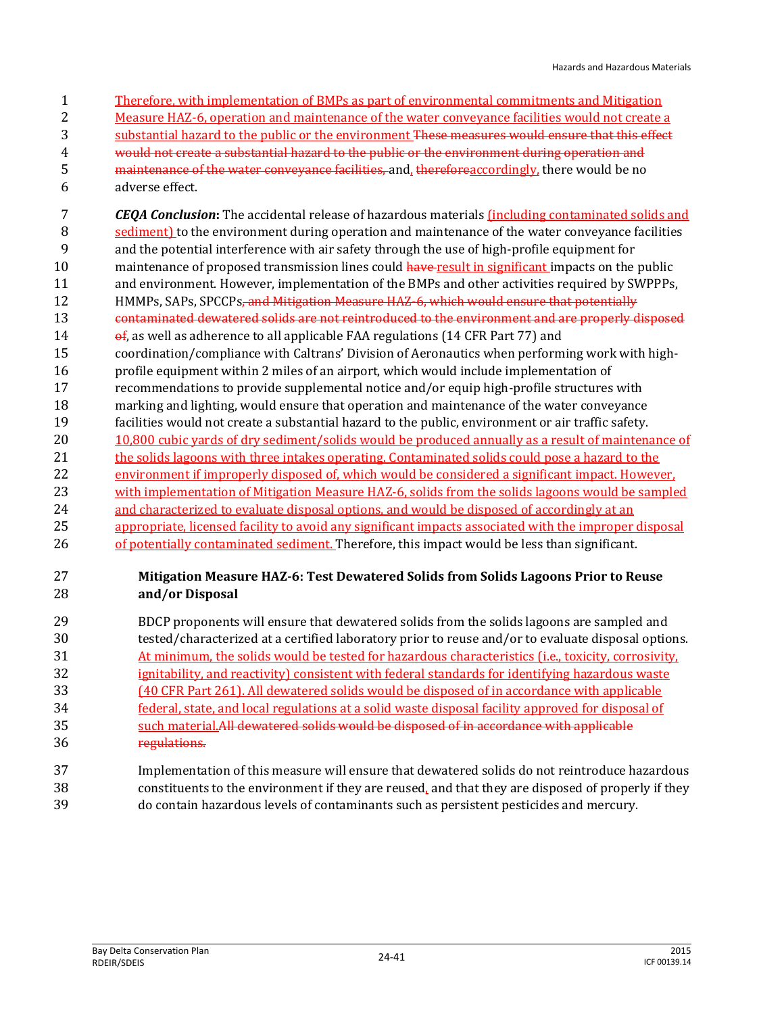- Therefore, with implementation of BMPs as part of environmental commitments and Mitigation Measure HAZ-6, operation and maintenance of the water conveyance facilities would not create a 3 substantial hazard to the public or the environment <del>These measures would ensure that this effect</del> would not create a substantial hazard to the public or the environment during operation and 5 maintenance of the water conveyance facilities, and, therefore accordingly, there would be no adverse effect. *CEQA Conclusion***:** The accidental release of hazardous materials (including contaminated solids and sediment) to the environment during operation and maintenance of the water conveyance facilities and the potential interference with air safety through the use of high-profile equipment for
- 10 maintenance of proposed transmission lines could have-result in significant impacts on the public and environment. However, implementation of the BMPs and other activities required by SWPPPs,
- 12 HMMPs, SAPs, SPCCPs, and Mitigation Measure HAZ-6, which would ensure that potentially
- contaminated dewatered solids are not reintroduced to the environment and are properly disposed
- **of, as well as adherence to all applicable FAA regulations (14 CFR Part 77) and** coordination/compliance with Caltrans' Division of Aeronautics when performing work with high-
- profile equipment within 2 miles of an airport, which would include implementation of
- recommendations to provide supplemental notice and/or equip high-profile structures with marking and lighting, would ensure that operation and maintenance of the water conveyance
- facilities would not create a substantial hazard to the public, environment or air traffic safety. 10,800 cubic yards of dry sediment/solids would be produced annually as a result of maintenance of 21 the solids lagoons with three intakes operating. Contaminated solids could pose a hazard to the environment if improperly disposed of, which would be considered a significant impact. However, with implementation of Mitigation Measure HAZ-6, solids from the solids lagoons would be sampled 24 and characterized to evaluate disposal options, and would be disposed of accordingly at an appropriate, licensed facility to avoid any significant impacts associated with the improper disposal
- 26 of potentially contaminated sediment. Therefore, this impact would be less than significant.

#### **Mitigation Measure HAZ-6: Test Dewatered Solids from Solids Lagoons Prior to Reuse and/or Disposal**

- BDCP proponents will ensure that dewatered solids from the solids lagoons are sampled and tested/characterized at a certified laboratory prior to reuse and/or to evaluate disposal options. At minimum, the solids would be tested for hazardous characteristics (i.e., toxicity, corrosivity, ignitability, and reactivity) consistent with federal standards for identifying hazardous waste (40 CFR Part 261). All dewatered solids would be disposed of in accordance with applicable federal, state, and local regulations at a solid waste disposal facility approved for disposal of such material.All dewatered solids would be disposed of in accordance with applicable regulations.
- Implementation of this measure will ensure that dewatered solids do not reintroduce hazardous constituents to the environment if they are reused, and that they are disposed of properly if they do contain hazardous levels of contaminants such as persistent pesticides and mercury.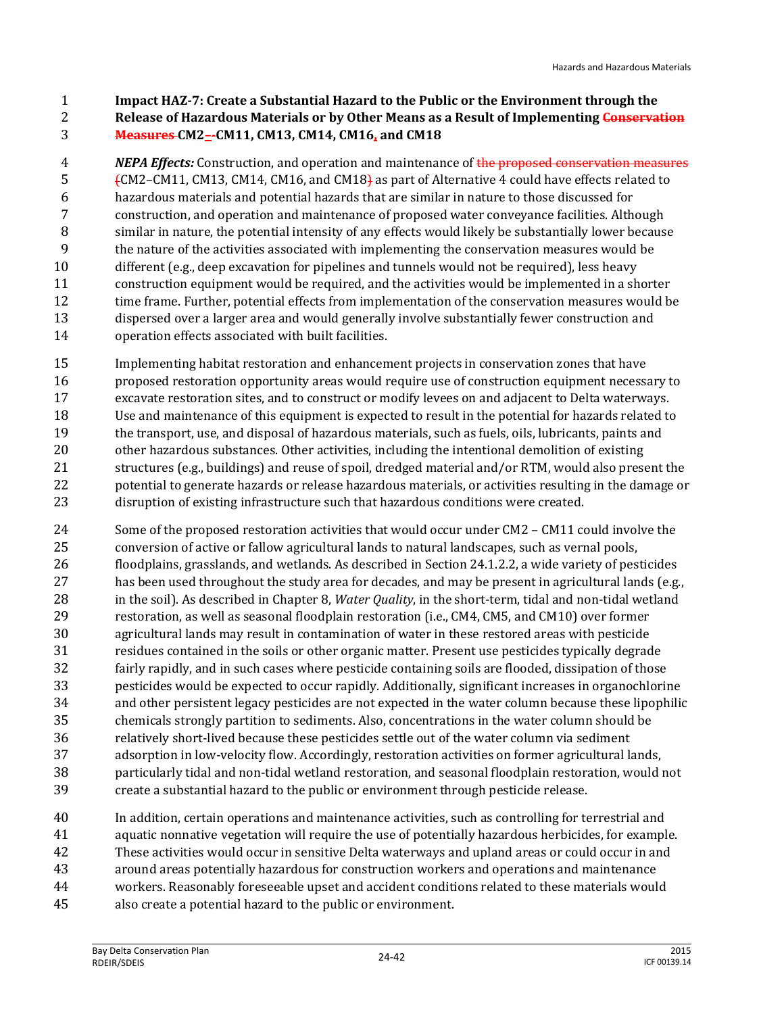**Impact HAZ-7: Create a Substantial Hazard to the Public or the Environment through the Release of Hazardous Materials or by Other Means as a Result of Implementing Conservation** 

#### **Measures CM2–-CM11, CM13, CM14, CM16, and CM18**

 *NEPA Effects:* Construction, and operation and maintenance of the proposed conservation measures (CM2–CM11, CM13, CM14, CM16, and CM18) as part of Alternative 4 could have effects related to hazardous materials and potential hazards that are similar in nature to those discussed for construction, and operation and maintenance of proposed water conveyance facilities. Although similar in nature, the potential intensity of any effects would likely be substantially lower because the nature of the activities associated with implementing the conservation measures would be different (e.g., deep excavation for pipelines and tunnels would not be required), less heavy construction equipment would be required, and the activities would be implemented in a shorter time frame. Further, potential effects from implementation of the conservation measures would be dispersed over a larger area and would generally involve substantially fewer construction and operation effects associated with built facilities.

 Implementing habitat restoration and enhancement projects in conservation zones that have proposed restoration opportunity areas would require use of construction equipment necessary to excavate restoration sites, and to construct or modify levees on and adjacent to Delta waterways. Use and maintenance of this equipment is expected to result in the potential for hazards related to the transport, use, and disposal of hazardous materials, such as fuels, oils, lubricants, paints and other hazardous substances. Other activities, including the intentional demolition of existing structures (e.g., buildings) and reuse of spoil, dredged material and/or RTM, would also present the potential to generate hazards or release hazardous materials, or activities resulting in the damage or disruption of existing infrastructure such that hazardous conditions were created.

 Some of the proposed restoration activities that would occur under CM2 – CM11 could involve the conversion of active or fallow agricultural lands to natural landscapes, such as vernal pools, floodplains, grasslands, and wetlands. As described in Section 24.1.2.2, a wide variety of pesticides has been used throughout the study area for decades, and may be present in agricultural lands (e.g., in the soil). As described in Chapter 8, *Water Quality*, in the short-term, tidal and non-tidal wetland restoration, as well as seasonal floodplain restoration (i.e., CM4, CM5, and CM10) over former agricultural lands may result in contamination of water in these restored areas with pesticide residues contained in the soils or other organic matter. Present use pesticides typically degrade fairly rapidly, and in such cases where pesticide containing soils are flooded, dissipation of those pesticides would be expected to occur rapidly. Additionally, significant increases in organochlorine and other persistent legacy pesticides are not expected in the water column because these lipophilic chemicals strongly partition to sediments. Also, concentrations in the water column should be relatively short-lived because these pesticides settle out of the water column via sediment adsorption in low-velocity flow. Accordingly, restoration activities on former agricultural lands, particularly tidal and non-tidal wetland restoration, and seasonal floodplain restoration, would not create a substantial hazard to the public or environment through pesticide release.

 In addition, certain operations and maintenance activities, such as controlling for terrestrial and aquatic nonnative vegetation will require the use of potentially hazardous herbicides, for example. These activities would occur in sensitive Delta waterways and upland areas or could occur in and around areas potentially hazardous for construction workers and operations and maintenance workers. Reasonably foreseeable upset and accident conditions related to these materials would also create a potential hazard to the public or environment.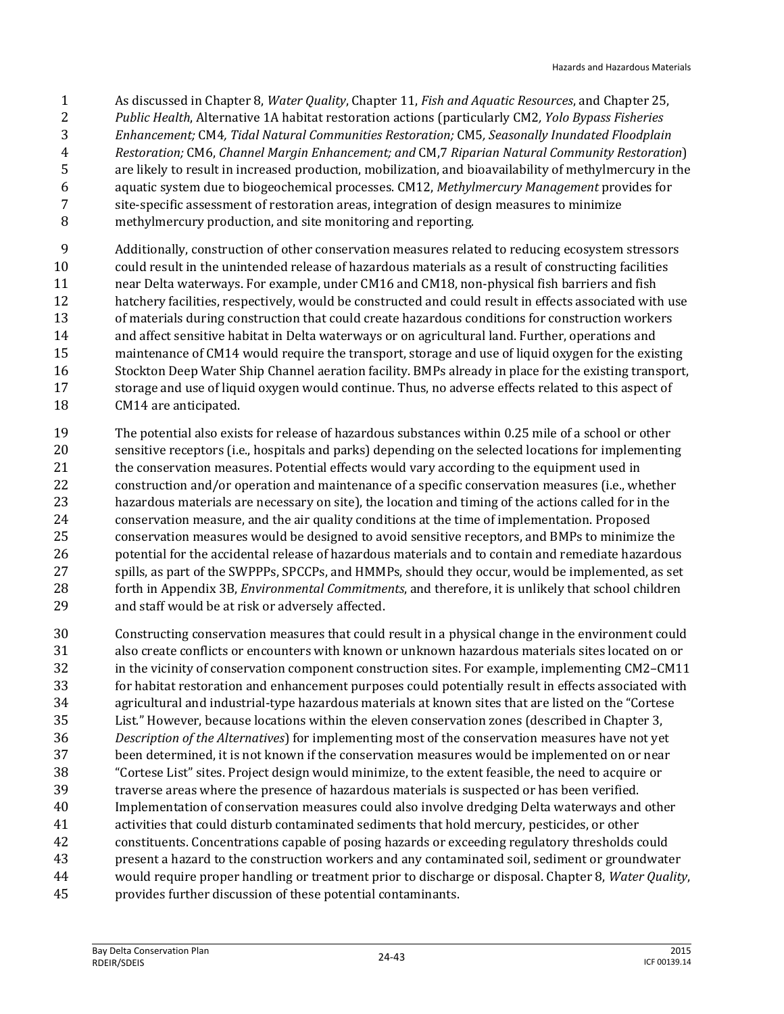- As discussed in Chapter 8, *Water Quality*, Chapter 11, *Fish and Aquatic Resources*, and Chapter 25, *Public Health*, Alternative 1A habitat restoration actions (particularly CM2*, Yolo Bypass Fisheries Enhancement;* CM4*, Tidal Natural Communities Restoration;* CM5*, Seasonally Inundated Floodplain Restoration;* CM6, *Channel Margin Enhancement; and* CM,7 *Riparian Natural Community Restoration*) are likely to result in increased production, mobilization, and bioavailability of methylmercury in the aquatic system due to biogeochemical processes. CM12, *Methylmercury Management* provides for site-specific assessment of restoration areas, integration of design measures to minimize methylmercury production, and site monitoring and reporting.
- Additionally, construction of other conservation measures related to reducing ecosystem stressors could result in the unintended release of hazardous materials as a result of constructing facilities near Delta waterways. For example, under CM16 and CM18, non-physical fish barriers and fish hatchery facilities, respectively, would be constructed and could result in effects associated with use of materials during construction that could create hazardous conditions for construction workers and affect sensitive habitat in Delta waterways or on agricultural land. Further, operations and maintenance of CM14 would require the transport, storage and use of liquid oxygen for the existing Stockton Deep Water Ship Channel aeration facility. BMPs already in place for the existing transport, storage and use of liquid oxygen would continue. Thus, no adverse effects related to this aspect of CM14 are anticipated.
- The potential also exists for release of hazardous substances within 0.25 mile of a school or other sensitive receptors (i.e., hospitals and parks) depending on the selected locations for implementing 21 the conservation measures. Potential effects would vary according to the equipment used in construction and/or operation and maintenance of a specific conservation measures (i.e., whether hazardous materials are necessary on site), the location and timing of the actions called for in the conservation measure, and the air quality conditions at the time of implementation. Proposed conservation measures would be designed to avoid sensitive receptors, and BMPs to minimize the potential for the accidental release of hazardous materials and to contain and remediate hazardous spills, as part of the SWPPPs, SPCCPs, and HMMPs, should they occur, would be implemented, as set forth in Appendix 3B, *Environmental Commitments*, and therefore, it is unlikely that school children and staff would be at risk or adversely affected.
- Constructing conservation measures that could result in a physical change in the environment could also create conflicts or encounters with known or unknown hazardous materials sites located on or in the vicinity of conservation component construction sites. For example, implementing CM2–CM11 for habitat restoration and enhancement purposes could potentially result in effects associated with agricultural and industrial-type hazardous materials at known sites that are listed on the "Cortese List." However, because locations within the eleven conservation zones (described in Chapter 3, *Description of the Alternatives*) for implementing most of the conservation measures have not yet been determined, it is not known if the conservation measures would be implemented on or near "Cortese List" sites. Project design would minimize, to the extent feasible, the need to acquire or traverse areas where the presence of hazardous materials is suspected or has been verified. Implementation of conservation measures could also involve dredging Delta waterways and other activities that could disturb contaminated sediments that hold mercury, pesticides, or other constituents. Concentrations capable of posing hazards or exceeding regulatory thresholds could present a hazard to the construction workers and any contaminated soil, sediment or groundwater would require proper handling or treatment prior to discharge or disposal. Chapter 8, *Water Quality*,
- provides further discussion of these potential contaminants.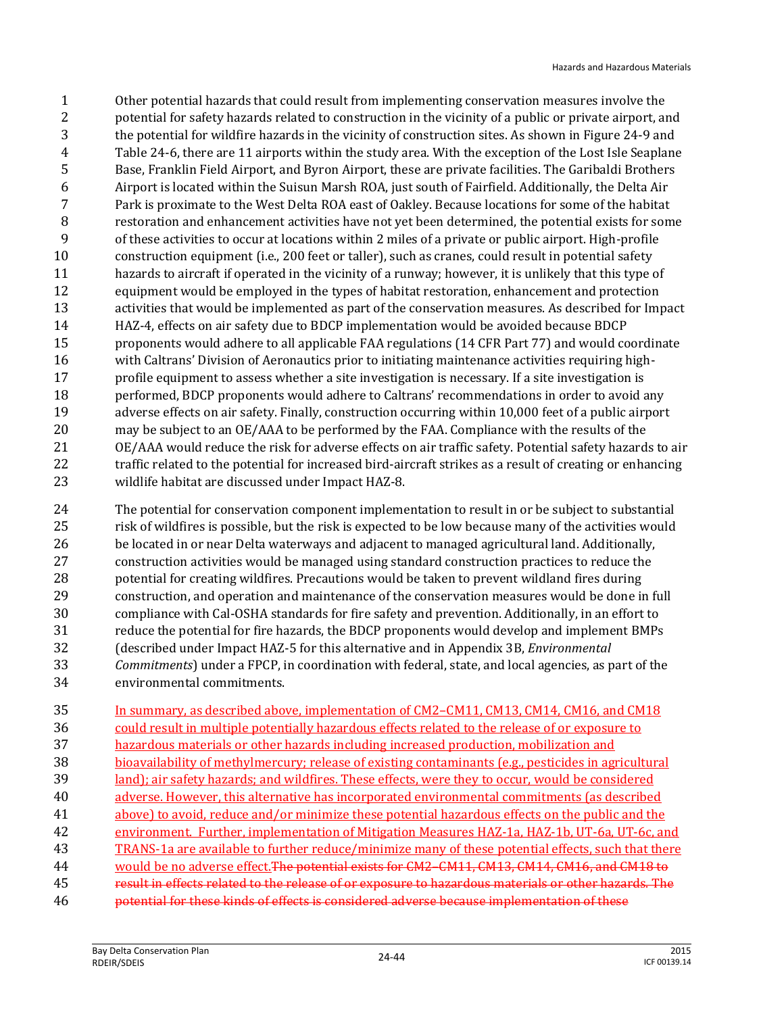Other potential hazards that could result from implementing conservation measures involve the potential for safety hazards related to construction in the vicinity of a public or private airport, and the potential for wildfire hazards in the vicinity of construction sites. As shown in Figure 24-9 and Table 24-6, there are 11 airports within the study area. With the exception of the Lost Isle Seaplane Base, Franklin Field Airport, and Byron Airport, these are private facilities. The Garibaldi Brothers Airport is located within the Suisun Marsh ROA, just south of Fairfield. Additionally, the Delta Air Park is proximate to the West Delta ROA east of Oakley. Because locations for some of the habitat restoration and enhancement activities have not yet been determined, the potential exists for some of these activities to occur at locations within 2 miles of a private or public airport. High-profile construction equipment (i.e., 200 feet or taller), such as cranes, could result in potential safety hazards to aircraft if operated in the vicinity of a runway; however, it is unlikely that this type of equipment would be employed in the types of habitat restoration, enhancement and protection activities that would be implemented as part of the conservation measures. As described for Impact HAZ-4, effects on air safety due to BDCP implementation would be avoided because BDCP proponents would adhere to all applicable FAA regulations (14 CFR Part 77) and would coordinate with Caltrans' Division of Aeronautics prior to initiating maintenance activities requiring high- profile equipment to assess whether a site investigation is necessary. If a site investigation is performed, BDCP proponents would adhere to Caltrans' recommendations in order to avoid any adverse effects on air safety. Finally, construction occurring within 10,000 feet of a public airport may be subject to an OE/AAA to be performed by the FAA. Compliance with the results of the OE/AAA would reduce the risk for adverse effects on air traffic safety. Potential safety hazards to air 22 traffic related to the potential for increased bird-aircraft strikes as a result of creating or enhancing wildlife habitat are discussed under Impact HAZ-8.

 The potential for conservation component implementation to result in or be subject to substantial risk of wildfires is possible, but the risk is expected to be low because many of the activities would be located in or near Delta waterways and adjacent to managed agricultural land. Additionally, construction activities would be managed using standard construction practices to reduce the potential for creating wildfires. Precautions would be taken to prevent wildland fires during construction, and operation and maintenance of the conservation measures would be done in full compliance with Cal-OSHA standards for fire safety and prevention. Additionally, in an effort to reduce the potential for fire hazards, the BDCP proponents would develop and implement BMPs (described under Impact HAZ-5 for this alternative and in Appendix 3B, *Environmental Commitments*) under a FPCP, in coordination with federal, state, and local agencies, as part of the environmental commitments.

 In summary, as described above, implementation of CM2–CM11, CM13, CM14, CM16, and CM18 could result in multiple potentially hazardous effects related to the release of or exposure to hazardous materials or other hazards including increased production, mobilization and bioavailability of methylmercury; release of existing contaminants (e.g., pesticides in agricultural land); air safety hazards; and wildfires. These effects, were they to occur, would be considered adverse. However, this alternative has incorporated environmental commitments (as described above) to avoid, reduce and/or minimize these potential hazardous effects on the public and the environment. Further, implementation of Mitigation Measures HAZ-1a, HAZ-1b, UT-6a, UT-6c, and TRANS-1a are available to further reduce/minimize many of these potential effects, such that there would be no adverse effect.The potential exists for CM2–CM11, CM13, CM14, CM16, and CM18 to result in effects related to the release of or exposure to hazardous materials or other hazards. The potential for these kinds of effects is considered adverse because implementation of these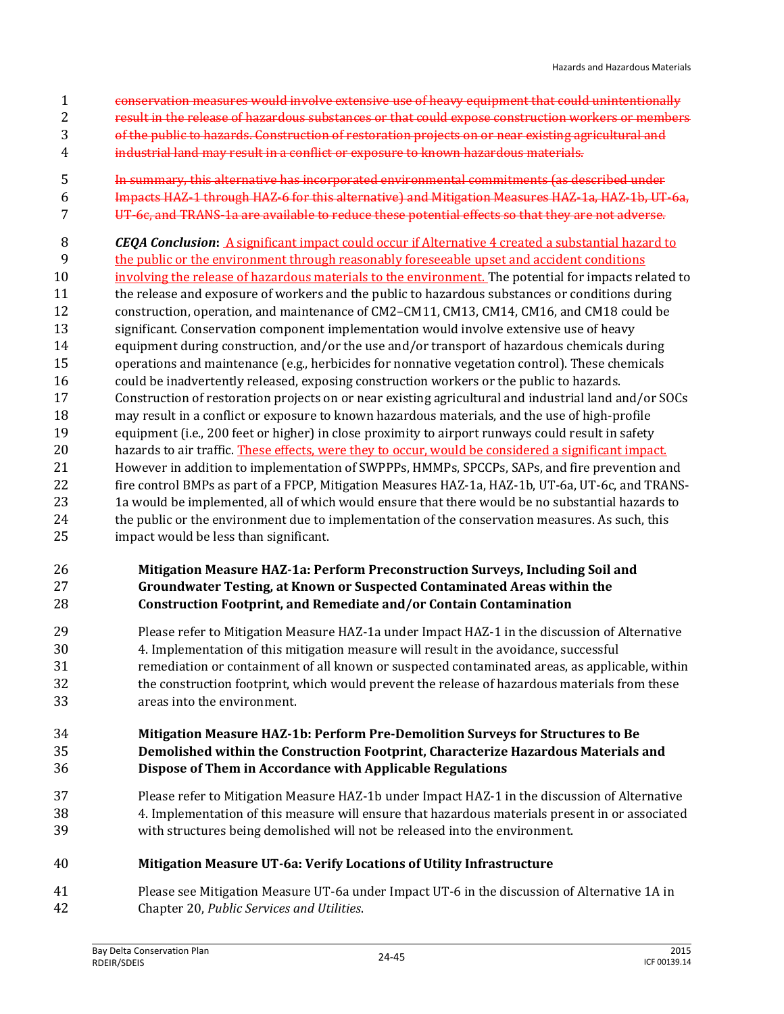- conservation measures would involve extensive use of heavy equipment that could unintentionally
- result in the release of hazardous substances or that could expose construction workers or members
- of the public to hazards. Construction of restoration projects on or near existing agricultural and
- industrial land may result in a conflict or exposure to known hazardous materials.
- In summary, this alternative has incorporated environmental commitments (as described under Impacts HAZ-1 through HAZ-6 for this alternative) and Mitigation Measures HAZ-1a, HAZ-1b, UT-6a, UT-6c, and TRANS-1a are available to reduce these potential effects so that they are not adverse.
- *CEQA Conclusion***:** A significant impact could occur if Alternative 4 created a substantial hazard to
- the public or the environment through reasonably foreseeable upset and accident conditions
- involving the release of hazardous materials to the environment. The potential for impacts related to the release and exposure of workers and the public to hazardous substances or conditions during construction, operation, and maintenance of CM2–CM11, CM13, CM14, CM16, and CM18 could be significant. Conservation component implementation would involve extensive use of heavy equipment during construction, and/or the use and/or transport of hazardous chemicals during operations and maintenance (e.g., herbicides for nonnative vegetation control). These chemicals could be inadvertently released, exposing construction workers or the public to hazards. Construction of restoration projects on or near existing agricultural and industrial land and/or SOCs may result in a conflict or exposure to known hazardous materials, and the use of high-profile equipment (i.e., 200 feet or higher) in close proximity to airport runways could result in safety 20 hazards to air traffic. These effects, were they to occur, would be considered a significant impact. However in addition to implementation of SWPPPs, HMMPs, SPCCPs, SAPs, and fire prevention and fire control BMPs as part of a FPCP, Mitigation Measures HAZ-1a, HAZ-1b, UT-6a, UT-6c, and TRANS-23 1a would be implemented, all of which would ensure that there would be no substantial hazards to 24 the public or the environment due to implementation of the conservation measures. As such, this impact would be less than significant.

#### **Mitigation Measure HAZ-1a: Perform Preconstruction Surveys, Including Soil and Groundwater Testing, at Known or Suspected Contaminated Areas within the Construction Footprint, and Remediate and/or Contain Contamination**

 Please refer to Mitigation Measure HAZ-1a under Impact HAZ-1 in the discussion of Alternative 4. Implementation of this mitigation measure will result in the avoidance, successful remediation or containment of all known or suspected contaminated areas, as applicable, within the construction footprint, which would prevent the release of hazardous materials from these areas into the environment.

#### **Mitigation Measure HAZ-1b: Perform Pre-Demolition Surveys for Structures to Be Demolished within the Construction Footprint, Characterize Hazardous Materials and Dispose of Them in Accordance with Applicable Regulations**

 Please refer to Mitigation Measure HAZ-1b under Impact HAZ-1 in the discussion of Alternative 4. Implementation of this measure will ensure that hazardous materials present in or associated with structures being demolished will not be released into the environment.

#### **Mitigation Measure UT-6a: Verify Locations of Utility Infrastructure**

 Please see Mitigation Measure UT-6a under Impact UT-6 in the discussion of Alternative 1A in Chapter 20, *Public Services and Utilities*.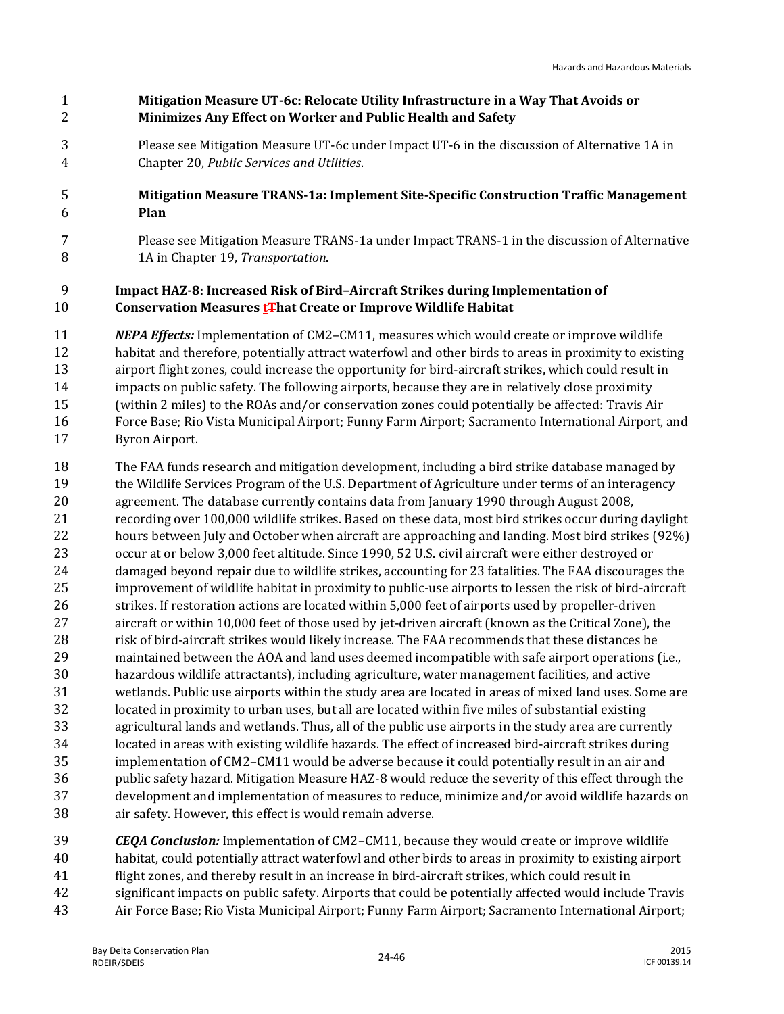#### **Mitigation Measure UT-6c: Relocate Utility Infrastructure in a Way That Avoids or Minimizes Any Effect on Worker and Public Health and Safety**

 Please see Mitigation Measure UT-6c under Impact UT-6 in the discussion of Alternative 1A in Chapter 20, *Public Services and Utilities*.

#### **Mitigation Measure TRANS-1a: Implement Site-Specific Construction Traffic Management Plan**

 Please see Mitigation Measure TRANS-1a under Impact TRANS-1 in the discussion of Alternative 1A in Chapter 19, *Transportation*.

#### **Impact HAZ-8: Increased Risk of Bird–Aircraft Strikes during Implementation of Conservation Measures tThat Create or Improve Wildlife Habitat**

- *NEPA Effects:* Implementation of CM2–CM11, measures which would create or improve wildlife habitat and therefore, potentially attract waterfowl and other birds to areas in proximity to existing airport flight zones, could increase the opportunity for bird-aircraft strikes, which could result in impacts on public safety. The following airports, because they are in relatively close proximity (within 2 miles) to the ROAs and/or conservation zones could potentially be affected: Travis Air Force Base; Rio Vista Municipal Airport; Funny Farm Airport; Sacramento International Airport, and Byron Airport.
- The FAA funds research and mitigation development, including a bird strike database managed by the Wildlife Services Program of the U.S. Department of Agriculture under terms of an interagency agreement. The database currently contains data from January 1990 through August 2008, recording over 100,000 wildlife strikes. Based on these data, most bird strikes occur during daylight hours between July and October when aircraft are approaching and landing. Most bird strikes (92%) occur at or below 3,000 feet altitude. Since 1990, 52 U.S. civil aircraft were either destroyed or damaged beyond repair due to wildlife strikes, accounting for 23 fatalities. The FAA discourages the improvement of wildlife habitat in proximity to public-use airports to lessen the risk of bird-aircraft strikes. If restoration actions are located within 5,000 feet of airports used by propeller-driven aircraft or within 10,000 feet of those used by jet-driven aircraft (known as the Critical Zone), the risk of bird-aircraft strikes would likely increase. The FAA recommends that these distances be maintained between the AOA and land uses deemed incompatible with safe airport operations (i.e., hazardous wildlife attractants), including agriculture, water management facilities, and active wetlands. Public use airports within the study area are located in areas of mixed land uses. Some are located in proximity to urban uses, but all are located within five miles of substantial existing agricultural lands and wetlands. Thus, all of the public use airports in the study area are currently located in areas with existing wildlife hazards. The effect of increased bird-aircraft strikes during implementation of CM2–CM11 would be adverse because it could potentially result in an air and public safety hazard. Mitigation Measure HAZ-8 would reduce the severity of this effect through the development and implementation of measures to reduce, minimize and/or avoid wildlife hazards on air safety. However, this effect is would remain adverse.
- *CEQA Conclusion:* Implementation of CM2–CM11, because they would create or improve wildlife habitat, could potentially attract waterfowl and other birds to areas in proximity to existing airport flight zones, and thereby result in an increase in bird-aircraft strikes, which could result in significant impacts on public safety. Airports that could be potentially affected would include Travis Air Force Base; Rio Vista Municipal Airport; Funny Farm Airport; Sacramento International Airport;